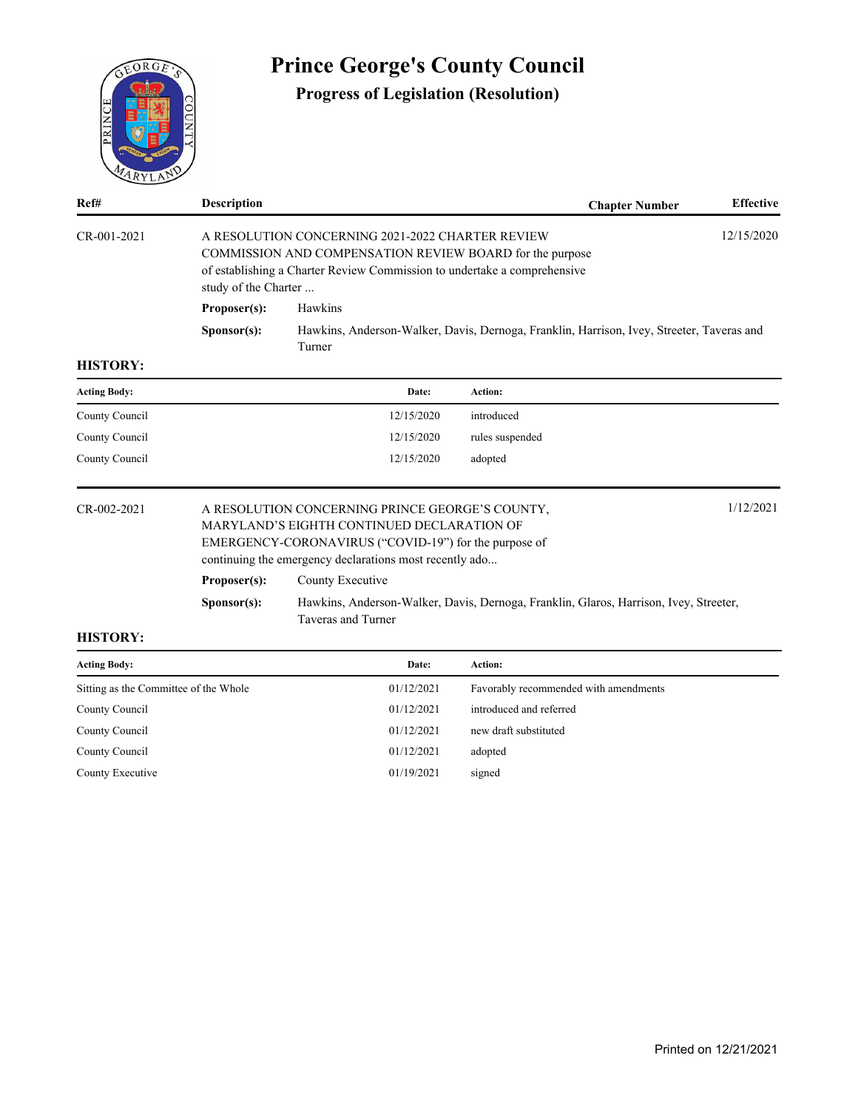

# **Prince George's County Council**

# **Progress of Legislation (Resolution)**

| M112                                  |                      |                                                                                                                                                                                                                   |                                                                                           |                  |
|---------------------------------------|----------------------|-------------------------------------------------------------------------------------------------------------------------------------------------------------------------------------------------------------------|-------------------------------------------------------------------------------------------|------------------|
| Ref#                                  | <b>Description</b>   |                                                                                                                                                                                                                   | <b>Chapter Number</b>                                                                     | <b>Effective</b> |
| $CR - 001 - 2021$                     | study of the Charter | A RESOLUTION CONCERNING 2021-2022 CHARTER REVIEW<br>COMMISSION AND COMPENSATION REVIEW BOARD for the purpose<br>of establishing a Charter Review Commission to undertake a comprehensive                          |                                                                                           | 12/15/2020       |
|                                       | Proposer(s):         | Hawkins                                                                                                                                                                                                           |                                                                                           |                  |
|                                       | S <b>p</b> onsor(s): | Turner                                                                                                                                                                                                            | Hawkins, Anderson-Walker, Davis, Dernoga, Franklin, Harrison, Ivey, Streeter, Taveras and |                  |
| <b>HISTORY:</b>                       |                      |                                                                                                                                                                                                                   |                                                                                           |                  |
| <b>Acting Body:</b>                   |                      | Date:                                                                                                                                                                                                             | <b>Action:</b>                                                                            |                  |
| County Council                        |                      | 12/15/2020                                                                                                                                                                                                        | introduced                                                                                |                  |
| County Council                        |                      | 12/15/2020                                                                                                                                                                                                        | rules suspended                                                                           |                  |
| County Council                        |                      | 12/15/2020                                                                                                                                                                                                        | adopted                                                                                   |                  |
| CR-002-2021                           |                      | A RESOLUTION CONCERNING PRINCE GEORGE'S COUNTY,<br>MARYLAND'S EIGHTH CONTINUED DECLARATION OF<br>EMERGENCY-CORONAVIRUS ("COVID-19") for the purpose of<br>continuing the emergency declarations most recently ado |                                                                                           | 1/12/2021        |
|                                       | Proposer(s):         | County Executive                                                                                                                                                                                                  |                                                                                           |                  |
|                                       | S <b>p</b> onsor(s): | Taveras and Turner                                                                                                                                                                                                | Hawkins, Anderson-Walker, Davis, Dernoga, Franklin, Glaros, Harrison, Ivey, Streeter,     |                  |
| <b>HISTORY:</b>                       |                      |                                                                                                                                                                                                                   |                                                                                           |                  |
| <b>Acting Body:</b>                   |                      | Date:                                                                                                                                                                                                             | Action:                                                                                   |                  |
| Sitting as the Committee of the Whole |                      | 01/12/2021                                                                                                                                                                                                        | Favorably recommended with amendments                                                     |                  |
| $C$ and $C$ and $1$                   |                      | 01/12/2021                                                                                                                                                                                                        | tatus du s s d'au d'asfams d'                                                             |                  |

| Sitting as the Committee of the Whole | 01/12/2021 | Favorably recommended with amendments |
|---------------------------------------|------------|---------------------------------------|
| County Council                        | 01/12/2021 | introduced and referred               |
| County Council                        | 01/12/2021 | new draft substituted                 |
| County Council                        | 01/12/2021 | adopted                               |
| County Executive                      | 01/19/2021 | signed                                |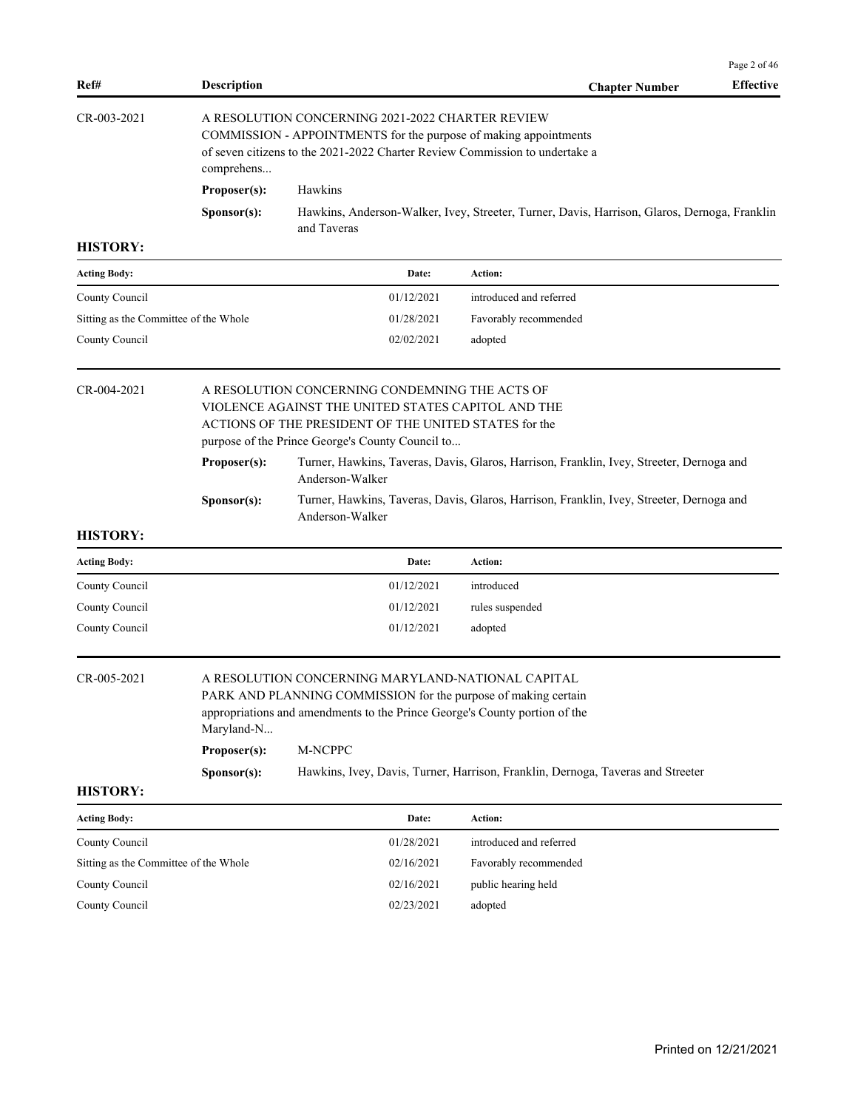| Ref#<br><b>Description</b><br>$CR - 003 - 2021$ | A RESOLUTION CONCERNING 2021-2022 CHARTER REVIEW                                                                                                | <b>Effective</b><br><b>Chapter Number</b> |
|-------------------------------------------------|-------------------------------------------------------------------------------------------------------------------------------------------------|-------------------------------------------|
|                                                 |                                                                                                                                                 |                                           |
| comprehens                                      | COMMISSION - APPOINTMENTS for the purpose of making appointments<br>of seven citizens to the 2021-2022 Charter Review Commission to undertake a |                                           |
| Proposer(s):                                    | Hawkins                                                                                                                                         |                                           |
| S <b>p</b> onsor(s):                            | Hawkins, Anderson-Walker, Ivey, Streeter, Turner, Davis, Harrison, Glaros, Dernoga, Franklin<br>and Taveras                                     |                                           |
| <b>HISTORY:</b>                                 |                                                                                                                                                 |                                           |

| <b>Acting Body:</b>                   | Date:      | <b>Action:</b>          |
|---------------------------------------|------------|-------------------------|
| County Council                        | 01/12/2021 | introduced and referred |
| Sitting as the Committee of the Whole | 01/28/2021 | Favorably recommended   |
| County Council                        | 02/02/2021 | adopted                 |

| $CR - 0.04 - 2021$<br>purpose of the Prince George's County Council to |                      | A RESOLUTION CONCERNING CONDEMNING THE ACTS OF<br>VIOLENCE AGAINST THE UNITED STATES CAPITOL AND THE<br>ACTIONS OF THE PRESIDENT OF THE UNITED STATES for the |
|------------------------------------------------------------------------|----------------------|---------------------------------------------------------------------------------------------------------------------------------------------------------------|
|                                                                        | Proposer(s):         | Turner, Hawkins, Taveras, Davis, Glaros, Harrison, Franklin, Ivey, Streeter, Dernoga and<br>Anderson-Walker                                                   |
|                                                                        | S <b>p</b> onsor(s): | Turner, Hawkins, Taveras, Davis, Glaros, Harrison, Franklin, Ivey, Streeter, Dernoga and<br>Anderson-Walker                                                   |

| <b>Acting Body:</b> | Date:      | Action:         |
|---------------------|------------|-----------------|
| County Council      | 01/12/2021 | introduced      |
| County Council      | 01/12/2021 | rules suspended |
| County Council      | 01/12/2021 | adopted         |

CR-005-2021 A RESOLUTION CONCERNING MARYLAND-NATIONAL CAPITAL

PARK AND PLANNING COMMISSION for the purpose of making certain appropriations and amendments to the Prince George's County portion of the Maryland-N...

| Proposer(s):         | M-NCPPC                                                                         |
|----------------------|---------------------------------------------------------------------------------|
| S <b>p</b> onsor(s): | Hawkins, Ivey, Davis, Turner, Harrison, Franklin, Dernoga, Taveras and Streeter |

| <b>Acting Body:</b>                   | Date:      | Action:                 |
|---------------------------------------|------------|-------------------------|
| County Council                        | 01/28/2021 | introduced and referred |
| Sitting as the Committee of the Whole | 02/16/2021 | Favorably recommended   |
| County Council                        | 02/16/2021 | public hearing held     |
| County Council                        | 02/23/2021 | adopted                 |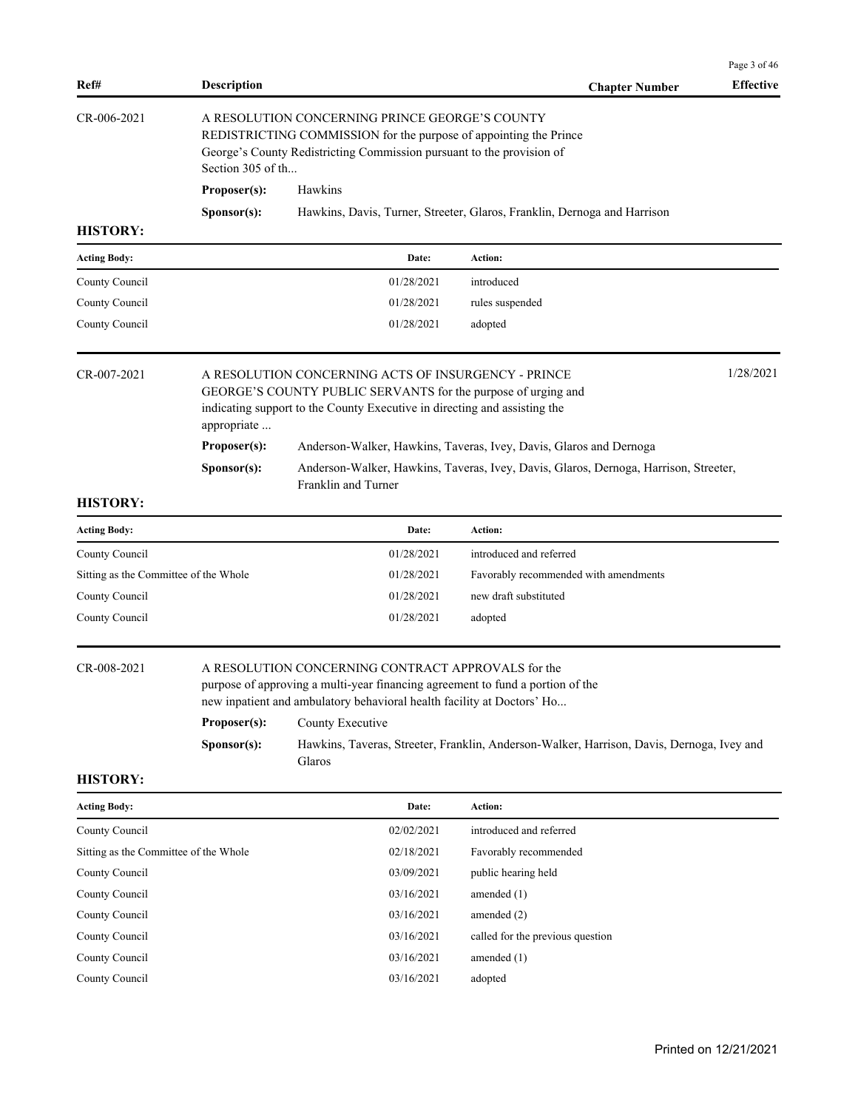|                                       |                                            |                                                                                                                                                                                                                                              |                                                                                                                                                            | Page 3 of 46     |
|---------------------------------------|--------------------------------------------|----------------------------------------------------------------------------------------------------------------------------------------------------------------------------------------------------------------------------------------------|------------------------------------------------------------------------------------------------------------------------------------------------------------|------------------|
| Ref#                                  | <b>Description</b>                         |                                                                                                                                                                                                                                              | <b>Chapter Number</b>                                                                                                                                      | <b>Effective</b> |
| CR-006-2021                           | Section 305 of th                          | A RESOLUTION CONCERNING PRINCE GEORGE'S COUNTY<br>REDISTRICTING COMMISSION for the purpose of appointing the Prince<br>George's County Redistricting Commission pursuant to the provision of                                                 |                                                                                                                                                            |                  |
|                                       | Proposer(s):                               | Hawkins                                                                                                                                                                                                                                      |                                                                                                                                                            |                  |
| <b>HISTORY:</b>                       | Sponsor(s):                                |                                                                                                                                                                                                                                              | Hawkins, Davis, Turner, Streeter, Glaros, Franklin, Dernoga and Harrison                                                                                   |                  |
| <b>Acting Body:</b>                   |                                            | Date:                                                                                                                                                                                                                                        | Action:                                                                                                                                                    |                  |
| County Council                        |                                            | 01/28/2021                                                                                                                                                                                                                                   | introduced                                                                                                                                                 |                  |
| County Council                        |                                            | 01/28/2021                                                                                                                                                                                                                                   | rules suspended                                                                                                                                            |                  |
| County Council                        |                                            | 01/28/2021                                                                                                                                                                                                                                   | adopted                                                                                                                                                    |                  |
| CR-007-2021                           | appropriate<br>Proposer(s):<br>Sponsor(s): | A RESOLUTION CONCERNING ACTS OF INSURGENCY - PRINCE<br>GEORGE'S COUNTY PUBLIC SERVANTS for the purpose of urging and<br>indicating support to the County Executive in directing and assisting the<br>Franklin and Turner                     | Anderson-Walker, Hawkins, Taveras, Ivey, Davis, Glaros and Dernoga<br>Anderson-Walker, Hawkins, Taveras, Ivey, Davis, Glaros, Dernoga, Harrison, Streeter, | 1/28/2021        |
| <b>HISTORY:</b>                       |                                            |                                                                                                                                                                                                                                              |                                                                                                                                                            |                  |
| <b>Acting Body:</b>                   |                                            | Date:                                                                                                                                                                                                                                        | Action:                                                                                                                                                    |                  |
| County Council                        |                                            | 01/28/2021                                                                                                                                                                                                                                   | introduced and referred                                                                                                                                    |                  |
| Sitting as the Committee of the Whole |                                            | 01/28/2021                                                                                                                                                                                                                                   | Favorably recommended with amendments                                                                                                                      |                  |
| County Council                        |                                            | 01/28/2021                                                                                                                                                                                                                                   | new draft substituted                                                                                                                                      |                  |
| County Council                        |                                            | 01/28/2021                                                                                                                                                                                                                                   | adopted                                                                                                                                                    |                  |
| CR-008-2021                           | Proposer(s):<br>Sponsor(s):                | A RESOLUTION CONCERNING CONTRACT APPROVALS for the<br>purpose of approving a multi-year financing agreement to fund a portion of the<br>new inpatient and ambulatory behavioral health facility at Doctors' Ho<br>County Executive<br>Glaros | Hawkins, Taveras, Streeter, Franklin, Anderson-Walker, Harrison, Davis, Dernoga, Ivey and                                                                  |                  |
| <b>HISTORY:</b>                       |                                            |                                                                                                                                                                                                                                              |                                                                                                                                                            |                  |
| Acting Body:                          |                                            | Date:                                                                                                                                                                                                                                        | <b>Action:</b>                                                                                                                                             |                  |
| County Council                        |                                            | 02/02/2021                                                                                                                                                                                                                                   | introduced and referred                                                                                                                                    |                  |
| Sitting as the Committee of the Whole |                                            | 02/18/2021                                                                                                                                                                                                                                   | Favorably recommended                                                                                                                                      |                  |
| County Council                        |                                            | 03/09/2021                                                                                                                                                                                                                                   | public hearing held                                                                                                                                        |                  |
| County Council                        |                                            | 03/16/2021                                                                                                                                                                                                                                   | amended $(1)$                                                                                                                                              |                  |
| County Council                        |                                            | 03/16/2021                                                                                                                                                                                                                                   | amended (2)                                                                                                                                                |                  |
| County Council                        |                                            | 03/16/2021                                                                                                                                                                                                                                   | called for the previous question                                                                                                                           |                  |
| County Council                        |                                            | 03/16/2021                                                                                                                                                                                                                                   | amended $(1)$                                                                                                                                              |                  |
| County Council                        |                                            | 03/16/2021                                                                                                                                                                                                                                   | adopted                                                                                                                                                    |                  |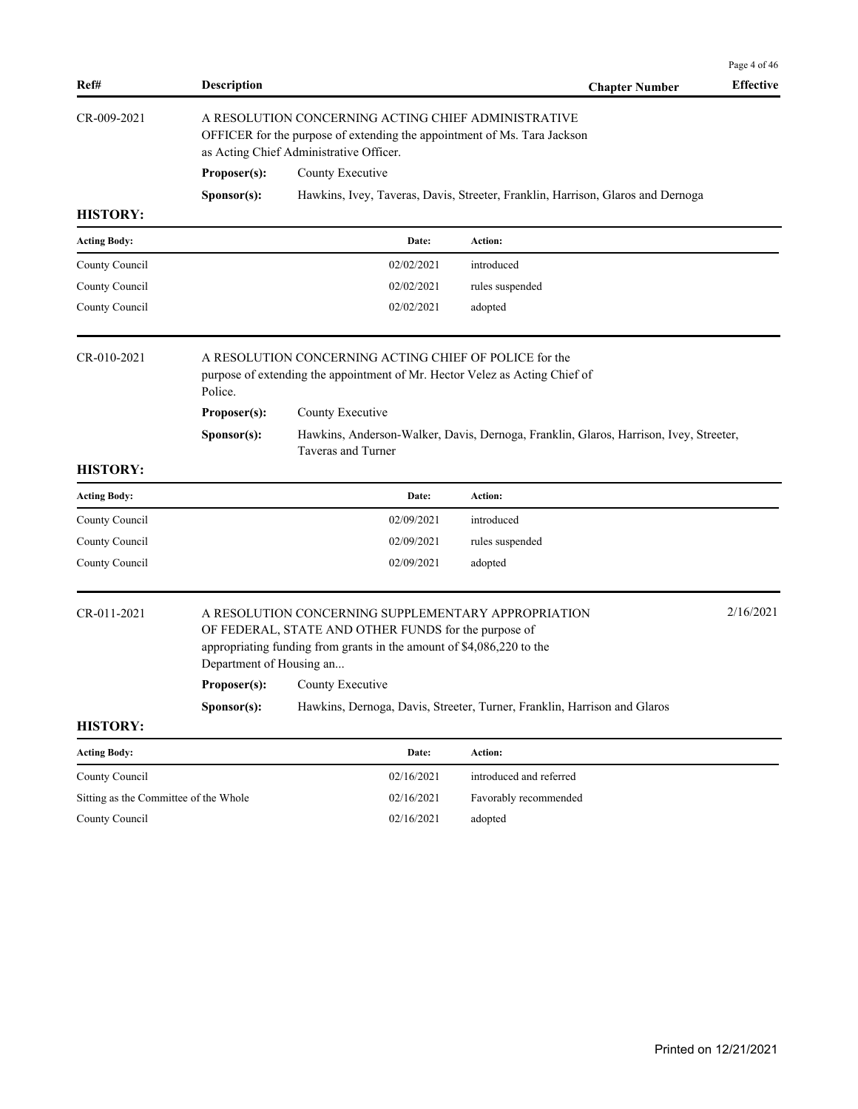|                                       |                                                                                                                                                                            |                                                                                                                                                                                                                              |                                                                                       | Page 4 of 46     |  |  |
|---------------------------------------|----------------------------------------------------------------------------------------------------------------------------------------------------------------------------|------------------------------------------------------------------------------------------------------------------------------------------------------------------------------------------------------------------------------|---------------------------------------------------------------------------------------|------------------|--|--|
| Ref#                                  | <b>Description</b>                                                                                                                                                         |                                                                                                                                                                                                                              | <b>Chapter Number</b>                                                                 | <b>Effective</b> |  |  |
| CR-009-2021                           | A RESOLUTION CONCERNING ACTING CHIEF ADMINISTRATIVE<br>OFFICER for the purpose of extending the appointment of Ms. Tara Jackson<br>as Acting Chief Administrative Officer. |                                                                                                                                                                                                                              |                                                                                       |                  |  |  |
|                                       | Proposer(s):                                                                                                                                                               | County Executive                                                                                                                                                                                                             |                                                                                       |                  |  |  |
|                                       | Sponsor(s):                                                                                                                                                                |                                                                                                                                                                                                                              | Hawkins, Ivey, Taveras, Davis, Streeter, Franklin, Harrison, Glaros and Dernoga       |                  |  |  |
| <b>HISTORY:</b>                       |                                                                                                                                                                            |                                                                                                                                                                                                                              |                                                                                       |                  |  |  |
| <b>Acting Body:</b>                   |                                                                                                                                                                            | Date:                                                                                                                                                                                                                        | Action:                                                                               |                  |  |  |
| County Council                        |                                                                                                                                                                            | 02/02/2021                                                                                                                                                                                                                   | introduced                                                                            |                  |  |  |
| County Council                        |                                                                                                                                                                            | 02/02/2021                                                                                                                                                                                                                   | rules suspended                                                                       |                  |  |  |
| County Council                        |                                                                                                                                                                            | 02/02/2021                                                                                                                                                                                                                   | adopted                                                                               |                  |  |  |
| $CR - 010 - 2021$                     | Police.<br>Proposer(s):<br>Sponsor(s):                                                                                                                                     | A RESOLUTION CONCERNING ACTING CHIEF OF POLICE for the<br>purpose of extending the appointment of Mr. Hector Velez as Acting Chief of<br>County Executive                                                                    | Hawkins, Anderson-Walker, Davis, Dernoga, Franklin, Glaros, Harrison, Ivey, Streeter, |                  |  |  |
|                                       |                                                                                                                                                                            | Taveras and Turner                                                                                                                                                                                                           |                                                                                       |                  |  |  |
| <b>HISTORY:</b>                       |                                                                                                                                                                            |                                                                                                                                                                                                                              |                                                                                       |                  |  |  |
| <b>Acting Body:</b>                   |                                                                                                                                                                            | Date:                                                                                                                                                                                                                        | Action:                                                                               |                  |  |  |
| County Council                        |                                                                                                                                                                            | 02/09/2021                                                                                                                                                                                                                   | introduced                                                                            |                  |  |  |
| County Council                        |                                                                                                                                                                            | 02/09/2021                                                                                                                                                                                                                   | rules suspended                                                                       |                  |  |  |
| County Council                        |                                                                                                                                                                            | 02/09/2021                                                                                                                                                                                                                   | adopted                                                                               |                  |  |  |
| CR-011-2021                           | Department of Housing an<br>Sponsor(s):                                                                                                                                    | A RESOLUTION CONCERNING SUPPLEMENTARY APPROPRIATION<br>OF FEDERAL, STATE AND OTHER FUNDS for the purpose of<br>appropriating funding from grants in the amount of \$4,086,220 to the<br><b>Proposer(s):</b> County Executive | Hawkins, Dernoga, Davis, Streeter, Turner, Franklin, Harrison and Glaros              | 2/16/2021        |  |  |
| <b>HISTORY:</b>                       |                                                                                                                                                                            |                                                                                                                                                                                                                              |                                                                                       |                  |  |  |
| <b>Acting Body:</b>                   |                                                                                                                                                                            | Date:                                                                                                                                                                                                                        | Action:                                                                               |                  |  |  |
| County Council                        |                                                                                                                                                                            | 02/16/2021                                                                                                                                                                                                                   | introduced and referred                                                               |                  |  |  |
| Sitting as the Committee of the Whole |                                                                                                                                                                            | 02/16/2021                                                                                                                                                                                                                   | Favorably recommended                                                                 |                  |  |  |
| County Council                        |                                                                                                                                                                            | 02/16/2021                                                                                                                                                                                                                   | adopted                                                                               |                  |  |  |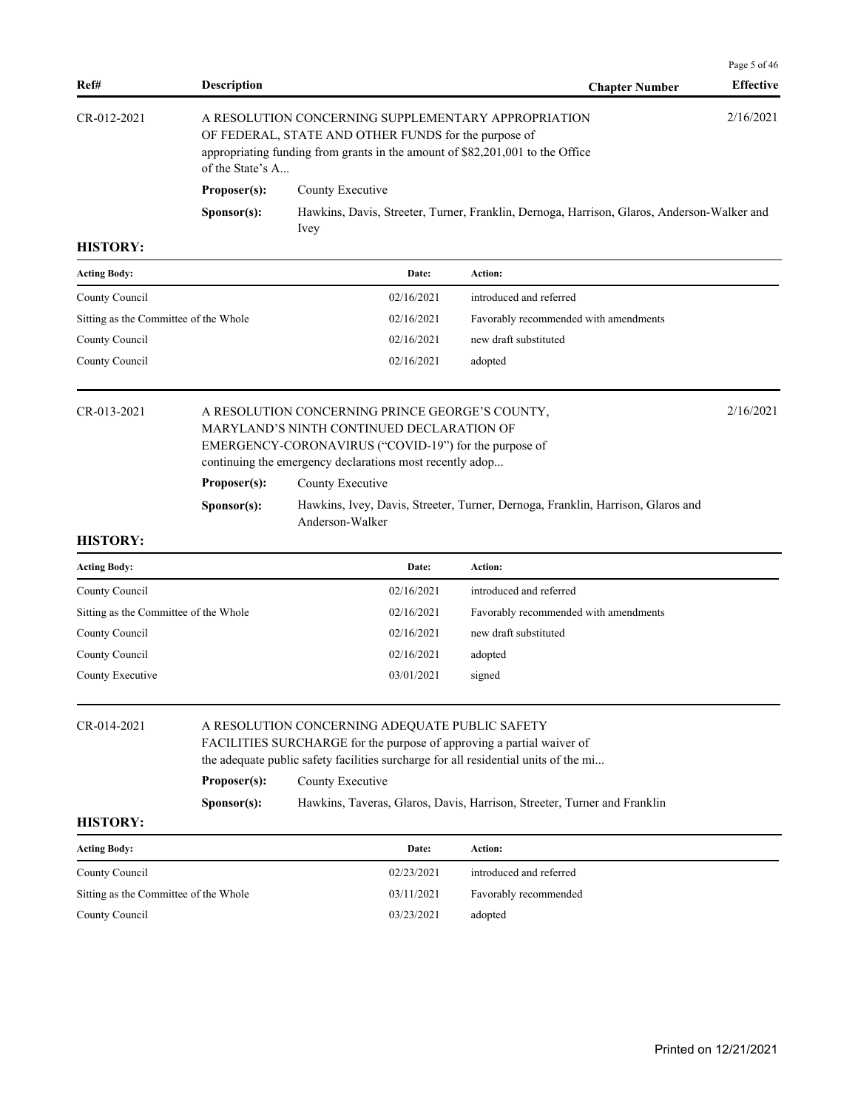|               |                      |                                                                                                                                                                                              | Page 5 of 46     |
|---------------|----------------------|----------------------------------------------------------------------------------------------------------------------------------------------------------------------------------------------|------------------|
| Ref#          | <b>Description</b>   | <b>Chapter Number</b>                                                                                                                                                                        | <b>Effective</b> |
| $CR-012-2021$ | of the State's A     | A RESOLUTION CONCERNING SUPPLEMENTARY APPROPRIATION<br>OF FEDERAL, STATE AND OTHER FUNDS for the purpose of<br>appropriating funding from grants in the amount of \$82,201,001 to the Office | 2/16/2021        |
|               | Proposer(s):         | County Executive                                                                                                                                                                             |                  |
|               | S <b>p</b> onsor(s): | Hawkins, Davis, Streeter, Turner, Franklin, Dernoga, Harrison, Glaros, Anderson-Walker and<br>Ivey                                                                                           |                  |

| <b>Acting Body:</b>                   | Date:      | Action:                               |
|---------------------------------------|------------|---------------------------------------|
| County Council                        | 02/16/2021 | introduced and referred               |
| Sitting as the Committee of the Whole | 02/16/2021 | Favorably recommended with amendments |
| County Council                        | 02/16/2021 | new draft substituted                 |
| County Council                        | 02/16/2021 | adopted                               |
|                                       |            |                                       |

# CR-013-2021 A RESOLUTION CONCERNING PRINCE GEORGE'S COUNTY, 2/16/2021 MARYLAND'S NINTH CONTINUED DECLARATION OF EMERGENCY-CORONAVIRUS ("COVID-19") for the purpose of continuing the emergency declarations most recently adop... **Proposer(s):** County Executive

**Sponsor(s):** Hawkins, Ivey, Davis, Streeter, Turner, Dernoga, Franklin, Harrison, Glaros and Anderson-Walker

### **HISTORY:**

| <b>Acting Body:</b>                   | Date:      | Action:                               |
|---------------------------------------|------------|---------------------------------------|
| County Council                        | 02/16/2021 | introduced and referred               |
| Sitting as the Committee of the Whole | 02/16/2021 | Favorably recommended with amendments |
| County Council                        | 02/16/2021 | new draft substituted                 |
| County Council                        | 02/16/2021 | adopted                               |
| County Executive                      | 03/01/2021 | signed                                |
|                                       |            |                                       |

#### CR-014-2021 A RESOLUTION CONCERNING ADEQUATE PUBLIC SAFETY

FACILITIES SURCHARGE for the purpose of approving a partial waiver of the adequate public safety facilities surcharge for all residential units of the mi...

# Proposer(s): County Executive

**Sponsor(s):** Hawkins, Taveras, Glaros, Davis, Harrison, Streeter, Turner and Franklin

| <b>Acting Body:</b>                   | Date:      | Action:                 |
|---------------------------------------|------------|-------------------------|
| County Council                        | 02/23/2021 | introduced and referred |
| Sitting as the Committee of the Whole | 03/11/2021 | Favorably recommended   |
| County Council                        | 03/23/2021 | adopted                 |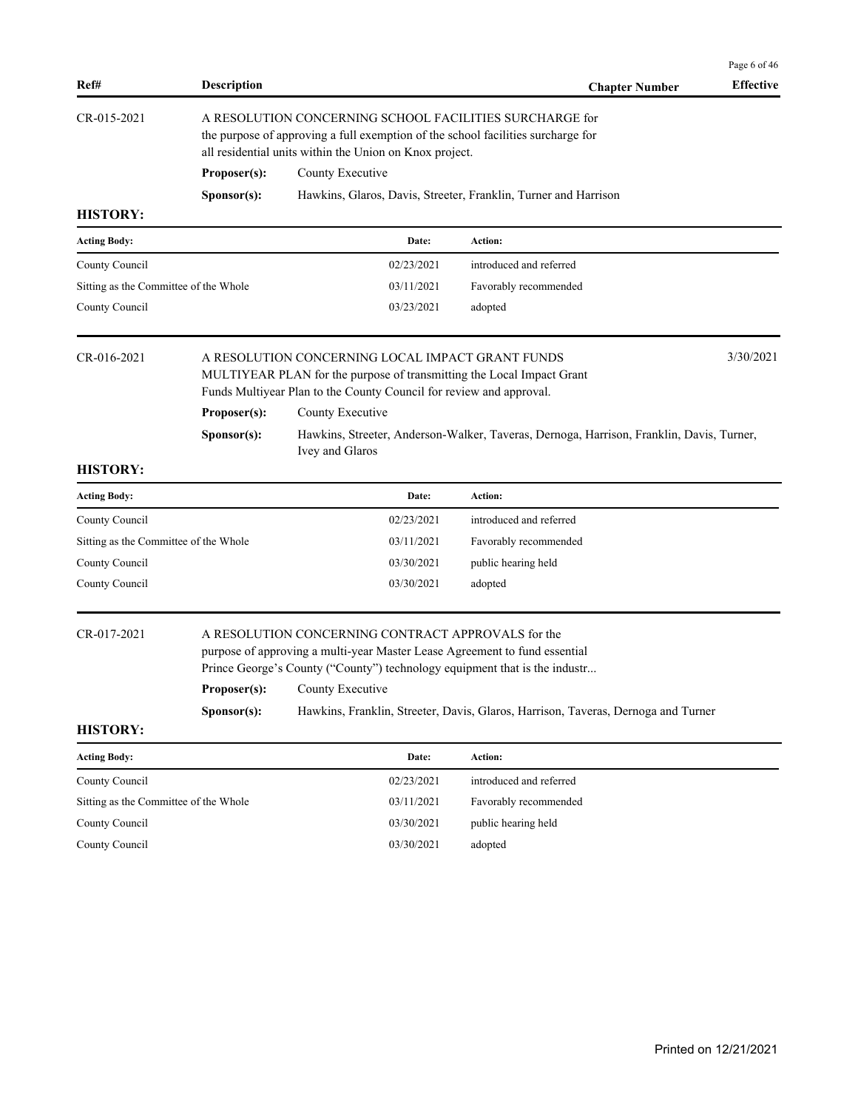| Ref#                                  | <b>Description</b> |                                                                                                                                                                                                                                    | <b>Chapter Number</b>                                                                    | Page 6 of 46<br><b>Effective</b> |
|---------------------------------------|--------------------|------------------------------------------------------------------------------------------------------------------------------------------------------------------------------------------------------------------------------------|------------------------------------------------------------------------------------------|----------------------------------|
| CR-015-2021                           |                    | A RESOLUTION CONCERNING SCHOOL FACILITIES SURCHARGE for<br>the purpose of approving a full exemption of the school facilities surcharge for<br>all residential units within the Union on Knox project.                             |                                                                                          |                                  |
|                                       | Proposer(s):       | County Executive                                                                                                                                                                                                                   |                                                                                          |                                  |
|                                       | Sponsor(s):        |                                                                                                                                                                                                                                    | Hawkins, Glaros, Davis, Streeter, Franklin, Turner and Harrison                          |                                  |
| <b>HISTORY:</b>                       |                    |                                                                                                                                                                                                                                    |                                                                                          |                                  |
| <b>Acting Body:</b>                   |                    | Date:                                                                                                                                                                                                                              | Action:                                                                                  |                                  |
| County Council                        |                    | 02/23/2021                                                                                                                                                                                                                         | introduced and referred                                                                  |                                  |
| Sitting as the Committee of the Whole |                    | 03/11/2021                                                                                                                                                                                                                         | Favorably recommended                                                                    |                                  |
| County Council                        |                    | 03/23/2021                                                                                                                                                                                                                         | adopted                                                                                  |                                  |
| CR-016-2021                           | Proposer(s):       | A RESOLUTION CONCERNING LOCAL IMPACT GRANT FUNDS<br>MULTIYEAR PLAN for the purpose of transmitting the Local Impact Grant<br>Funds Multiyear Plan to the County Council for review and approval.<br>County Executive               |                                                                                          | 3/30/2021                        |
|                                       | Sponsor(s):        |                                                                                                                                                                                                                                    | Hawkins, Streeter, Anderson-Walker, Taveras, Dernoga, Harrison, Franklin, Davis, Turner, |                                  |
|                                       |                    | Ivey and Glaros                                                                                                                                                                                                                    |                                                                                          |                                  |
| <b>HISTORY:</b>                       |                    |                                                                                                                                                                                                                                    |                                                                                          |                                  |
| <b>Acting Body:</b>                   |                    | Date:                                                                                                                                                                                                                              | Action:                                                                                  |                                  |
| County Council                        |                    | 02/23/2021                                                                                                                                                                                                                         | introduced and referred                                                                  |                                  |
| Sitting as the Committee of the Whole |                    | 03/11/2021                                                                                                                                                                                                                         | Favorably recommended                                                                    |                                  |
| County Council                        |                    | 03/30/2021                                                                                                                                                                                                                         | public hearing held                                                                      |                                  |
| County Council                        |                    | 03/30/2021                                                                                                                                                                                                                         | adopted                                                                                  |                                  |
| CR-017-2021                           | Proposer(s):       | A RESOLUTION CONCERNING CONTRACT APPROVALS for the<br>purpose of approving a multi-year Master Lease Agreement to fund essential<br>Prince George's County ("County") technology equipment that is the industr<br>County Executive |                                                                                          |                                  |
|                                       | Sponsor(s):        |                                                                                                                                                                                                                                    | Hawkins, Franklin, Streeter, Davis, Glaros, Harrison, Taveras, Dernoga and Turner        |                                  |
| <b>HISTORY:</b>                       |                    |                                                                                                                                                                                                                                    |                                                                                          |                                  |
| <b>Acting Body:</b>                   |                    | Date:                                                                                                                                                                                                                              | Action:                                                                                  |                                  |
| County Council                        |                    | 02/23/2021                                                                                                                                                                                                                         | introduced and referred                                                                  |                                  |
| Sitting as the Committee of the Whole |                    | 03/11/2021                                                                                                                                                                                                                         | Favorably recommended                                                                    |                                  |
| County Council                        |                    | 03/30/2021                                                                                                                                                                                                                         | public hearing held                                                                      |                                  |
| County Council                        |                    | 03/30/2021                                                                                                                                                                                                                         | adopted                                                                                  |                                  |
|                                       |                    |                                                                                                                                                                                                                                    |                                                                                          |                                  |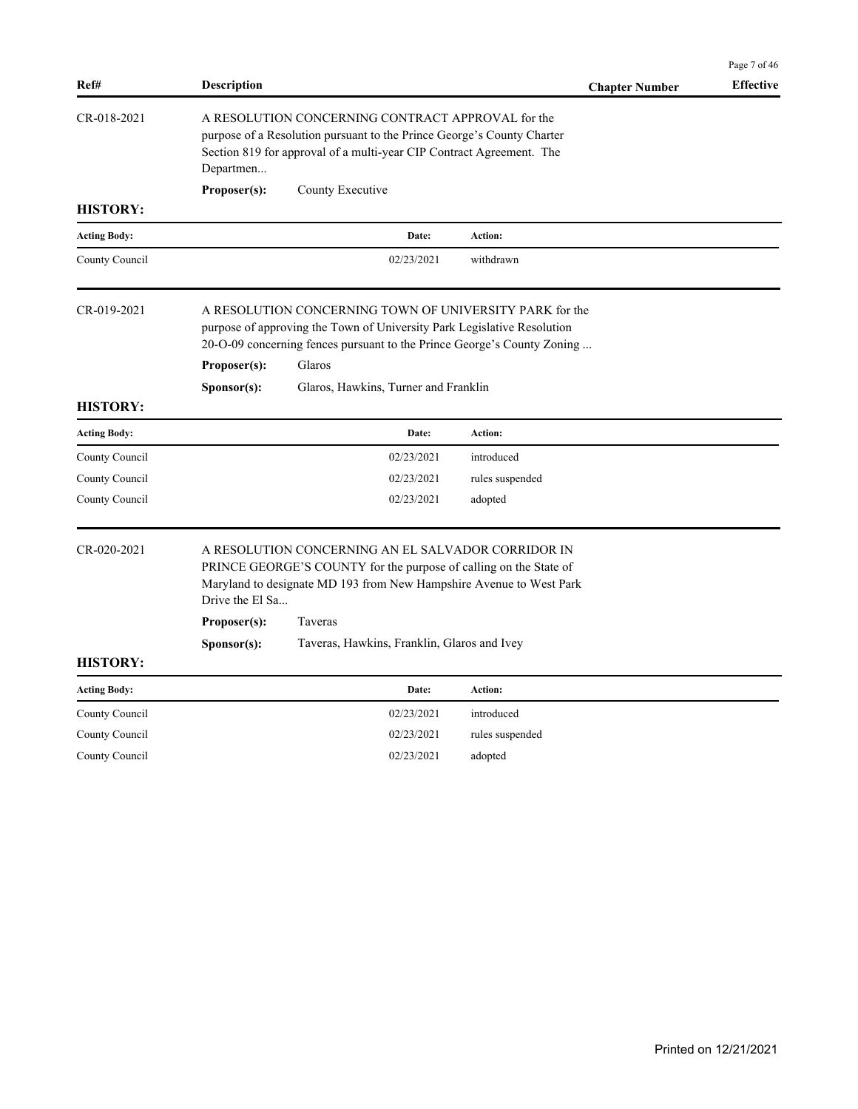|                     |                                 |                                                                                                                                                                                                                         |                       | Page 7 of 46     |
|---------------------|---------------------------------|-------------------------------------------------------------------------------------------------------------------------------------------------------------------------------------------------------------------------|-----------------------|------------------|
| Ref#                | <b>Description</b>              |                                                                                                                                                                                                                         | <b>Chapter Number</b> | <b>Effective</b> |
| CR-018-2021         | Departmen                       | A RESOLUTION CONCERNING CONTRACT APPROVAL for the<br>purpose of a Resolution pursuant to the Prince George's County Charter<br>Section 819 for approval of a multi-year CIP Contract Agreement. The                     |                       |                  |
| <b>HISTORY:</b>     | Proposer(s):                    | County Executive                                                                                                                                                                                                        |                       |                  |
| <b>Acting Body:</b> |                                 | Date:                                                                                                                                                                                                                   | Action:               |                  |
| County Council      |                                 | 02/23/2021                                                                                                                                                                                                              | withdrawn             |                  |
| CR-019-2021         | Proposer(s):                    | A RESOLUTION CONCERNING TOWN OF UNIVERSITY PARK for the<br>purpose of approving the Town of University Park Legislative Resolution<br>20-O-09 concerning fences pursuant to the Prince George's County Zoning<br>Glaros |                       |                  |
| <b>HISTORY:</b>     | S <b>p</b> onsor(s):            | Glaros, Hawkins, Turner and Franklin                                                                                                                                                                                    |                       |                  |
| <b>Acting Body:</b> |                                 | Date:                                                                                                                                                                                                                   | Action:               |                  |
| County Council      |                                 | 02/23/2021                                                                                                                                                                                                              | introduced            |                  |
| County Council      |                                 | 02/23/2021                                                                                                                                                                                                              | rules suspended       |                  |
| County Council      |                                 | 02/23/2021                                                                                                                                                                                                              | adopted               |                  |
| CR-020-2021         | Drive the El Sa<br>Proposer(s): | A RESOLUTION CONCERNING AN EL SALVADOR CORRIDOR IN<br>PRINCE GEORGE'S COUNTY for the purpose of calling on the State of<br>Maryland to designate MD 193 from New Hampshire Avenue to West Park<br>Taveras               |                       |                  |
|                     | S <b>p</b> onsor(s):            | Taveras, Hawkins, Franklin, Glaros and Ivey                                                                                                                                                                             |                       |                  |
| <b>HISTORY:</b>     |                                 |                                                                                                                                                                                                                         |                       |                  |
| <b>Acting Body:</b> |                                 | Date:                                                                                                                                                                                                                   | Action:               |                  |
| County Council      |                                 | 02/23/2021                                                                                                                                                                                                              | introduced            |                  |
| County Council      |                                 | 02/23/2021                                                                                                                                                                                                              | rules suspended       |                  |
| County Council      |                                 | 02/23/2021                                                                                                                                                                                                              | adopted               |                  |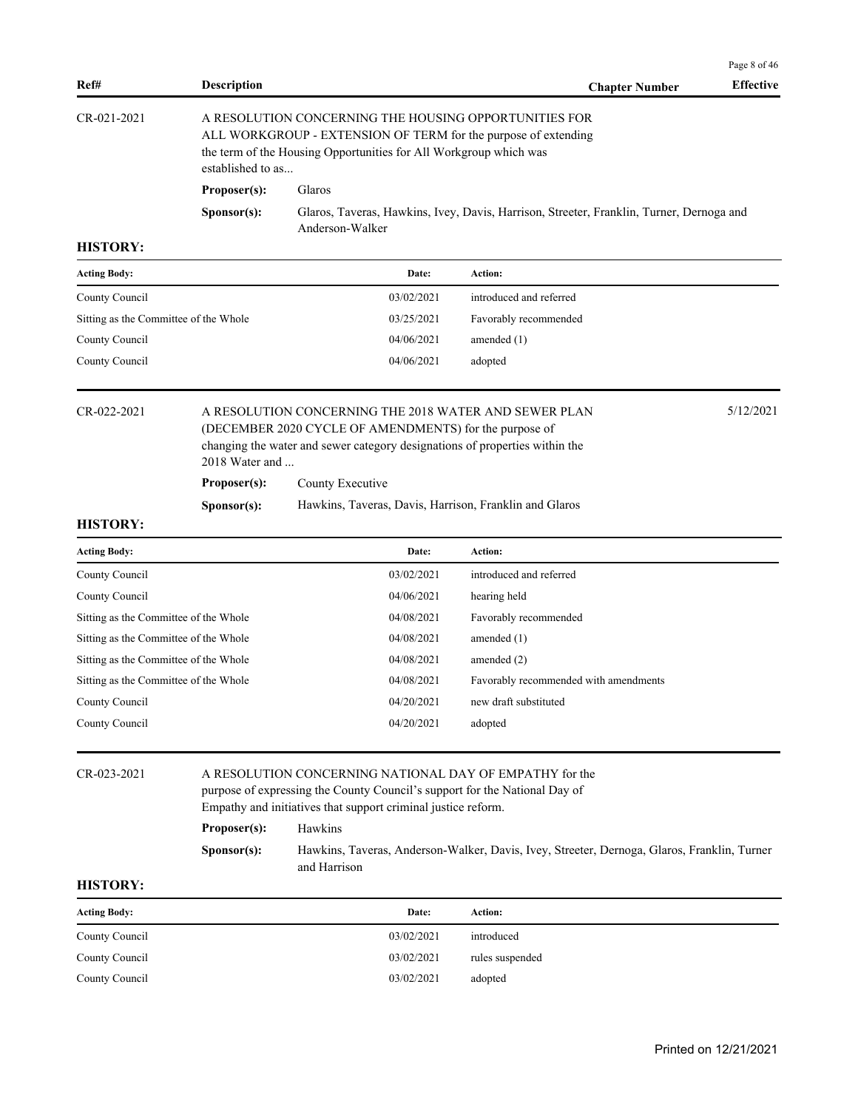| Ref#          | <b>Description</b>   |                                                                                                                                                                                              | <b>Chapter Number</b> | <b>Effective</b> |
|---------------|----------------------|----------------------------------------------------------------------------------------------------------------------------------------------------------------------------------------------|-----------------------|------------------|
| $CR-021-2021$ | established to as    | A RESOLUTION CONCERNING THE HOUSING OPPORTUNITIES FOR<br>ALL WORKGROUP - EXTENSION OF TERM for the purpose of extending<br>the term of the Housing Opportunities for All Workgroup which was |                       |                  |
|               | Proposer(s):         | <b>Glaros</b>                                                                                                                                                                                |                       |                  |
|               | S <b>p</b> onsor(s): | Glaros, Taveras, Hawkins, Ivey, Davis, Harrison, Streeter, Franklin, Turner, Dernoga and<br>Anderson-Walker                                                                                  |                       |                  |

| <b>Acting Body:</b>                   | Date:      | <b>Action:</b>          |
|---------------------------------------|------------|-------------------------|
| County Council                        | 03/02/2021 | introduced and referred |
| Sitting as the Committee of the Whole | 03/25/2021 | Favorably recommended   |
| County Council                        | 04/06/2021 | amended $(1)$           |
| County Council                        | 04/06/2021 | adopted                 |
|                                       |            |                         |

## CR-022-2021 A RESOLUTION CONCERNING THE 2018 WATER AND SEWER PLAN 5/12/2021 (DECEMBER 2020 CYCLE OF AMENDMENTS) for the purpose of changing the water and sewer category designations of properties within the 2018 Water and ...

**Proposer(s):** County Executive

**Sponsor(s):** Hawkins, Taveras, Davis, Harrison, Franklin and Glaros

### **HISTORY:**

| <b>Acting Body:</b>                   | Date:      | <b>Action:</b>                        |
|---------------------------------------|------------|---------------------------------------|
| County Council                        | 03/02/2021 | introduced and referred               |
| County Council                        | 04/06/2021 | hearing held                          |
| Sitting as the Committee of the Whole | 04/08/2021 | Favorably recommended                 |
| Sitting as the Committee of the Whole | 04/08/2021 | amended $(1)$                         |
| Sitting as the Committee of the Whole | 04/08/2021 | amended $(2)$                         |
| Sitting as the Committee of the Whole | 04/08/2021 | Favorably recommended with amendments |
| County Council                        | 04/20/2021 | new draft substituted                 |
| County Council                        | 04/20/2021 | adopted                               |

#### CR-023-2021 A RESOLUTION CONCERNING NATIONAL DAY OF EMPATHY for the

purpose of expressing the County Council's support for the National Day of Empathy and initiatives that support criminal justice reform.

#### **Proposer(s):** Hawkins

**Sponsor(s):** Hawkins, Taveras, Anderson-Walker, Davis, Ivey, Streeter, Dernoga, Glaros, Franklin, Turner and Harrison

### **HISTORY:**

| <b>Acting Body:</b> | Date:      | Action:         |
|---------------------|------------|-----------------|
| County Council      | 03/02/2021 | introduced      |
| County Council      | 03/02/2021 | rules suspended |
| County Council      | 03/02/2021 | adopted         |

Page 8 of 46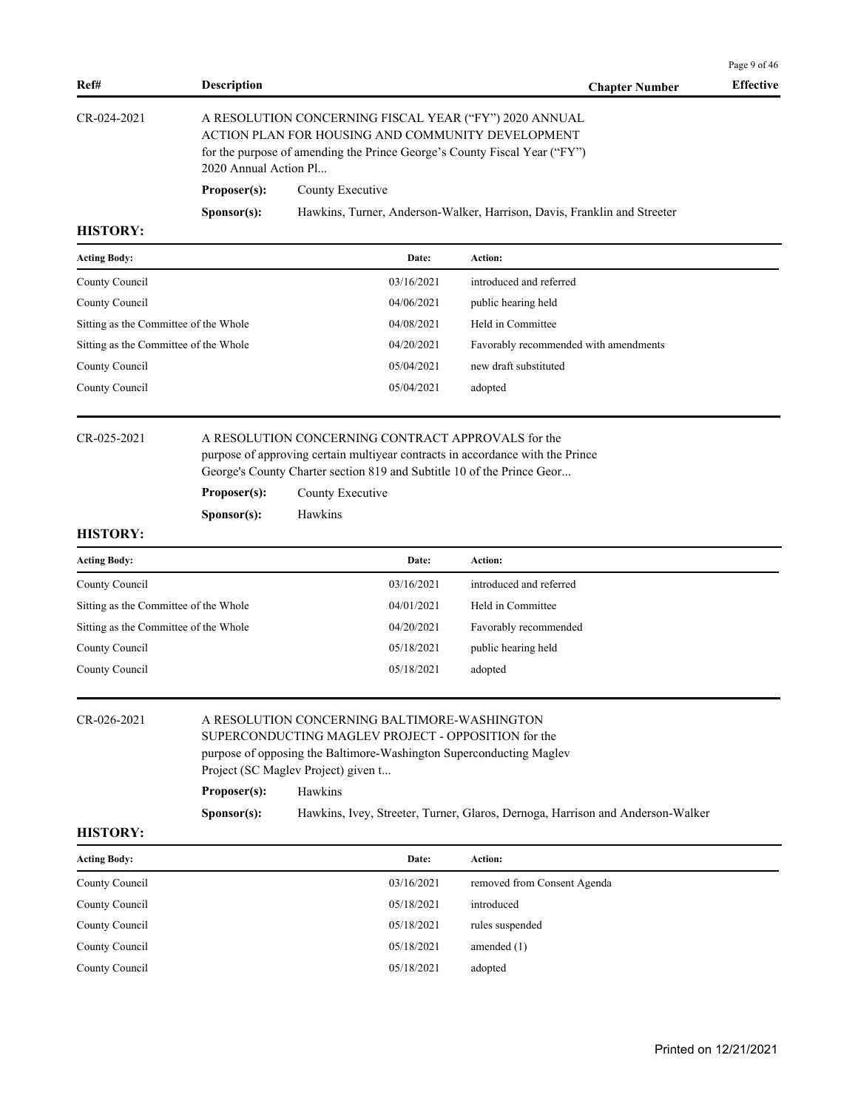|                                       |                       |                                                                                                                                                                                                                |                                                                          | Page 9 of 46     |
|---------------------------------------|-----------------------|----------------------------------------------------------------------------------------------------------------------------------------------------------------------------------------------------------------|--------------------------------------------------------------------------|------------------|
| Ref#                                  | <b>Description</b>    |                                                                                                                                                                                                                | <b>Chapter Number</b>                                                    | <b>Effective</b> |
| CR-024-2021                           | 2020 Annual Action Pl | A RESOLUTION CONCERNING FISCAL YEAR ("FY") 2020 ANNUAL<br>ACTION PLAN FOR HOUSING AND COMMUNITY DEVELOPMENT<br>for the purpose of amending the Prince George's County Fiscal Year ("FY")                       |                                                                          |                  |
|                                       | Proposer(s):          | County Executive                                                                                                                                                                                               |                                                                          |                  |
|                                       | S <b>p</b> onsor(s):  |                                                                                                                                                                                                                | Hawkins, Turner, Anderson-Walker, Harrison, Davis, Franklin and Streeter |                  |
| <b>HISTORY:</b>                       |                       |                                                                                                                                                                                                                |                                                                          |                  |
| <b>Acting Body:</b>                   |                       | Date:                                                                                                                                                                                                          | Action:                                                                  |                  |
| County Council                        |                       | 03/16/2021                                                                                                                                                                                                     | introduced and referred                                                  |                  |
| County Council                        |                       | 04/06/2021                                                                                                                                                                                                     | public hearing held                                                      |                  |
| Sitting as the Committee of the Whole |                       | 04/08/2021                                                                                                                                                                                                     | Held in Committee                                                        |                  |
| Sitting as the Committee of the Whole |                       | 04/20/2021                                                                                                                                                                                                     | Favorably recommended with amendments                                    |                  |
| County Council                        |                       | 05/04/2021                                                                                                                                                                                                     | new draft substituted                                                    |                  |
| County Council                        |                       | 05/04/2021                                                                                                                                                                                                     | adopted                                                                  |                  |
| CR-025-2021                           |                       | A RESOLUTION CONCERNING CONTRACT APPROVALS for the<br>purpose of approving certain multiyear contracts in accordance with the Prince<br>George's County Charter section 819 and Subtitle 10 of the Prince Geor |                                                                          |                  |
|                                       | Proposer(s):          | County Executive                                                                                                                                                                                               |                                                                          |                  |
|                                       | S <b>p</b> onsor(s):  | Hawkins                                                                                                                                                                                                        |                                                                          |                  |
| HICTODV.                              |                       |                                                                                                                                                                                                                |                                                                          |                  |

| <b>Acting Body:</b>                   | Date:      | Action:                 |
|---------------------------------------|------------|-------------------------|
| County Council                        | 03/16/2021 | introduced and referred |
| Sitting as the Committee of the Whole | 04/01/2021 | Held in Committee       |
| Sitting as the Committee of the Whole | 04/20/2021 | Favorably recommended   |
| County Council                        | 05/18/2021 | public hearing held     |
| County Council                        | 05/18/2021 | adopted                 |

# CR-026-2021 A RESOLUTION CONCERNING BALTIMORE-WASHINGTON

SUPERCONDUCTING MAGLEV PROJECT - OPPOSITION for the purpose of opposing the Baltimore-Washington Superconducting Maglev Project (SC Maglev Project) given t...

| Proposer(s):         | Hawkins                                                                        |
|----------------------|--------------------------------------------------------------------------------|
| S <b>p</b> onsor(s): | Hawkins, Ivey, Streeter, Turner, Glaros, Dernoga, Harrison and Anderson-Walker |

| <b>Acting Body:</b> | Date:      | Action:                     |
|---------------------|------------|-----------------------------|
| County Council      | 03/16/2021 | removed from Consent Agenda |
| County Council      | 05/18/2021 | introduced                  |
| County Council      | 05/18/2021 | rules suspended             |
| County Council      | 05/18/2021 | amended $(1)$               |
| County Council      | 05/18/2021 | adopted                     |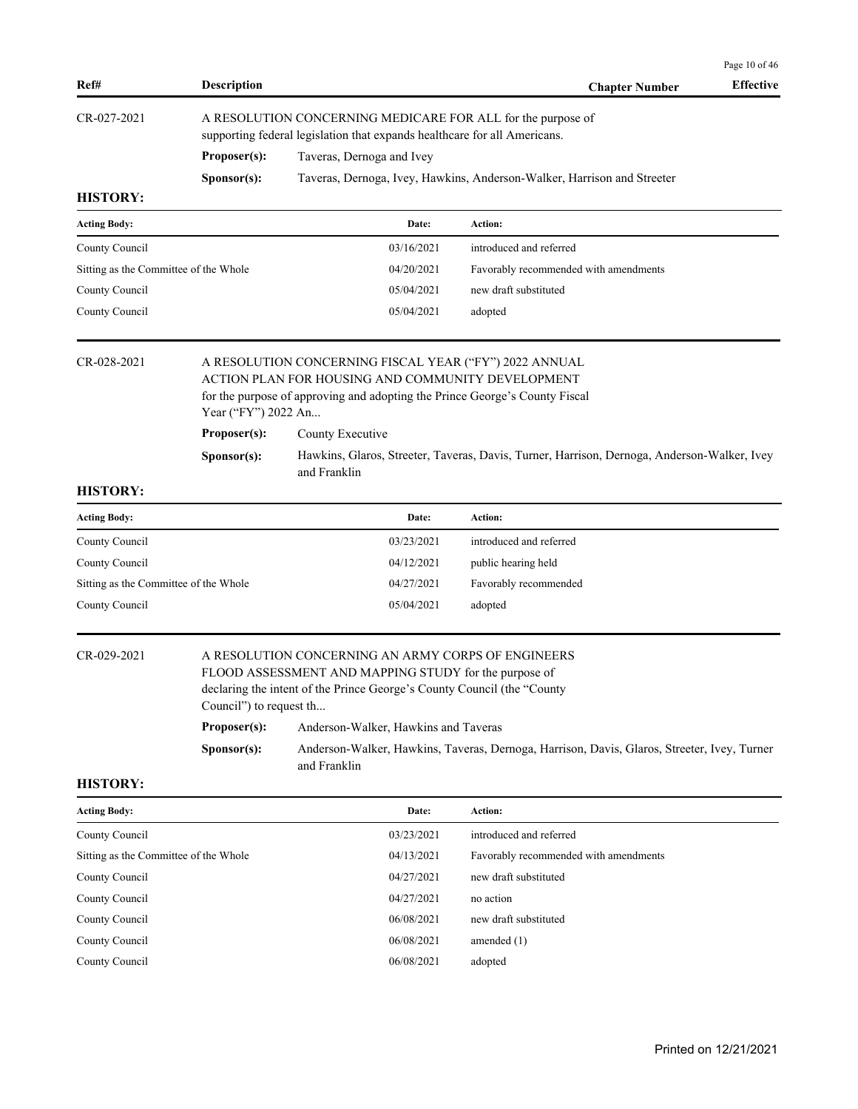| Ref#                                  | <b>Description</b>                                                                                                                       |                                                                                                                                                                                            | <b>Chapter Number</b>                                                                       | <b>Effective</b> |
|---------------------------------------|------------------------------------------------------------------------------------------------------------------------------------------|--------------------------------------------------------------------------------------------------------------------------------------------------------------------------------------------|---------------------------------------------------------------------------------------------|------------------|
| CR-027-2021                           | A RESOLUTION CONCERNING MEDICARE FOR ALL for the purpose of<br>supporting federal legislation that expands healthcare for all Americans. |                                                                                                                                                                                            |                                                                                             |                  |
|                                       | Proposer(s):                                                                                                                             | Taveras, Dernoga and Ivey                                                                                                                                                                  |                                                                                             |                  |
|                                       | S <b>p</b> onsor(s):                                                                                                                     |                                                                                                                                                                                            | Taveras, Dernoga, Ivey, Hawkins, Anderson-Walker, Harrison and Streeter                     |                  |
| <b>HISTORY:</b>                       |                                                                                                                                          |                                                                                                                                                                                            |                                                                                             |                  |
| <b>Acting Body:</b>                   |                                                                                                                                          | Date:                                                                                                                                                                                      | Action:                                                                                     |                  |
| County Council                        |                                                                                                                                          | 03/16/2021                                                                                                                                                                                 | introduced and referred                                                                     |                  |
| Sitting as the Committee of the Whole |                                                                                                                                          | 04/20/2021                                                                                                                                                                                 | Favorably recommended with amendments                                                       |                  |
| County Council                        |                                                                                                                                          | 05/04/2021                                                                                                                                                                                 | new draft substituted                                                                       |                  |
| County Council                        |                                                                                                                                          | 05/04/2021                                                                                                                                                                                 | adopted                                                                                     |                  |
| CR-028-2021                           | Year ("FY") 2022 An                                                                                                                      | A RESOLUTION CONCERNING FISCAL YEAR ("FY") 2022 ANNUAL<br>ACTION PLAN FOR HOUSING AND COMMUNITY DEVELOPMENT<br>for the purpose of approving and adopting the Prince George's County Fiscal |                                                                                             |                  |
|                                       | Proposer(s):                                                                                                                             | County Executive                                                                                                                                                                           |                                                                                             |                  |
|                                       | S <b>p</b> onsor(s):                                                                                                                     | and Franklin                                                                                                                                                                               | Hawkins, Glaros, Streeter, Taveras, Davis, Turner, Harrison, Dernoga, Anderson-Walker, Ivey |                  |
| <b>HISTORY:</b>                       |                                                                                                                                          |                                                                                                                                                                                            |                                                                                             |                  |
| Acting Body:                          |                                                                                                                                          | Date:                                                                                                                                                                                      | Action:                                                                                     |                  |
| County Council                        |                                                                                                                                          | 03/23/2021                                                                                                                                                                                 | introduced and referred                                                                     |                  |
| County Council                        |                                                                                                                                          | 04/12/2021                                                                                                                                                                                 | public hearing held                                                                         |                  |
| Sitting as the Committee of the Whole |                                                                                                                                          | 04/27/2021                                                                                                                                                                                 | Favorably recommended                                                                       |                  |
| County Council                        |                                                                                                                                          | 05/04/2021                                                                                                                                                                                 | adopted                                                                                     |                  |
| CR-029-2021                           | Council") to request th                                                                                                                  | A RESOLUTION CONCERNING AN ARMY CORPS OF ENGINEERS<br>FLOOD ASSESSMENT AND MAPPING STUDY for the purpose of<br>declaring the intent of the Prince George's County Council (the "County     |                                                                                             |                  |
|                                       | Proposer(s):                                                                                                                             | Anderson-Walker, Hawkins and Taveras                                                                                                                                                       |                                                                                             |                  |
|                                       | Sponsor(s):                                                                                                                              | and Franklin                                                                                                                                                                               | Anderson-Walker, Hawkins, Taveras, Dernoga, Harrison, Davis, Glaros, Streeter, Ivey, Turner |                  |
| <b>HISTORY:</b>                       |                                                                                                                                          |                                                                                                                                                                                            |                                                                                             |                  |
| <b>Acting Body:</b>                   |                                                                                                                                          | Date:                                                                                                                                                                                      | Action:                                                                                     |                  |
| County Council                        |                                                                                                                                          | 03/23/2021                                                                                                                                                                                 | introduced and referred                                                                     |                  |
| Sitting as the Committee of the Whole |                                                                                                                                          | 04/13/2021                                                                                                                                                                                 | Favorably recommended with amendments                                                       |                  |
| County Council                        |                                                                                                                                          | 04/27/2021                                                                                                                                                                                 | new draft substituted                                                                       |                  |
| County Council                        |                                                                                                                                          | 04/27/2021                                                                                                                                                                                 | no action                                                                                   |                  |
| County Council                        |                                                                                                                                          | 06/08/2021                                                                                                                                                                                 | new draft substituted                                                                       |                  |
| County Council                        |                                                                                                                                          | 06/08/2021                                                                                                                                                                                 | amended $(1)$                                                                               |                  |
| County Council                        |                                                                                                                                          | 06/08/2021                                                                                                                                                                                 | adopted                                                                                     |                  |

Page 10 of 46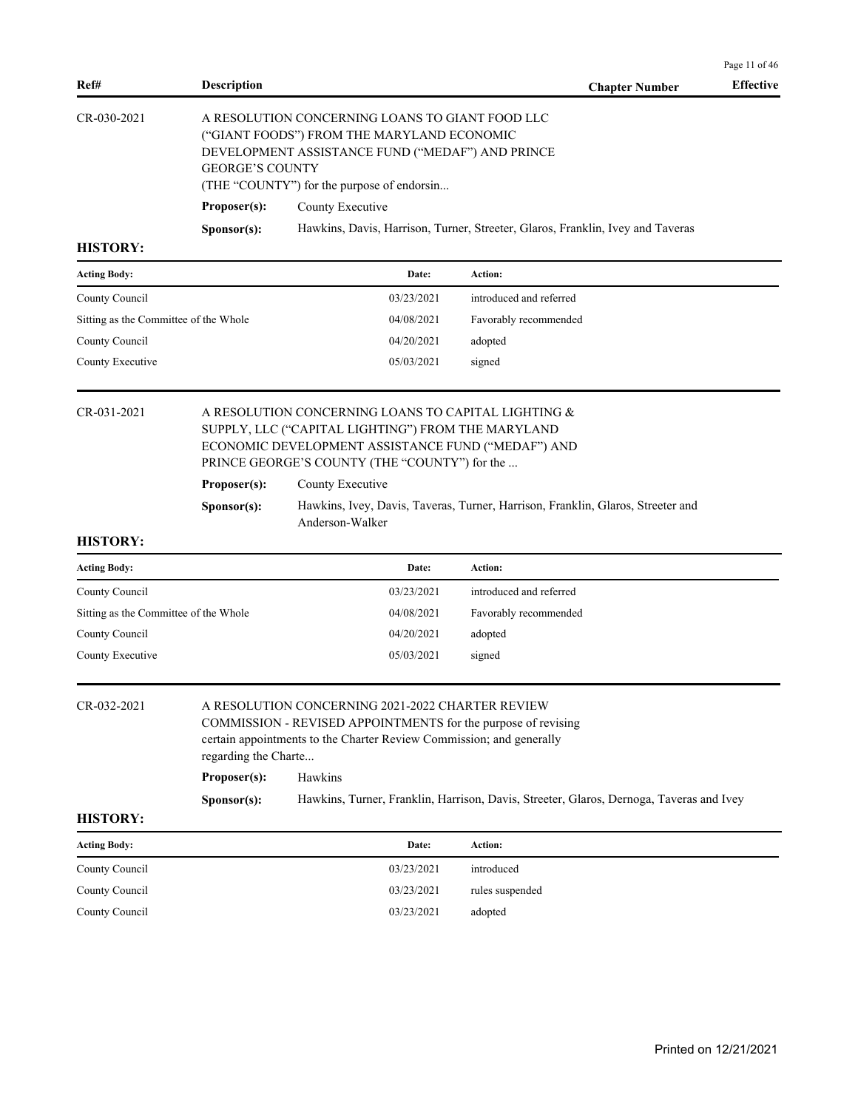| Ref#           | <b>Description</b>                               |                                                                                | <b>Chapter Number</b> | <b>Effective</b> |  |  |  |
|----------------|--------------------------------------------------|--------------------------------------------------------------------------------|-----------------------|------------------|--|--|--|
| CR-030-2021    |                                                  | A RESOLUTION CONCERNING LOANS TO GIANT FOOD LLC                                |                       |                  |  |  |  |
|                |                                                  | ("GIANT FOODS") FROM THE MARYLAND ECONOMIC                                     |                       |                  |  |  |  |
|                | DEVELOPMENT ASSISTANCE FUND ("MEDAF") AND PRINCE |                                                                                |                       |                  |  |  |  |
|                | <b>GEORGE'S COUNTY</b>                           |                                                                                |                       |                  |  |  |  |
|                |                                                  | (THE "COUNTY") for the purpose of endorsin                                     |                       |                  |  |  |  |
|                | Proposer(s):                                     | County Executive                                                               |                       |                  |  |  |  |
|                | S <b>p</b> onsor(s):                             | Hawkins, Davis, Harrison, Turner, Streeter, Glaros, Franklin, Ivey and Taveras |                       |                  |  |  |  |
| <b>HISTORY</b> |                                                  |                                                                                |                       |                  |  |  |  |

| <b>Acting Body:</b>                   | Date:      | Action:                 |
|---------------------------------------|------------|-------------------------|
| County Council                        | 03/23/2021 | introduced and referred |
| Sitting as the Committee of the Whole | 04/08/2021 | Favorably recommended   |
| County Council                        | 04/20/2021 | adopted                 |
| County Executive                      | 05/03/2021 | signed                  |

# CR-031-2021 A RESOLUTION CONCERNING LOANS TO CAPITAL LIGHTING & SUPPLY, LLC ("CAPITAL LIGHTING") FROM THE MARYLAND ECONOMIC DEVELOPMENT ASSISTANCE FUND ("MEDAF") AND PRINCE GEORGE'S COUNTY (THE "COUNTY") for the ...

#### **Proposer(s):** County Executive

# **Sponsor(s):** Hawkins, Ivey, Davis, Taveras, Turner, Harrison, Franklin, Glaros, Streeter and Anderson-Walker

#### **HISTORY:**

| <b>Acting Body:</b>                   | Date:      | Action:                 |
|---------------------------------------|------------|-------------------------|
| County Council                        | 03/23/2021 | introduced and referred |
| Sitting as the Committee of the Whole | 04/08/2021 | Favorably recommended   |
| County Council                        | 04/20/2021 | adopted                 |
| County Executive                      | 05/03/2021 | signed                  |

CR-032-2021 A RESOLUTION CONCERNING 2021-2022 CHARTER REVIEW COMMISSION - REVISED APPOINTMENTS for the purpose of revising

certain appointments to the Charter Review Commission; and generally

# regarding the Charte... **Proposer(s):** Hawkins

**Sponsor(s):** Hawkins, Turner, Franklin, Harrison, Davis, Streeter, Glaros, Dernoga, Taveras and Ivey

#### **HISTORY:**

| <b>Acting Body:</b> | Date:      | Action:         |
|---------------------|------------|-----------------|
| County Council      | 03/23/2021 | introduced      |
| County Council      | 03/23/2021 | rules suspended |
| County Council      | 03/23/2021 | adopted         |

Page 11 of 46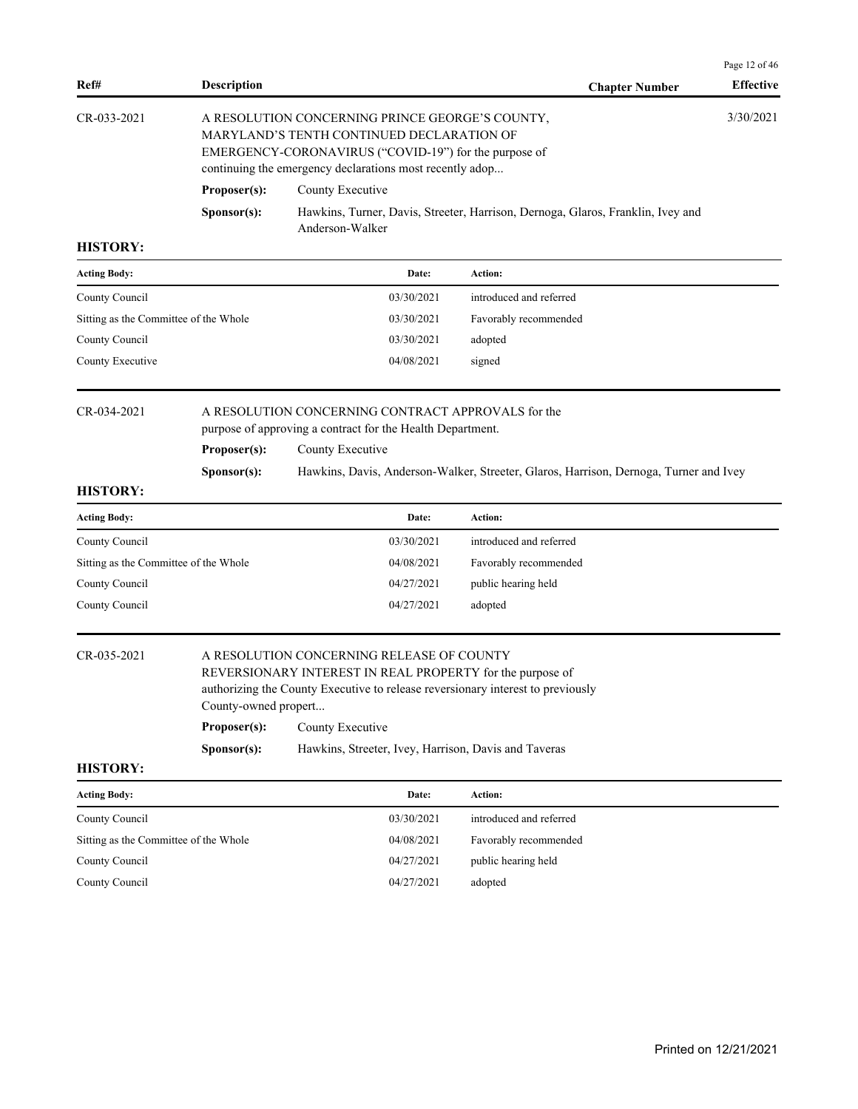|                    |                      |                                                                                                                                                                                                                   | Page 12 of 46    |  |
|--------------------|----------------------|-------------------------------------------------------------------------------------------------------------------------------------------------------------------------------------------------------------------|------------------|--|
| Ref#               | <b>Description</b>   | <b>Chapter Number</b>                                                                                                                                                                                             | <b>Effective</b> |  |
| $CR - 0.33 - 2021$ |                      | A RESOLUTION CONCERNING PRINCE GEORGE'S COUNTY,<br>MARYLAND'S TENTH CONTINUED DECLARATION OF<br>EMERGENCY-CORONAVIRUS ("COVID-19") for the purpose of<br>continuing the emergency declarations most recently adop | 3/30/2021        |  |
|                    | Proposer(s):         | County Executive                                                                                                                                                                                                  |                  |  |
|                    | S <b>p</b> onsor(s): | Hawkins, Turner, Davis, Streeter, Harrison, Dernoga, Glaros, Franklin, Ivey and<br>Anderson-Walker                                                                                                                |                  |  |

| Date:      | Action:                 |
|------------|-------------------------|
| 03/30/2021 | introduced and referred |
| 03/30/2021 | Favorably recommended   |
| 03/30/2021 | adopted                 |
| 04/08/2021 | signed                  |
|            |                         |

# CR-034-2021 A RESOLUTION CONCERNING CONTRACT APPROVALS for the

purpose of approving a contract for the Health Department.

**Proposer(s):** County Executive

**Sponsor(s):** Hawkins, Davis, Anderson-Walker, Streeter, Glaros, Harrison, Dernoga, Turner and Ivey

#### **HISTORY:**

| <b>Acting Body:</b>                   | Date:      | Action:                 |
|---------------------------------------|------------|-------------------------|
| County Council                        | 03/30/2021 | introduced and referred |
| Sitting as the Committee of the Whole | 04/08/2021 | Favorably recommended   |
| County Council                        | 04/27/2021 | public hearing held     |
| County Council                        | 04/27/2021 | adopted                 |

# CR-035-2021 A RESOLUTION CONCERNING RELEASE OF COUNTY

REVERSIONARY INTEREST IN REAL PROPERTY for the purpose of authorizing the County Executive to release reversionary interest to previously County-owned propert...

**Proposer(s):** County Executive **Sponsor(s):** Hawkins, Streeter, Ivey, Harrison, Davis and Taveras

| <b>Acting Body:</b>                   | Date:      | <b>Action:</b>          |
|---------------------------------------|------------|-------------------------|
| County Council                        | 03/30/2021 | introduced and referred |
| Sitting as the Committee of the Whole | 04/08/2021 | Favorably recommended   |
| County Council                        | 04/27/2021 | public hearing held     |
| County Council                        | 04/27/2021 | adopted                 |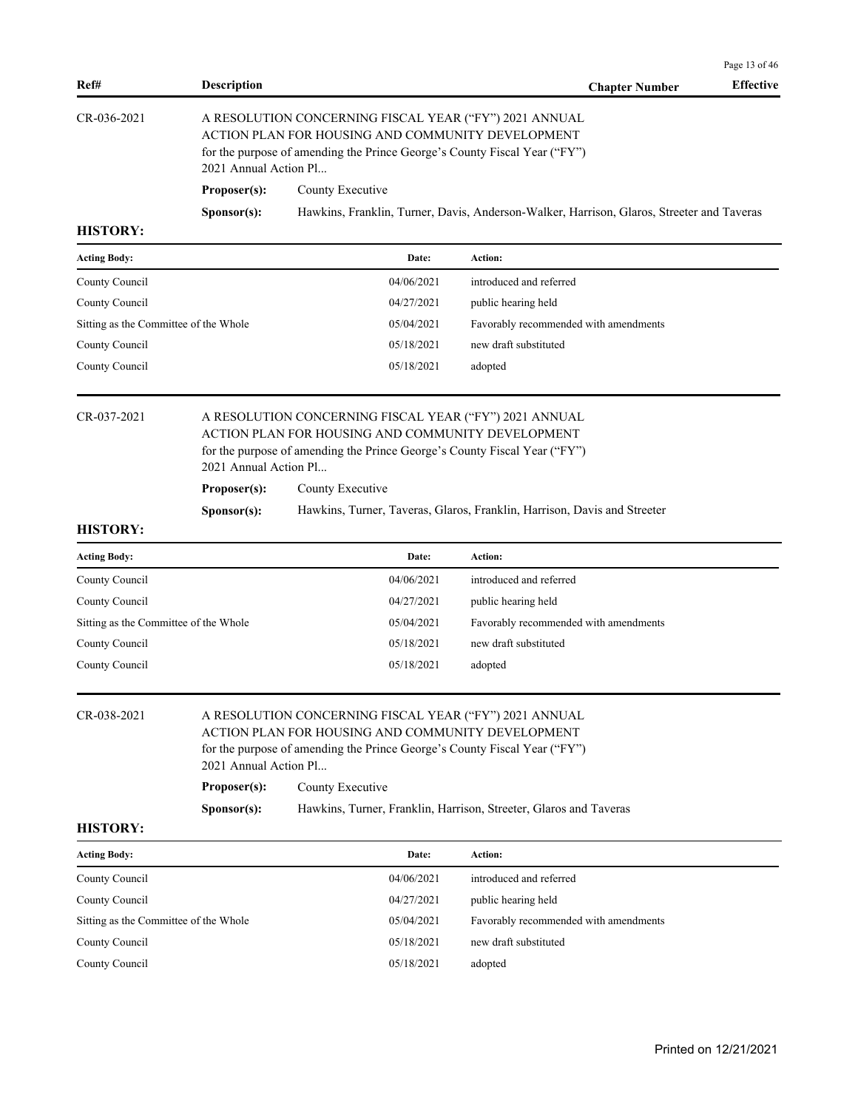| Ref#            | <b>Description</b>                                                                                                                                                                                                |                  | <b>Chapter Number</b> | <b>Effective</b> |  |
|-----------------|-------------------------------------------------------------------------------------------------------------------------------------------------------------------------------------------------------------------|------------------|-----------------------|------------------|--|
| CR-036-2021     | A RESOLUTION CONCERNING FISCAL YEAR ("FY") 2021 ANNUAL<br>ACTION PLAN FOR HOUSING AND COMMUNITY DEVELOPMENT<br>for the purpose of amending the Prince George's County Fiscal Year ("FY")<br>2021 Annual Action Pl |                  |                       |                  |  |
|                 | Proposer(s):                                                                                                                                                                                                      | County Executive |                       |                  |  |
|                 | Hawkins, Franklin, Turner, Davis, Anderson-Walker, Harrison, Glaros, Streeter and Taveras<br>S <b>p</b> onsor(s):                                                                                                 |                  |                       |                  |  |
| <b>HISTORY:</b> |                                                                                                                                                                                                                   |                  |                       |                  |  |

| <b>Acting Body:</b>                   | Date:      | Action:                               |
|---------------------------------------|------------|---------------------------------------|
| County Council                        | 04/06/2021 | introduced and referred               |
| County Council                        | 04/27/2021 | public hearing held                   |
| Sitting as the Committee of the Whole | 05/04/2021 | Favorably recommended with amendments |
| County Council                        | 05/18/2021 | new draft substituted                 |
| County Council                        | 05/18/2021 | adopted                               |

# CR-037-2021 A RESOLUTION CONCERNING FISCAL YEAR ("FY") 2021 ANNUAL ACTION PLAN FOR HOUSING AND COMMUNITY DEVELOPMENT for the purpose of amending the Prince George's County Fiscal Year ("FY")

2021 Annual Action Pl...

**Proposer(s):** County Executive

**Sponsor(s):** Hawkins, Turner, Taveras, Glaros, Franklin, Harrison, Davis and Streeter

#### **HISTORY:**

| Date:      | Action:                               |
|------------|---------------------------------------|
| 04/06/2021 | introduced and referred               |
| 04/27/2021 | public hearing held                   |
| 05/04/2021 | Favorably recommended with amendments |
| 05/18/2021 | new draft substituted                 |
| 05/18/2021 | adopted                               |
|            |                                       |

# CR-038-2021 A RESOLUTION CONCERNING FISCAL YEAR ("FY") 2021 ANNUAL

ACTION PLAN FOR HOUSING AND COMMUNITY DEVELOPMENT for the purpose of amending the Prince George's County Fiscal Year ("FY") 2021 Annual Action Pl...

| Proposer(s): | County Executive |
|--------------|------------------|
|--------------|------------------|

| Sponsor(s): |  | Hawkins, Turner, Franklin, Harrison, Streeter, Glaros and Taveras |  |  |
|-------------|--|-------------------------------------------------------------------|--|--|
|-------------|--|-------------------------------------------------------------------|--|--|

#### **HISTORY:**

| <b>Acting Body:</b>                   | Date:      | Action:                               |
|---------------------------------------|------------|---------------------------------------|
| County Council                        | 04/06/2021 | introduced and referred               |
| County Council                        | 04/27/2021 | public hearing held                   |
| Sitting as the Committee of the Whole | 05/04/2021 | Favorably recommended with amendments |
| County Council                        | 05/18/2021 | new draft substituted                 |
| County Council                        | 05/18/2021 | adopted                               |

Page 13 of 46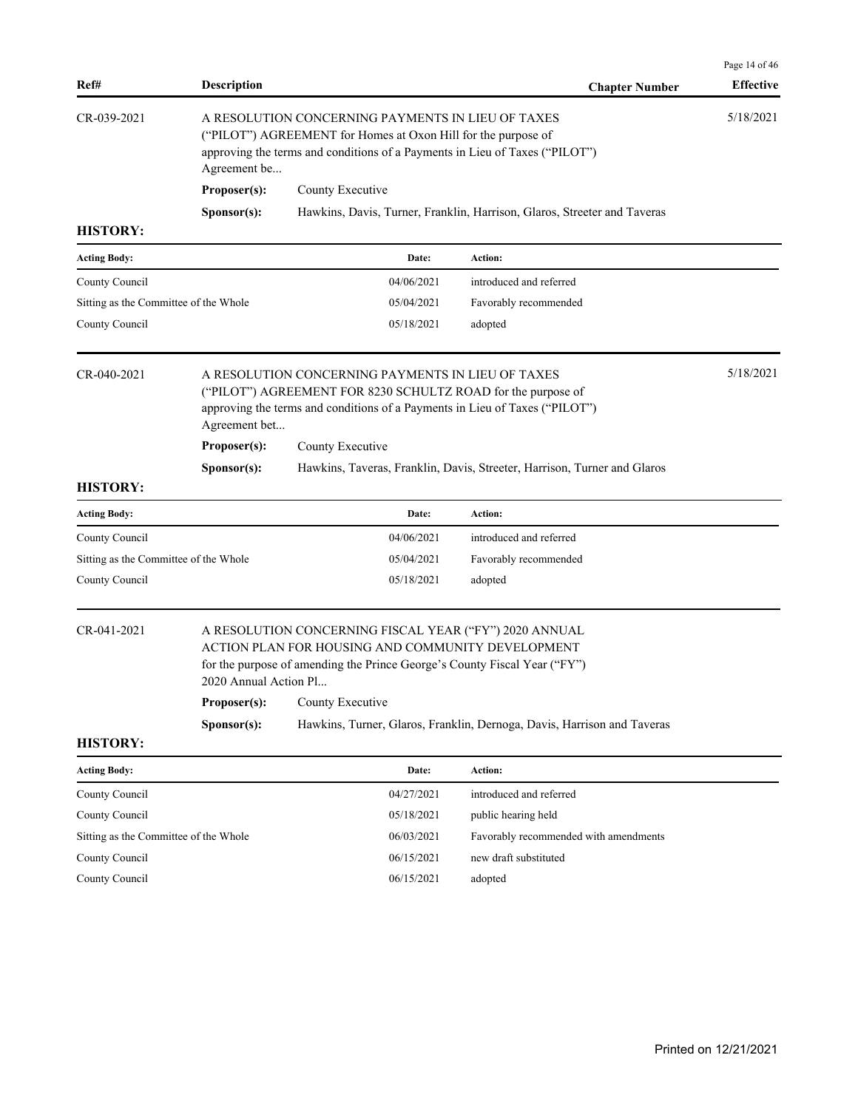| Ref#                                  | <b>Description</b>    |                                                                                                                                                                                                   | <b>Chapter Number</b>                                                    | <b>Effective</b> |
|---------------------------------------|-----------------------|---------------------------------------------------------------------------------------------------------------------------------------------------------------------------------------------------|--------------------------------------------------------------------------|------------------|
| CR-039-2021                           | Agreement be          | A RESOLUTION CONCERNING PAYMENTS IN LIEU OF TAXES<br>("PILOT") AGREEMENT for Homes at Oxon Hill for the purpose of<br>approving the terms and conditions of a Payments in Lieu of Taxes ("PILOT") |                                                                          | 5/18/2021        |
|                                       | Proposer(s):          | County Executive                                                                                                                                                                                  |                                                                          |                  |
|                                       | Sponsor(s):           |                                                                                                                                                                                                   | Hawkins, Davis, Turner, Franklin, Harrison, Glaros, Streeter and Taveras |                  |
| <b>HISTORY:</b>                       |                       |                                                                                                                                                                                                   |                                                                          |                  |
| <b>Acting Body:</b>                   |                       | Date:                                                                                                                                                                                             | Action:                                                                  |                  |
| County Council                        |                       | 04/06/2021                                                                                                                                                                                        | introduced and referred                                                  |                  |
| Sitting as the Committee of the Whole |                       | 05/04/2021                                                                                                                                                                                        | Favorably recommended                                                    |                  |
| County Council                        |                       | 05/18/2021                                                                                                                                                                                        | adopted                                                                  |                  |
| CR-040-2021                           | Agreement bet         | A RESOLUTION CONCERNING PAYMENTS IN LIEU OF TAXES<br>("PILOT") AGREEMENT FOR 8230 SCHULTZ ROAD for the purpose of<br>approving the terms and conditions of a Payments in Lieu of Taxes ("PILOT")  |                                                                          | 5/18/2021        |
|                                       | Proposer(s):          | County Executive                                                                                                                                                                                  |                                                                          |                  |
|                                       | Sponsor(s):           |                                                                                                                                                                                                   | Hawkins, Taveras, Franklin, Davis, Streeter, Harrison, Turner and Glaros |                  |
| <b>HISTORY:</b>                       |                       |                                                                                                                                                                                                   |                                                                          |                  |
| <b>Acting Body:</b>                   |                       | Date:                                                                                                                                                                                             | Action:                                                                  |                  |
| County Council                        |                       | 04/06/2021                                                                                                                                                                                        | introduced and referred                                                  |                  |
| Sitting as the Committee of the Whole |                       | 05/04/2021                                                                                                                                                                                        | Favorably recommended                                                    |                  |
| County Council                        |                       | 05/18/2021                                                                                                                                                                                        | adopted                                                                  |                  |
| CR-041-2021                           | 2020 Annual Action Pl | A RESOLUTION CONCERNING FISCAL YEAR ("FY") 2020 ANNUAL<br>ACTION PLAN FOR HOUSING AND COMMUNITY DEVELOPMENT<br>for the purpose of amending the Prince George's County Fiscal Year ("FY")          |                                                                          |                  |
|                                       |                       | <b>Proposer(s):</b> County Executive                                                                                                                                                              |                                                                          |                  |
|                                       | Sponsor(s):           |                                                                                                                                                                                                   | Hawkins, Turner, Glaros, Franklin, Dernoga, Davis, Harrison and Taveras  |                  |
| <b>HISTORY:</b>                       |                       |                                                                                                                                                                                                   |                                                                          |                  |
| <b>Acting Body:</b>                   |                       | Date:                                                                                                                                                                                             | Action:                                                                  |                  |
| County Council                        |                       | 04/27/2021                                                                                                                                                                                        | introduced and referred                                                  |                  |
| County Council                        |                       | 05/18/2021                                                                                                                                                                                        | public hearing held                                                      |                  |
| Sitting as the Committee of the Whole |                       | 06/03/2021                                                                                                                                                                                        | Favorably recommended with amendments                                    |                  |
| County Council                        |                       | 06/15/2021                                                                                                                                                                                        | new draft substituted                                                    |                  |
| County Council                        |                       |                                                                                                                                                                                                   |                                                                          |                  |

Page 14 of 46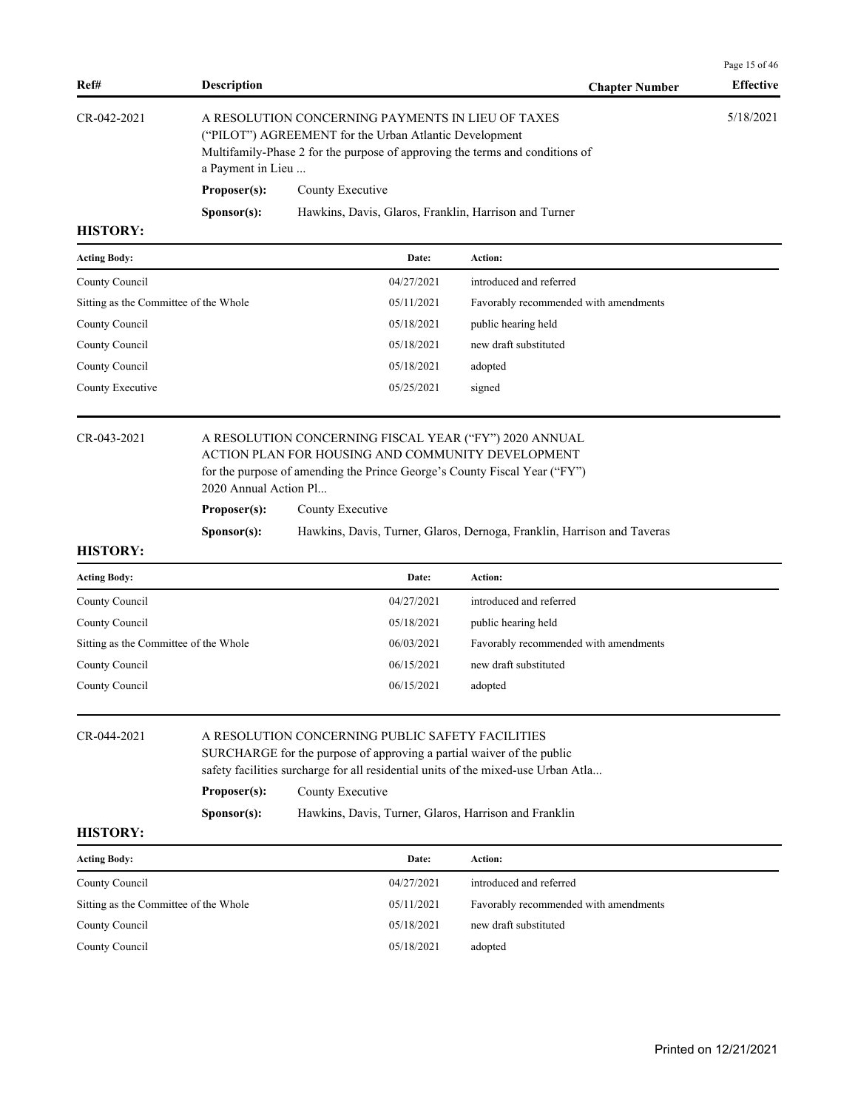| Ref#              | <b>Description</b>   | <b>Chapter Number</b>                                                                                                                                                                       | <b>Effective</b> |
|-------------------|----------------------|---------------------------------------------------------------------------------------------------------------------------------------------------------------------------------------------|------------------|
| $CR - 042 - 2021$ | a Payment in Lieu    | A RESOLUTION CONCERNING PAYMENTS IN LIEU OF TAXES<br>("PILOT") AGREEMENT for the Urban Atlantic Development<br>Multifamily-Phase 2 for the purpose of approving the terms and conditions of | 5/18/2021        |
|                   | Proposer(s):         | County Executive                                                                                                                                                                            |                  |
| итетору.          | S <b>p</b> onsor(s): | Hawkins, Davis, Glaros, Franklin, Harrison and Turner                                                                                                                                       |                  |

| <b>Acting Body:</b>                   | Date:      | Action:                               |
|---------------------------------------|------------|---------------------------------------|
| County Council                        | 04/27/2021 | introduced and referred               |
| Sitting as the Committee of the Whole | 05/11/2021 | Favorably recommended with amendments |
| County Council                        | 05/18/2021 | public hearing held                   |
| County Council                        | 05/18/2021 | new draft substituted                 |
| County Council                        | 05/18/2021 | adopted                               |
| County Executive                      | 05/25/2021 | signed                                |
|                                       |            |                                       |

**HISTORY:**

# CR-043-2021 A RESOLUTION CONCERNING FISCAL YEAR ("FY") 2020 ANNUAL ACTION PLAN FOR HOUSING AND COMMUNITY DEVELOPMENT for the purpose of amending the Prince George's County Fiscal Year ("FY")

2020 Annual Action Pl...

**Proposer(s):** County Executive

**Sponsor(s):** Hawkins, Davis, Turner, Glaros, Dernoga, Franklin, Harrison and Taveras

| <b>Acting Body:</b>                   | Date:      | Action:                               |
|---------------------------------------|------------|---------------------------------------|
| County Council                        | 04/27/2021 | introduced and referred               |
| County Council                        | 05/18/2021 | public hearing held                   |
| Sitting as the Committee of the Whole | 06/03/2021 | Favorably recommended with amendments |
| County Council                        | 06/15/2021 | new draft substituted                 |
| County Council                        | 06/15/2021 | adopted                               |

| $CR - 044 - 2021$ |                      | A RESOLUTION CONCERNING PUBLIC SAFETY FACILITIES                                  |
|-------------------|----------------------|-----------------------------------------------------------------------------------|
|                   |                      | SURCHARGE for the purpose of approving a partial waiver of the public             |
|                   |                      | safety facilities surcharge for all residential units of the mixed-use Urban Atla |
|                   | Proposer(s):         | County Executive                                                                  |
|                   | S <b>p</b> onsor(s): | Hawkins, Davis, Turner, Glaros, Harrison and Franklin                             |

### **HISTORY:**

| <b>Acting Body:</b>                   | Date:      | Action:                               |
|---------------------------------------|------------|---------------------------------------|
| County Council                        | 04/27/2021 | introduced and referred               |
| Sitting as the Committee of the Whole | 05/11/2021 | Favorably recommended with amendments |
| County Council                        | 05/18/2021 | new draft substituted                 |
| County Council                        | 05/18/2021 | adopted                               |

Page 15 of 46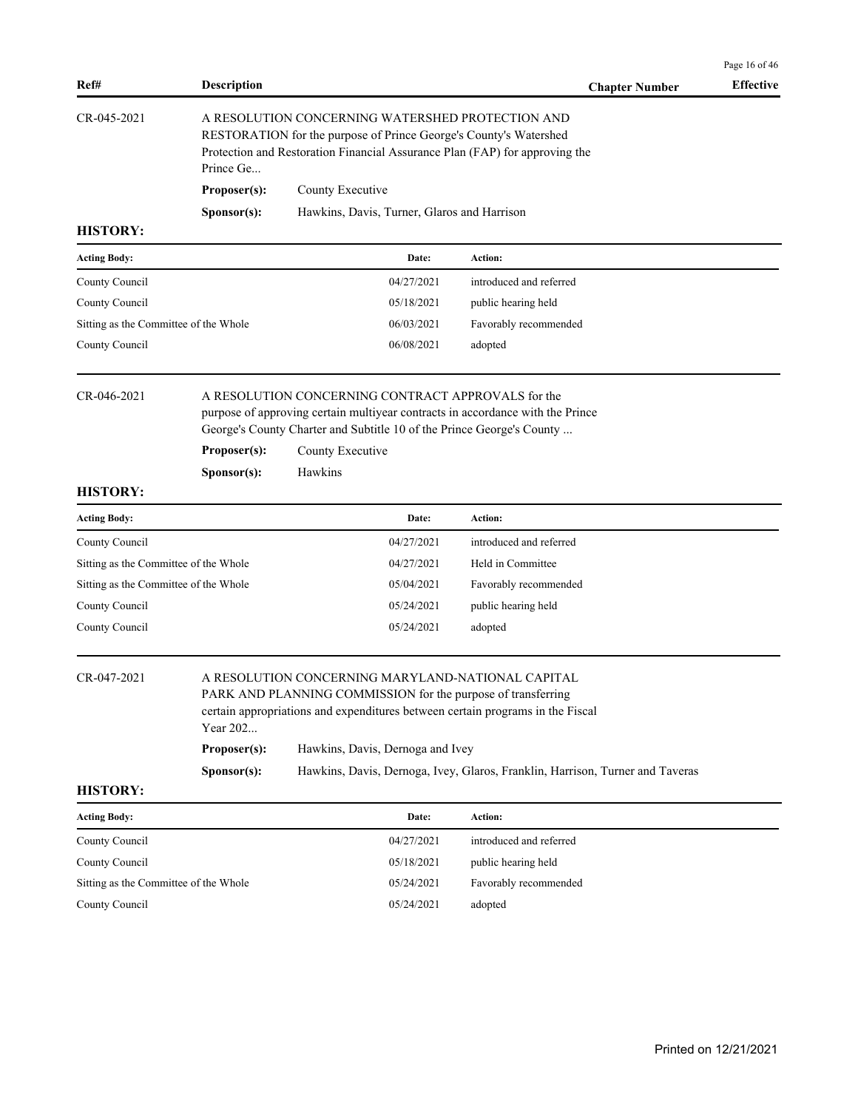| Ref#              | <b>Description</b>   |                                                                                                                                                                                                      | <b>Chapter Number</b> | <b>Effective</b> |
|-------------------|----------------------|------------------------------------------------------------------------------------------------------------------------------------------------------------------------------------------------------|-----------------------|------------------|
| $CR - 045 - 2021$ | Prince Ge            | A RESOLUTION CONCERNING WATERSHED PROTECTION AND<br>RESTORATION for the purpose of Prince George's County's Watershed<br>Protection and Restoration Financial Assurance Plan (FAP) for approving the |                       |                  |
|                   | Proposer(s):         | County Executive                                                                                                                                                                                     |                       |                  |
|                   | S <b>p</b> onsor(s): | Hawkins, Davis, Turner, Glaros and Harrison                                                                                                                                                          |                       |                  |
| <b>HISTORY:</b>   |                      |                                                                                                                                                                                                      |                       |                  |

| <b>Acting Body:</b>                   | Date:      | Action:                 |
|---------------------------------------|------------|-------------------------|
| County Council                        | 04/27/2021 | introduced and referred |
| County Council                        | 05/18/2021 | public hearing held     |
| Sitting as the Committee of the Whole | 06/03/2021 | Favorably recommended   |
| County Council                        | 06/08/2021 | adopted                 |

### CR-046-2021 A RESOLUTION CONCERNING CONTRACT APPROVALS for the purpose of approving certain multiyear contracts in accordance with the Prince George's County Charter and Subtitle 10 of the Prince George's County ...

**Proposer(s):** County Executive

**Sponsor(s):** Hawkins

#### **HISTORY:**

| <b>Acting Body:</b>                   | Date:      | <b>Action:</b>          |
|---------------------------------------|------------|-------------------------|
| County Council                        | 04/27/2021 | introduced and referred |
| Sitting as the Committee of the Whole | 04/27/2021 | Held in Committee       |
| Sitting as the Committee of the Whole | 05/04/2021 | Favorably recommended   |
| County Council                        | 05/24/2021 | public hearing held     |
| County Council                        | 05/24/2021 | adopted                 |

### CR-047-2021 A RESOLUTION CONCERNING MARYLAND-NATIONAL CAPITAL

PARK AND PLANNING COMMISSION for the purpose of transferring certain appropriations and expenditures between certain programs in the Fiscal Year 202... **Proposer(s):** Hawkins, Davis, Dernoga and Ivey **Sponsor(s):** Hawkins, Davis, Dernoga, Ivey, Glaros, Franklin, Harrison, Turner and Taveras

#### **HISTORY:**

| <b>Acting Body:</b>                   | Date:      | Action:                 |
|---------------------------------------|------------|-------------------------|
| County Council                        | 04/27/2021 | introduced and referred |
| County Council                        | 05/18/2021 | public hearing held     |
| Sitting as the Committee of the Whole | 05/24/2021 | Favorably recommended   |
| County Council                        | 05/24/2021 | adopted                 |

Page 16 of 46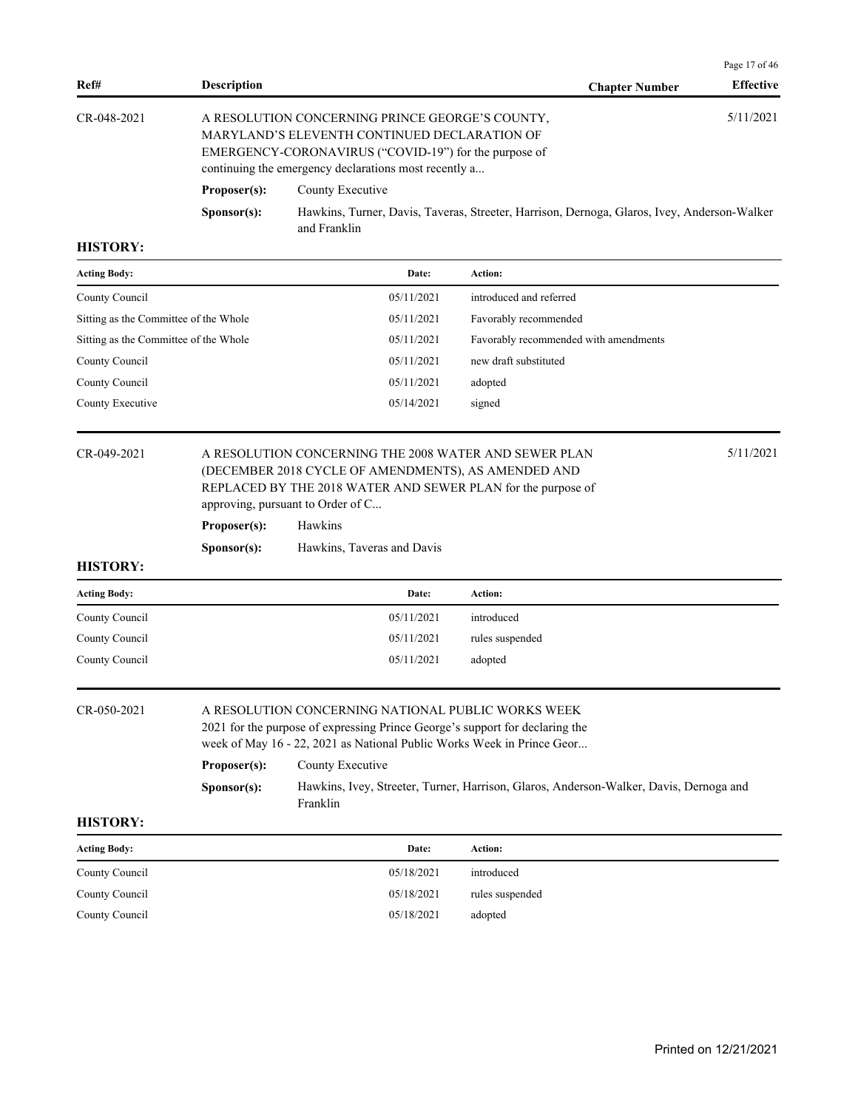|                     |                      |                                                                                                                                                                                                                   |                       | Page $17$ of $46$ |
|---------------------|----------------------|-------------------------------------------------------------------------------------------------------------------------------------------------------------------------------------------------------------------|-----------------------|-------------------|
| Ref#                | <b>Description</b>   |                                                                                                                                                                                                                   | <b>Chapter Number</b> | <b>Effective</b>  |
| $CR - 048 - 2021$   |                      | A RESOLUTION CONCERNING PRINCE GEORGE'S COUNTY.<br>MARYLAND'S ELEVENTH CONTINUED DECLARATION OF<br>EMERGENCY-CORONAVIRUS ("COVID-19") for the purpose of<br>continuing the emergency declarations most recently a |                       | 5/11/2021         |
|                     | Proposer(s):         | County Executive                                                                                                                                                                                                  |                       |                   |
|                     | S <b>p</b> onsor(s): | Hawkins, Turner, Davis, Taveras, Streeter, Harrison, Dernoga, Glaros, Ivey, Anderson-Walker<br>and Franklin                                                                                                       |                       |                   |
| <b>HISTORY:</b>     |                      |                                                                                                                                                                                                                   |                       |                   |
| <b>Acting Body:</b> |                      | Date:<br>Action:                                                                                                                                                                                                  |                       |                   |

| <b>Acting Body:</b>                   | Date:      | Action:                               |
|---------------------------------------|------------|---------------------------------------|
| County Council                        | 05/11/2021 | introduced and referred               |
| Sitting as the Committee of the Whole | 05/11/2021 | Favorably recommended                 |
| Sitting as the Committee of the Whole | 05/11/2021 | Favorably recommended with amendments |
| County Council                        | 05/11/2021 | new draft substituted                 |
| County Council                        | 05/11/2021 | adopted                               |
| County Executive                      | 05/14/2021 | signed                                |

**Proposer(s):** Hawkins

**Sponsor(s):** Hawkins, Taveras and Davis

# **HISTORY:**

| <b>Acting Body:</b> | Date:      | Action:         |
|---------------------|------------|-----------------|
| County Council      | 05/11/2021 | introduced      |
| County Council      | 05/11/2021 | rules suspended |
| County Council      | 05/11/2021 | adopted         |

# CR-050-2021 A RESOLUTION CONCERNING NATIONAL PUBLIC WORKS WEEK

2021 for the purpose of expressing Prince George's support for declaring the

week of May 16 - 22, 2021 as National Public Works Week in Prince Geor...

| Proposer(s):         | County Executive                                                                       |
|----------------------|----------------------------------------------------------------------------------------|
| S <b>p</b> onsor(s): | Hawkins, Ivey, Streeter, Turner, Harrison, Glaros, Anderson-Walker, Davis, Dernoga and |
|                      | Franklin                                                                               |

| <b>Acting Body:</b> | Date:      | Action:         |
|---------------------|------------|-----------------|
| County Council      | 05/18/2021 | introduced      |
| County Council      | 05/18/2021 | rules suspended |
| County Council      | 05/18/2021 | adopted         |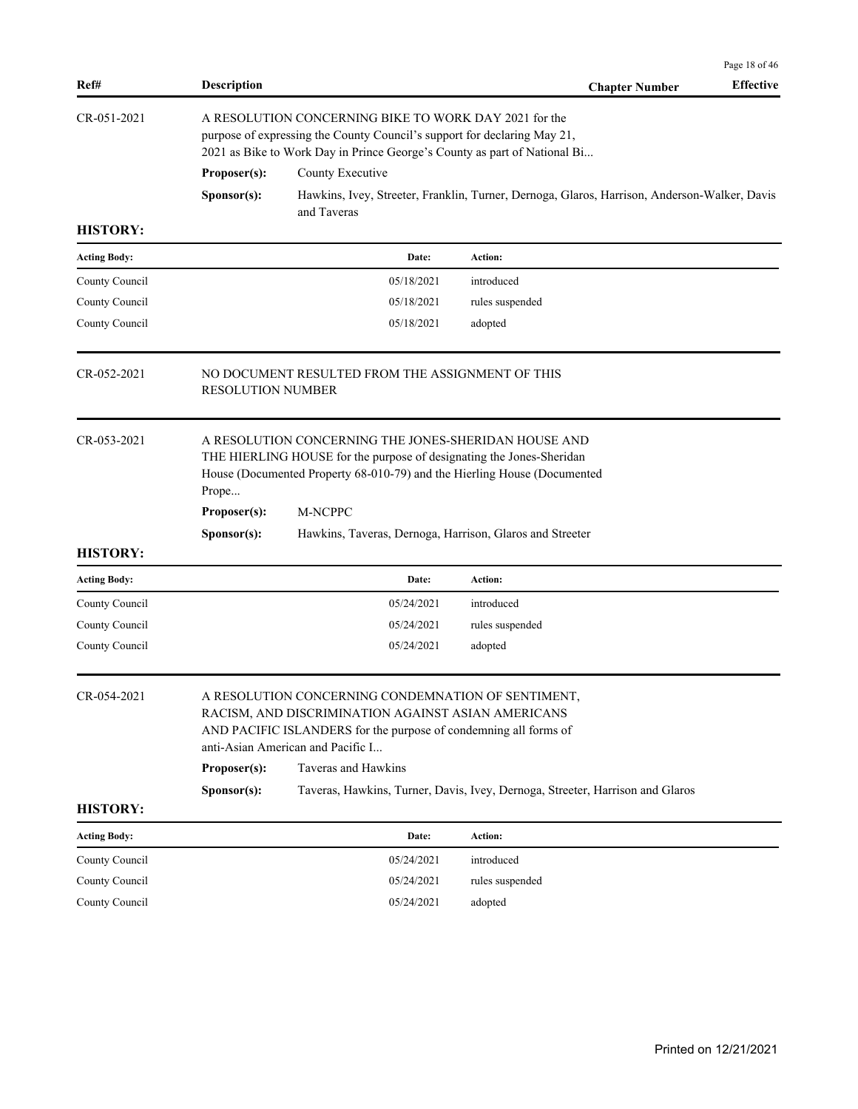|                     |                          |                                                                                                                                                                                                                   |                                                                                              | Page 18 of 46    |
|---------------------|--------------------------|-------------------------------------------------------------------------------------------------------------------------------------------------------------------------------------------------------------------|----------------------------------------------------------------------------------------------|------------------|
| Ref#                | <b>Description</b>       |                                                                                                                                                                                                                   | <b>Chapter Number</b>                                                                        | <b>Effective</b> |
| CR-051-2021         |                          | A RESOLUTION CONCERNING BIKE TO WORK DAY 2021 for the<br>purpose of expressing the County Council's support for declaring May 21,<br>2021 as Bike to Work Day in Prince George's County as part of National Bi    |                                                                                              |                  |
|                     | Proposer(s):             | County Executive                                                                                                                                                                                                  |                                                                                              |                  |
|                     | Sponsor(s):              | and Taveras                                                                                                                                                                                                       | Hawkins, Ivey, Streeter, Franklin, Turner, Dernoga, Glaros, Harrison, Anderson-Walker, Davis |                  |
| <b>HISTORY:</b>     |                          |                                                                                                                                                                                                                   |                                                                                              |                  |
| <b>Acting Body:</b> |                          | Date:                                                                                                                                                                                                             | Action:                                                                                      |                  |
| County Council      |                          | 05/18/2021                                                                                                                                                                                                        | introduced                                                                                   |                  |
| County Council      |                          | 05/18/2021                                                                                                                                                                                                        | rules suspended                                                                              |                  |
| County Council      |                          | 05/18/2021                                                                                                                                                                                                        | adopted                                                                                      |                  |
| $CR - 0.52 - 2021$  | <b>RESOLUTION NUMBER</b> | NO DOCUMENT RESULTED FROM THE ASSIGNMENT OF THIS                                                                                                                                                                  |                                                                                              |                  |
| CR-053-2021         | Prope                    | A RESOLUTION CONCERNING THE JONES-SHERIDAN HOUSE AND<br>THE HIERLING HOUSE for the purpose of designating the Jones-Sheridan<br>House (Documented Property 68-010-79) and the Hierling House (Documented          |                                                                                              |                  |
|                     | Proposer(s):             | M-NCPPC                                                                                                                                                                                                           |                                                                                              |                  |
|                     | Sponsor(s):              | Hawkins, Taveras, Dernoga, Harrison, Glaros and Streeter                                                                                                                                                          |                                                                                              |                  |
| <b>HISTORY:</b>     |                          |                                                                                                                                                                                                                   |                                                                                              |                  |
| <b>Acting Body:</b> |                          | Date:                                                                                                                                                                                                             | Action:                                                                                      |                  |
| County Council      |                          | 05/24/2021                                                                                                                                                                                                        | introduced                                                                                   |                  |
| County Council      |                          | 05/24/2021                                                                                                                                                                                                        | rules suspended                                                                              |                  |
| County Council      |                          | 05/24/2021                                                                                                                                                                                                        | adopted                                                                                      |                  |
| CR-054-2021         |                          | A RESOLUTION CONCERNING CONDEMNATION OF SENTIMENT,<br>RACISM, AND DISCRIMINATION AGAINST ASIAN AMERICANS<br>AND PACIFIC ISLANDERS for the purpose of condemning all forms of<br>anti-Asian American and Pacific I |                                                                                              |                  |
|                     | Proposer(s):             | Taveras and Hawkins                                                                                                                                                                                               |                                                                                              |                  |
|                     | Sponsor(s):              |                                                                                                                                                                                                                   | Taveras, Hawkins, Turner, Davis, Ivey, Dernoga, Streeter, Harrison and Glaros                |                  |
| <b>HISTORY:</b>     |                          |                                                                                                                                                                                                                   |                                                                                              |                  |
| <b>Acting Body:</b> |                          | Date:                                                                                                                                                                                                             | Action:                                                                                      |                  |
| County Council      |                          | 05/24/2021                                                                                                                                                                                                        | introduced                                                                                   |                  |
| County Council      |                          | 05/24/2021                                                                                                                                                                                                        | rules suspended                                                                              |                  |
| County Council      |                          | 05/24/2021                                                                                                                                                                                                        | adopted                                                                                      |                  |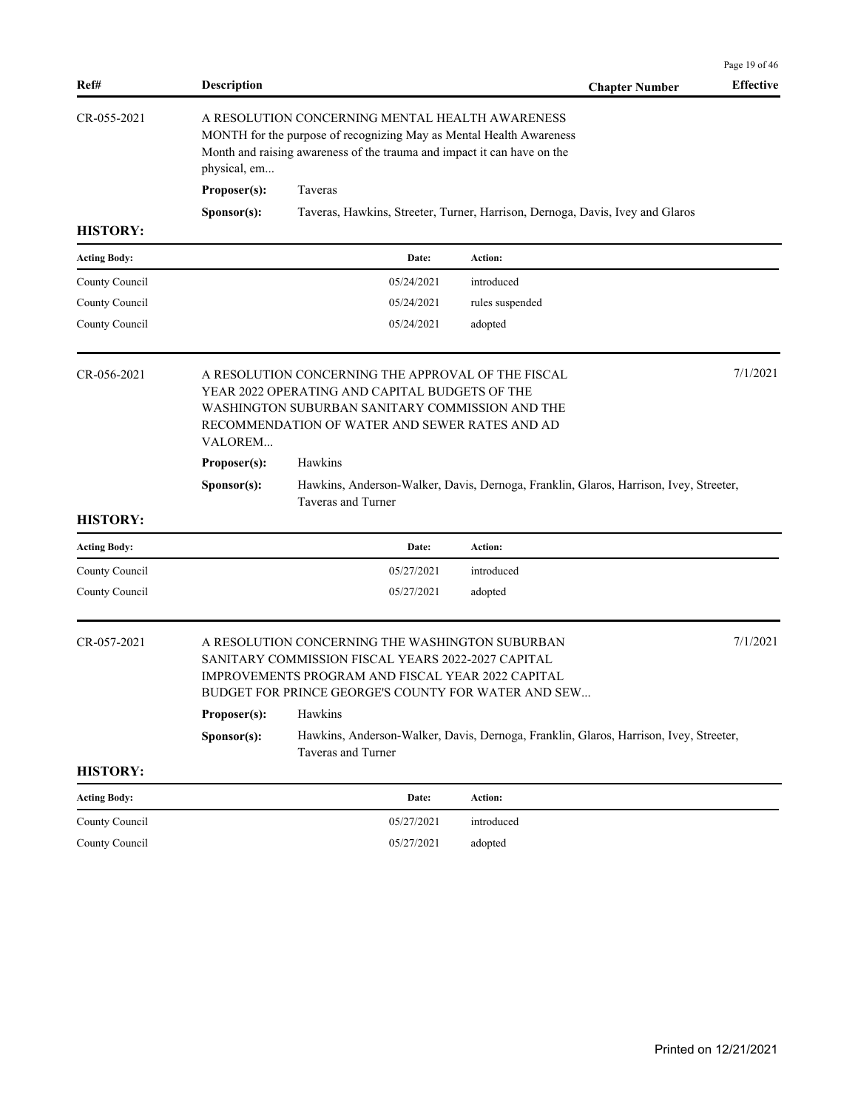|                     |                    |                                                                                                                                                                                                                   |                 |                       | Page 19 of 46    |
|---------------------|--------------------|-------------------------------------------------------------------------------------------------------------------------------------------------------------------------------------------------------------------|-----------------|-----------------------|------------------|
| Ref#                | <b>Description</b> |                                                                                                                                                                                                                   |                 | <b>Chapter Number</b> | <b>Effective</b> |
| CR-055-2021         | physical, em       | A RESOLUTION CONCERNING MENTAL HEALTH AWARENESS<br>MONTH for the purpose of recognizing May as Mental Health Awareness<br>Month and raising awareness of the trauma and impact it can have on the                 |                 |                       |                  |
|                     | Proposer(s):       | Taveras                                                                                                                                                                                                           |                 |                       |                  |
|                     | Sponsor(s):        | Taveras, Hawkins, Streeter, Turner, Harrison, Dernoga, Davis, Ivey and Glaros                                                                                                                                     |                 |                       |                  |
| <b>HISTORY:</b>     |                    |                                                                                                                                                                                                                   |                 |                       |                  |
| <b>Acting Body:</b> |                    | Date:                                                                                                                                                                                                             | Action:         |                       |                  |
| County Council      |                    | 05/24/2021                                                                                                                                                                                                        | introduced      |                       |                  |
| County Council      |                    | 05/24/2021                                                                                                                                                                                                        | rules suspended |                       |                  |
| County Council      |                    | 05/24/2021                                                                                                                                                                                                        | adopted         |                       |                  |
| $CR - 0.56 - 2021$  | VALOREM            | A RESOLUTION CONCERNING THE APPROVAL OF THE FISCAL<br>YEAR 2022 OPERATING AND CAPITAL BUDGETS OF THE<br>WASHINGTON SUBURBAN SANITARY COMMISSION AND THE<br>RECOMMENDATION OF WATER AND SEWER RATES AND AD         |                 |                       | 7/1/2021         |
|                     | Proposer(s):       | Hawkins                                                                                                                                                                                                           |                 |                       |                  |
|                     | Sponsor(s):        | Hawkins, Anderson-Walker, Davis, Dernoga, Franklin, Glaros, Harrison, Ivey, Streeter,<br>Taveras and Turner                                                                                                       |                 |                       |                  |
| <b>HISTORY:</b>     |                    |                                                                                                                                                                                                                   |                 |                       |                  |
| <b>Acting Body:</b> |                    | Date:                                                                                                                                                                                                             | Action:         |                       |                  |
| County Council      |                    | 05/27/2021                                                                                                                                                                                                        | introduced      |                       |                  |
| County Council      |                    | 05/27/2021                                                                                                                                                                                                        | adopted         |                       |                  |
| CR-057-2021         |                    | A RESOLUTION CONCERNING THE WASHINGTON SUBURBAN<br>SANITARY COMMISSION FISCAL YEARS 2022-2027 CAPITAL<br>IMPROVEMENTS PROGRAM AND FISCAL YEAR 2022 CAPITAL<br>BUDGET FOR PRINCE GEORGE'S COUNTY FOR WATER AND SEW |                 |                       | 7/1/2021         |
|                     | Proposer(s):       | Hawkins                                                                                                                                                                                                           |                 |                       |                  |
|                     | Sponsor(s):        | Hawkins, Anderson-Walker, Davis, Dernoga, Franklin, Glaros, Harrison, Ivey, Streeter,<br>Taveras and Turner                                                                                                       |                 |                       |                  |
| <b>HISTORY:</b>     |                    |                                                                                                                                                                                                                   |                 |                       |                  |
| <b>Acting Body:</b> |                    | Date:                                                                                                                                                                                                             | Action:         |                       |                  |
| County Council      |                    | 05/27/2021                                                                                                                                                                                                        | introduced      |                       |                  |
| County Council      |                    | 05/27/2021                                                                                                                                                                                                        | adopted         |                       |                  |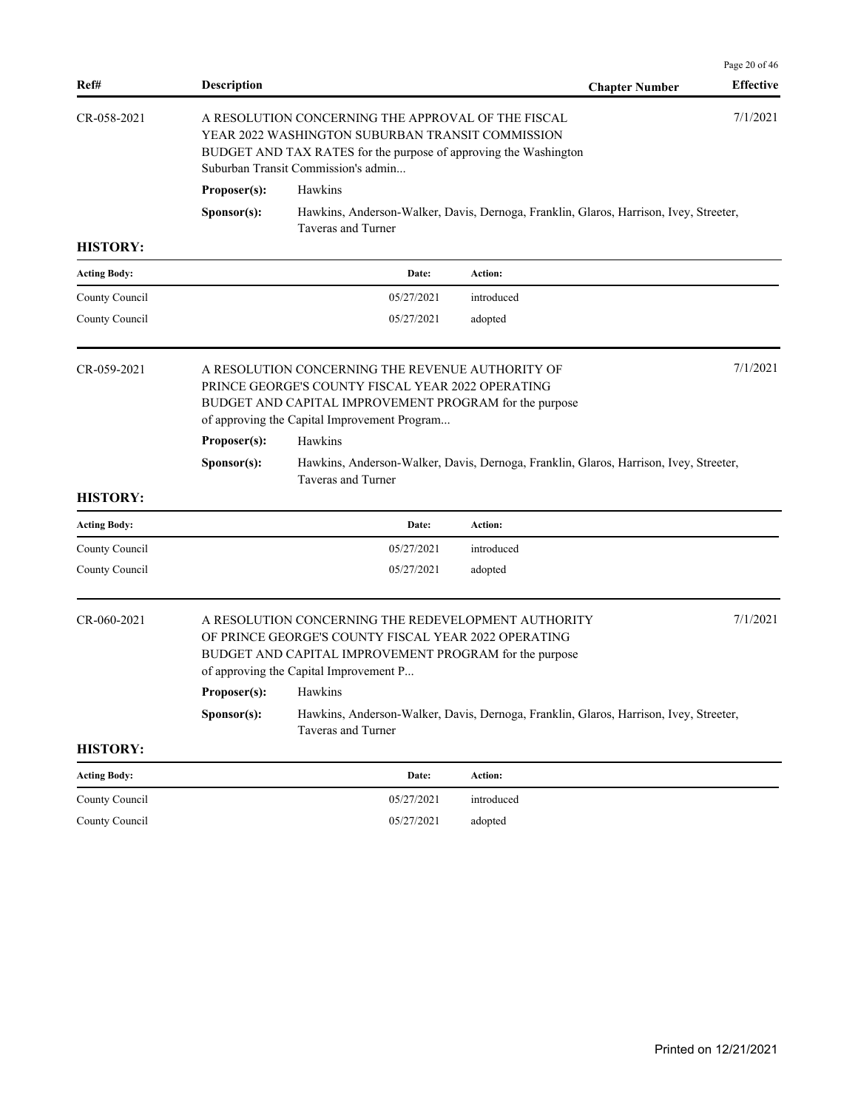| 7/1/2021<br>CR-058-2021<br>A RESOLUTION CONCERNING THE APPROVAL OF THE FISCAL<br>YEAR 2022 WASHINGTON SUBURBAN TRANSIT COMMISSION<br>BUDGET AND TAX RATES for the purpose of approving the Washington<br>Suburban Transit Commission's admin<br>Proposer(s):<br>Hawkins<br>Hawkins, Anderson-Walker, Davis, Dernoga, Franklin, Glaros, Harrison, Ivey, Streeter,<br>Sponsor(s):<br>Taveras and Turner<br><b>HISTORY:</b><br><b>Acting Body:</b><br>Date:<br>Action:<br>05/27/2021<br>County Council<br>introduced<br>County Council<br>05/27/2021<br>adopted<br>7/1/2021<br>A RESOLUTION CONCERNING THE REVENUE AUTHORITY OF<br>PRINCE GEORGE'S COUNTY FISCAL YEAR 2022 OPERATING<br>BUDGET AND CAPITAL IMPROVEMENT PROGRAM for the purpose<br>of approving the Capital Improvement Program<br>Proposer(s):<br>Hawkins<br>Hawkins, Anderson-Walker, Davis, Dernoga, Franklin, Glaros, Harrison, Ivey, Streeter,<br>Sponsor(s):<br>Taveras and Turner<br><b>HISTORY:</b><br>Action:<br><b>Acting Body:</b><br>Date:<br>County Council<br>05/27/2021<br>introduced<br>County Council<br>05/27/2021<br>adopted<br>7/1/2021<br>$CR - 060 - 2021$<br>A RESOLUTION CONCERNING THE REDEVELOPMENT AUTHORITY<br>OF PRINCE GEORGE'S COUNTY FISCAL YEAR 2022 OPERATING<br>BUDGET AND CAPITAL IMPROVEMENT PROGRAM for the purpose<br>of approving the Capital Improvement P<br>Proposer(s):<br>Hawkins<br>Hawkins, Anderson-Walker, Davis, Dernoga, Franklin, Glaros, Harrison, Ivey, Streeter,<br>Sponsor(s):<br>Taveras and Turner<br><b>HISTORY:</b><br><b>Action:</b><br><b>Acting Body:</b><br>Date:<br>County Council<br>05/27/2021<br>introduced<br>County Council<br>05/27/2021<br>adopted | Ref#        | <b>Description</b> | <b>Chapter Number</b> | Page 20 of 46<br><b>Effective</b> |
|----------------------------------------------------------------------------------------------------------------------------------------------------------------------------------------------------------------------------------------------------------------------------------------------------------------------------------------------------------------------------------------------------------------------------------------------------------------------------------------------------------------------------------------------------------------------------------------------------------------------------------------------------------------------------------------------------------------------------------------------------------------------------------------------------------------------------------------------------------------------------------------------------------------------------------------------------------------------------------------------------------------------------------------------------------------------------------------------------------------------------------------------------------------------------------------------------------------------------------------------------------------------------------------------------------------------------------------------------------------------------------------------------------------------------------------------------------------------------------------------------------------------------------------------------------------------------------------------------------------------------------------------------------------------------------------|-------------|--------------------|-----------------------|-----------------------------------|
|                                                                                                                                                                                                                                                                                                                                                                                                                                                                                                                                                                                                                                                                                                                                                                                                                                                                                                                                                                                                                                                                                                                                                                                                                                                                                                                                                                                                                                                                                                                                                                                                                                                                                        |             |                    |                       |                                   |
|                                                                                                                                                                                                                                                                                                                                                                                                                                                                                                                                                                                                                                                                                                                                                                                                                                                                                                                                                                                                                                                                                                                                                                                                                                                                                                                                                                                                                                                                                                                                                                                                                                                                                        |             |                    |                       |                                   |
|                                                                                                                                                                                                                                                                                                                                                                                                                                                                                                                                                                                                                                                                                                                                                                                                                                                                                                                                                                                                                                                                                                                                                                                                                                                                                                                                                                                                                                                                                                                                                                                                                                                                                        |             |                    |                       |                                   |
|                                                                                                                                                                                                                                                                                                                                                                                                                                                                                                                                                                                                                                                                                                                                                                                                                                                                                                                                                                                                                                                                                                                                                                                                                                                                                                                                                                                                                                                                                                                                                                                                                                                                                        |             |                    |                       |                                   |
|                                                                                                                                                                                                                                                                                                                                                                                                                                                                                                                                                                                                                                                                                                                                                                                                                                                                                                                                                                                                                                                                                                                                                                                                                                                                                                                                                                                                                                                                                                                                                                                                                                                                                        |             |                    |                       |                                   |
|                                                                                                                                                                                                                                                                                                                                                                                                                                                                                                                                                                                                                                                                                                                                                                                                                                                                                                                                                                                                                                                                                                                                                                                                                                                                                                                                                                                                                                                                                                                                                                                                                                                                                        |             |                    |                       |                                   |
|                                                                                                                                                                                                                                                                                                                                                                                                                                                                                                                                                                                                                                                                                                                                                                                                                                                                                                                                                                                                                                                                                                                                                                                                                                                                                                                                                                                                                                                                                                                                                                                                                                                                                        |             |                    |                       |                                   |
|                                                                                                                                                                                                                                                                                                                                                                                                                                                                                                                                                                                                                                                                                                                                                                                                                                                                                                                                                                                                                                                                                                                                                                                                                                                                                                                                                                                                                                                                                                                                                                                                                                                                                        | CR-059-2021 |                    |                       |                                   |
|                                                                                                                                                                                                                                                                                                                                                                                                                                                                                                                                                                                                                                                                                                                                                                                                                                                                                                                                                                                                                                                                                                                                                                                                                                                                                                                                                                                                                                                                                                                                                                                                                                                                                        |             |                    |                       |                                   |
|                                                                                                                                                                                                                                                                                                                                                                                                                                                                                                                                                                                                                                                                                                                                                                                                                                                                                                                                                                                                                                                                                                                                                                                                                                                                                                                                                                                                                                                                                                                                                                                                                                                                                        |             |                    |                       |                                   |
|                                                                                                                                                                                                                                                                                                                                                                                                                                                                                                                                                                                                                                                                                                                                                                                                                                                                                                                                                                                                                                                                                                                                                                                                                                                                                                                                                                                                                                                                                                                                                                                                                                                                                        |             |                    |                       |                                   |
|                                                                                                                                                                                                                                                                                                                                                                                                                                                                                                                                                                                                                                                                                                                                                                                                                                                                                                                                                                                                                                                                                                                                                                                                                                                                                                                                                                                                                                                                                                                                                                                                                                                                                        |             |                    |                       |                                   |
|                                                                                                                                                                                                                                                                                                                                                                                                                                                                                                                                                                                                                                                                                                                                                                                                                                                                                                                                                                                                                                                                                                                                                                                                                                                                                                                                                                                                                                                                                                                                                                                                                                                                                        |             |                    |                       |                                   |
|                                                                                                                                                                                                                                                                                                                                                                                                                                                                                                                                                                                                                                                                                                                                                                                                                                                                                                                                                                                                                                                                                                                                                                                                                                                                                                                                                                                                                                                                                                                                                                                                                                                                                        |             |                    |                       |                                   |
|                                                                                                                                                                                                                                                                                                                                                                                                                                                                                                                                                                                                                                                                                                                                                                                                                                                                                                                                                                                                                                                                                                                                                                                                                                                                                                                                                                                                                                                                                                                                                                                                                                                                                        |             |                    |                       |                                   |
|                                                                                                                                                                                                                                                                                                                                                                                                                                                                                                                                                                                                                                                                                                                                                                                                                                                                                                                                                                                                                                                                                                                                                                                                                                                                                                                                                                                                                                                                                                                                                                                                                                                                                        |             |                    |                       |                                   |
|                                                                                                                                                                                                                                                                                                                                                                                                                                                                                                                                                                                                                                                                                                                                                                                                                                                                                                                                                                                                                                                                                                                                                                                                                                                                                                                                                                                                                                                                                                                                                                                                                                                                                        |             |                    |                       |                                   |
|                                                                                                                                                                                                                                                                                                                                                                                                                                                                                                                                                                                                                                                                                                                                                                                                                                                                                                                                                                                                                                                                                                                                                                                                                                                                                                                                                                                                                                                                                                                                                                                                                                                                                        |             |                    |                       |                                   |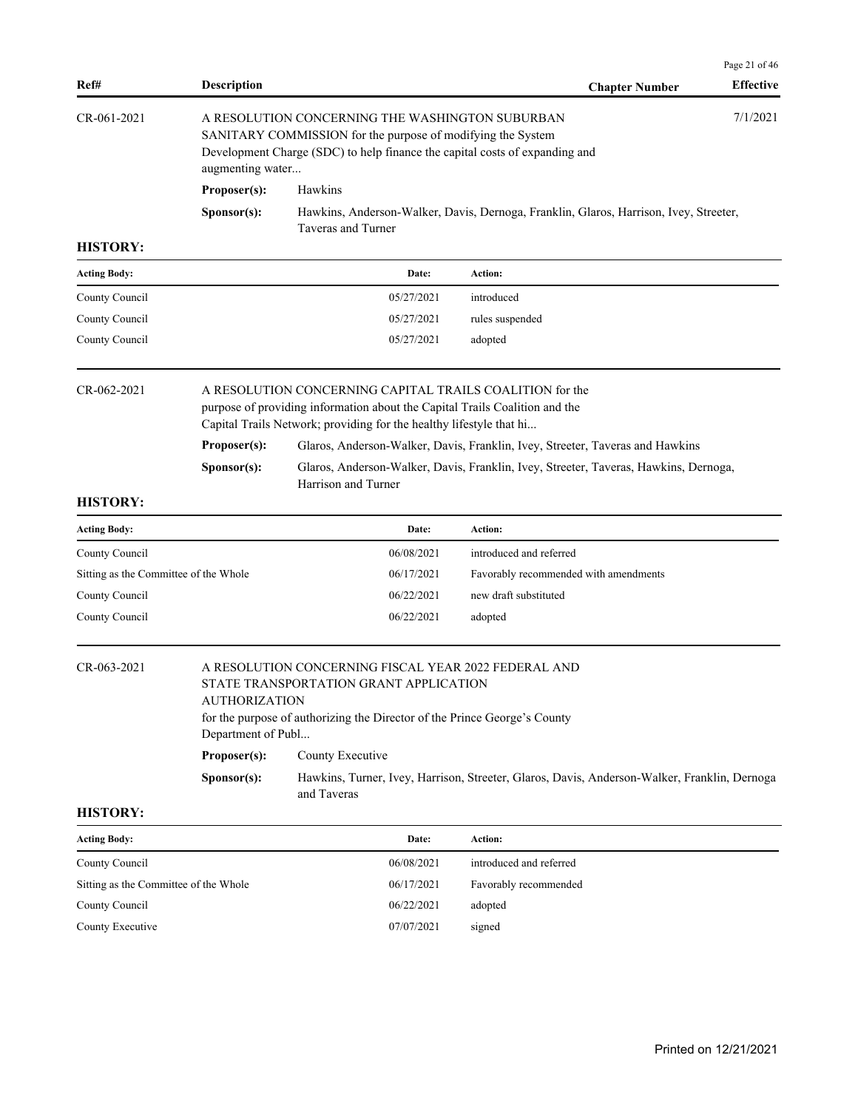| Ref#                                  | <b>Description</b> |                                                                                                                                                                                                                | <b>Chapter Number</b>                                                                 | Page 21 of 46<br><b>Effective</b> |
|---------------------------------------|--------------------|----------------------------------------------------------------------------------------------------------------------------------------------------------------------------------------------------------------|---------------------------------------------------------------------------------------|-----------------------------------|
| CR-061-2021                           | augmenting water   | A RESOLUTION CONCERNING THE WASHINGTON SUBURBAN<br>SANITARY COMMISSION for the purpose of modifying the System<br>Development Charge (SDC) to help finance the capital costs of expanding and                  |                                                                                       | 7/1/2021                          |
|                                       | Proposer(s):       | Hawkins                                                                                                                                                                                                        |                                                                                       |                                   |
|                                       | Sponsor(s):        | Taveras and Turner                                                                                                                                                                                             | Hawkins, Anderson-Walker, Davis, Dernoga, Franklin, Glaros, Harrison, Ivey, Streeter, |                                   |
| <b>HISTORY:</b>                       |                    |                                                                                                                                                                                                                |                                                                                       |                                   |
| <b>Acting Body:</b>                   |                    | Date:                                                                                                                                                                                                          | Action:                                                                               |                                   |
| County Council                        |                    | 05/27/2021                                                                                                                                                                                                     | introduced                                                                            |                                   |
| County Council                        |                    | 05/27/2021                                                                                                                                                                                                     | rules suspended                                                                       |                                   |
| County Council                        |                    | 05/27/2021                                                                                                                                                                                                     | adopted                                                                               |                                   |
| $CR - 062 - 2021$                     |                    | A RESOLUTION CONCERNING CAPITAL TRAILS COALITION for the<br>purpose of providing information about the Capital Trails Coalition and the<br>Capital Trails Network; providing for the healthy lifestyle that hi |                                                                                       |                                   |
|                                       | Proposer(s):       |                                                                                                                                                                                                                | Glaros, Anderson-Walker, Davis, Franklin, Ivey, Streeter, Taveras and Hawkins         |                                   |
|                                       | Sponsor(s):        | Harrison and Turner                                                                                                                                                                                            | Glaros, Anderson-Walker, Davis, Franklin, Ivey, Streeter, Taveras, Hawkins, Dernoga,  |                                   |
| <b>HISTORY:</b>                       |                    |                                                                                                                                                                                                                |                                                                                       |                                   |
| <b>Acting Body:</b>                   |                    | Date:                                                                                                                                                                                                          | Action:                                                                               |                                   |
|                                       |                    | 06/08/2021                                                                                                                                                                                                     | introduced and referred                                                               |                                   |
| County Council                        |                    | 06/17/2021                                                                                                                                                                                                     | Favorably recommended with amendments                                                 |                                   |
| Sitting as the Committee of the Whole |                    |                                                                                                                                                                                                                |                                                                                       |                                   |
| County Council                        |                    | 06/22/2021                                                                                                                                                                                                     | new draft substituted                                                                 |                                   |

CR-063-2021 A RESOLUTION CONCERNING FISCAL YEAR 2022 FEDERAL AND STATE TRANSPORTATION GRANT APPLICATION AUTHORIZATION for the purpose of authorizing the Director of the Prince George's County Department of Publ... Proposer(s): County Executive **Sponsor(s):** Hawkins, Turner, Ivey, Harrison, Streeter, Glaros, Davis, Anderson-Walker, Franklin, Dernoga and Taveras

| <b>Acting Body:</b>                   | Date:      | <b>Action:</b>          |
|---------------------------------------|------------|-------------------------|
| County Council                        | 06/08/2021 | introduced and referred |
| Sitting as the Committee of the Whole | 06/17/2021 | Favorably recommended   |
| County Council                        | 06/22/2021 | adopted                 |
| County Executive                      | 07/07/2021 | signed                  |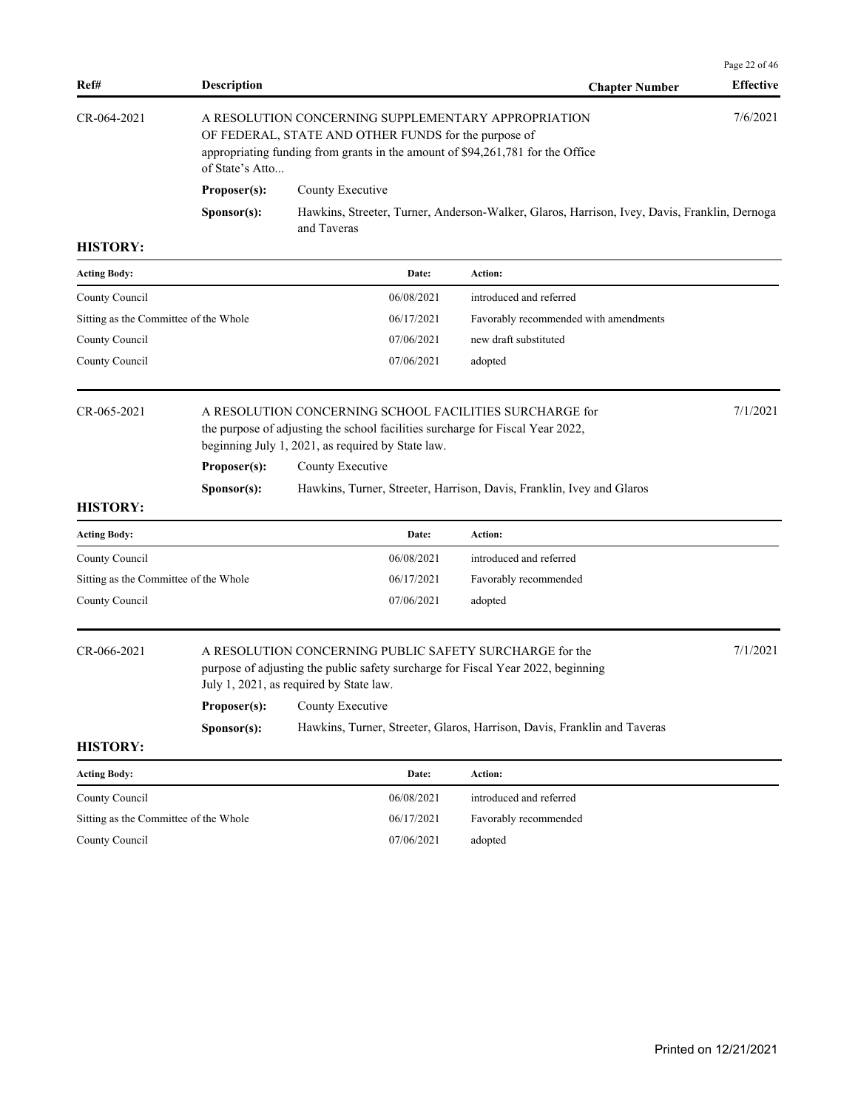| Ref#                                  | Description                                                                                                                                                                                                      |                                                                                                                                                                                        | <b>Chapter Number</b>                                                                        | Page 22 of 46<br><b>Effective</b> |
|---------------------------------------|------------------------------------------------------------------------------------------------------------------------------------------------------------------------------------------------------------------|----------------------------------------------------------------------------------------------------------------------------------------------------------------------------------------|----------------------------------------------------------------------------------------------|-----------------------------------|
| CR-064-2021                           | A RESOLUTION CONCERNING SUPPLEMENTARY APPROPRIATION<br>OF FEDERAL, STATE AND OTHER FUNDS for the purpose of<br>appropriating funding from grants in the amount of \$94,261,781 for the Office<br>of State's Atto |                                                                                                                                                                                        |                                                                                              |                                   |
|                                       | Proposer(s):                                                                                                                                                                                                     | County Executive                                                                                                                                                                       |                                                                                              |                                   |
|                                       | Sponsor(s):                                                                                                                                                                                                      | and Taveras                                                                                                                                                                            | Hawkins, Streeter, Turner, Anderson-Walker, Glaros, Harrison, Ivey, Davis, Franklin, Dernoga |                                   |
| <b>HISTORY:</b>                       |                                                                                                                                                                                                                  |                                                                                                                                                                                        |                                                                                              |                                   |
| <b>Acting Body:</b>                   |                                                                                                                                                                                                                  | Date:                                                                                                                                                                                  | Action:                                                                                      |                                   |
| County Council                        |                                                                                                                                                                                                                  | 06/08/2021                                                                                                                                                                             | introduced and referred                                                                      |                                   |
| Sitting as the Committee of the Whole |                                                                                                                                                                                                                  | 06/17/2021                                                                                                                                                                             | Favorably recommended with amendments                                                        |                                   |
| County Council                        |                                                                                                                                                                                                                  | 07/06/2021                                                                                                                                                                             | new draft substituted                                                                        |                                   |
| County Council                        |                                                                                                                                                                                                                  | 07/06/2021                                                                                                                                                                             | adopted                                                                                      |                                   |
| CR-065-2021                           | A RESOLUTION CONCERNING SCHOOL FACILITIES SURCHARGE for<br>the purpose of adjusting the school facilities surcharge for Fiscal Year 2022,<br>beginning July 1, 2021, as required by State law.                   |                                                                                                                                                                                        |                                                                                              | 7/1/2021                          |
|                                       | Proposer(s):                                                                                                                                                                                                     | County Executive                                                                                                                                                                       |                                                                                              |                                   |
|                                       | Sponsor(s):                                                                                                                                                                                                      |                                                                                                                                                                                        | Hawkins, Turner, Streeter, Harrison, Davis, Franklin, Ivey and Glaros                        |                                   |
| <b>HISTORY:</b>                       |                                                                                                                                                                                                                  |                                                                                                                                                                                        |                                                                                              |                                   |
| <b>Acting Body:</b>                   |                                                                                                                                                                                                                  | Date:                                                                                                                                                                                  | Action:                                                                                      |                                   |
| County Council                        |                                                                                                                                                                                                                  | 06/08/2021                                                                                                                                                                             | introduced and referred                                                                      |                                   |
| Sitting as the Committee of the Whole |                                                                                                                                                                                                                  | 06/17/2021                                                                                                                                                                             | Favorably recommended                                                                        |                                   |
| County Council                        |                                                                                                                                                                                                                  | 07/06/2021                                                                                                                                                                             | adopted                                                                                      |                                   |
| CR-066-2021                           |                                                                                                                                                                                                                  | A RESOLUTION CONCERNING PUBLIC SAFETY SURCHARGE for the<br>purpose of adjusting the public safety surcharge for Fiscal Year 2022, beginning<br>July 1, 2021, as required by State law. |                                                                                              | 7/1/2021                          |
|                                       | Proposer(s):                                                                                                                                                                                                     | County Executive                                                                                                                                                                       |                                                                                              |                                   |
| <b>HISTORY:</b>                       | Sponsor(s):                                                                                                                                                                                                      |                                                                                                                                                                                        | Hawkins, Turner, Streeter, Glaros, Harrison, Davis, Franklin and Taveras                     |                                   |
| <b>Acting Body:</b>                   |                                                                                                                                                                                                                  | Date:                                                                                                                                                                                  | Action:                                                                                      |                                   |
| County Council                        |                                                                                                                                                                                                                  | 06/08/2021                                                                                                                                                                             | introduced and referred                                                                      |                                   |
| Sitting as the Committee of the Whole |                                                                                                                                                                                                                  | 06/17/2021                                                                                                                                                                             | Favorably recommended                                                                        |                                   |
| County Council                        |                                                                                                                                                                                                                  | 07/06/2021                                                                                                                                                                             | adopted                                                                                      |                                   |
|                                       |                                                                                                                                                                                                                  |                                                                                                                                                                                        |                                                                                              |                                   |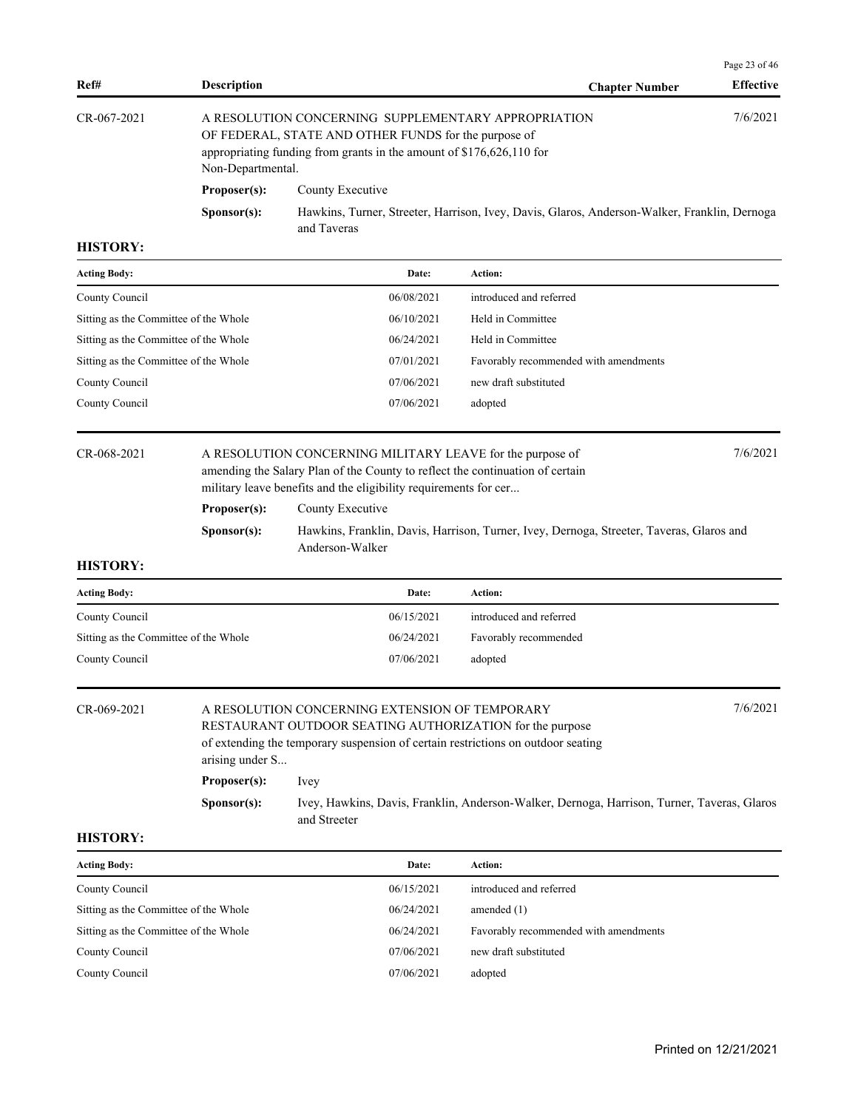|                   |                      |                                                                                                                                                                                     |                       | Page 23 of 46    |
|-------------------|----------------------|-------------------------------------------------------------------------------------------------------------------------------------------------------------------------------------|-----------------------|------------------|
| Ref#              | <b>Description</b>   |                                                                                                                                                                                     | <b>Chapter Number</b> | <b>Effective</b> |
| $CR - 067 - 2021$ | Non-Departmental.    | A RESOLUTION CONCERNING SUPPLEMENTARY APPROPRIATION<br>OF FEDERAL, STATE AND OTHER FUNDS for the purpose of<br>appropriating funding from grants in the amount of \$176,626,110 for |                       | 7/6/2021         |
|                   | Proposer(s):         | County Executive                                                                                                                                                                    |                       |                  |
|                   | S <b>p</b> onsor(s): | Hawkins, Turner, Streeter, Harrison, Ivey, Davis, Glaros, Anderson-Walker, Franklin, Dernoga<br>and Taveras                                                                         |                       |                  |
| <b>HISTORY:</b>   |                      |                                                                                                                                                                                     |                       |                  |

| <b>Acting Body:</b>                   | Date:      | Action:                               |
|---------------------------------------|------------|---------------------------------------|
| County Council                        | 06/08/2021 | introduced and referred               |
| Sitting as the Committee of the Whole | 06/10/2021 | Held in Committee                     |
| Sitting as the Committee of the Whole | 06/24/2021 | Held in Committee                     |
| Sitting as the Committee of the Whole | 07/01/2021 | Favorably recommended with amendments |
| County Council                        | 07/06/2021 | new draft substituted                 |
| County Council                        | 07/06/2021 | adopted                               |
|                                       |            |                                       |

| CR-068-2021 | A RESOLUTION CONCERNING MILITARY LEAVE for the purpose of                     |                                                                  | 7/6/2021 |  |
|-------------|-------------------------------------------------------------------------------|------------------------------------------------------------------|----------|--|
|             | amending the Salary Plan of the County to reflect the continuation of certain |                                                                  |          |  |
|             |                                                                               | military leave benefits and the eligibility requirements for cer |          |  |
|             | Proposer(s):                                                                  | County Executive                                                 |          |  |

**Sponsor(s):** Hawkins, Franklin, Davis, Harrison, Turner, Ivey, Dernoga, Streeter, Taveras, Glaros and Anderson-Walker

### **HISTORY:**

| <b>Acting Body:</b>                   | Date:      | Action:                 |
|---------------------------------------|------------|-------------------------|
| County Council                        | 06/15/2021 | introduced and referred |
| Sitting as the Committee of the Whole | 06/24/2021 | Favorably recommended   |
| County Council                        | 07/06/2021 | adopted                 |

# CR-069-2021 A RESOLUTION CONCERNING EXTENSION OF TEMPORARY 7/6/2021 RESTAURANT OUTDOOR SEATING AUTHORIZATION for the purpose of extending the temporary suspension of certain restrictions on outdoor seating arising under S... **Proposer(s):** Ivey

**Sponsor(s):** Ivey, Hawkins, Davis, Franklin, Anderson-Walker, Dernoga, Harrison, Turner, Taveras, Glaros and Streeter

| <b>Acting Body:</b>                   | Date:      | Action:                               |
|---------------------------------------|------------|---------------------------------------|
| County Council                        | 06/15/2021 | introduced and referred               |
| Sitting as the Committee of the Whole | 06/24/2021 | amended $(1)$                         |
| Sitting as the Committee of the Whole | 06/24/2021 | Favorably recommended with amendments |
| County Council                        | 07/06/2021 | new draft substituted                 |
| County Council                        | 07/06/2021 | adopted                               |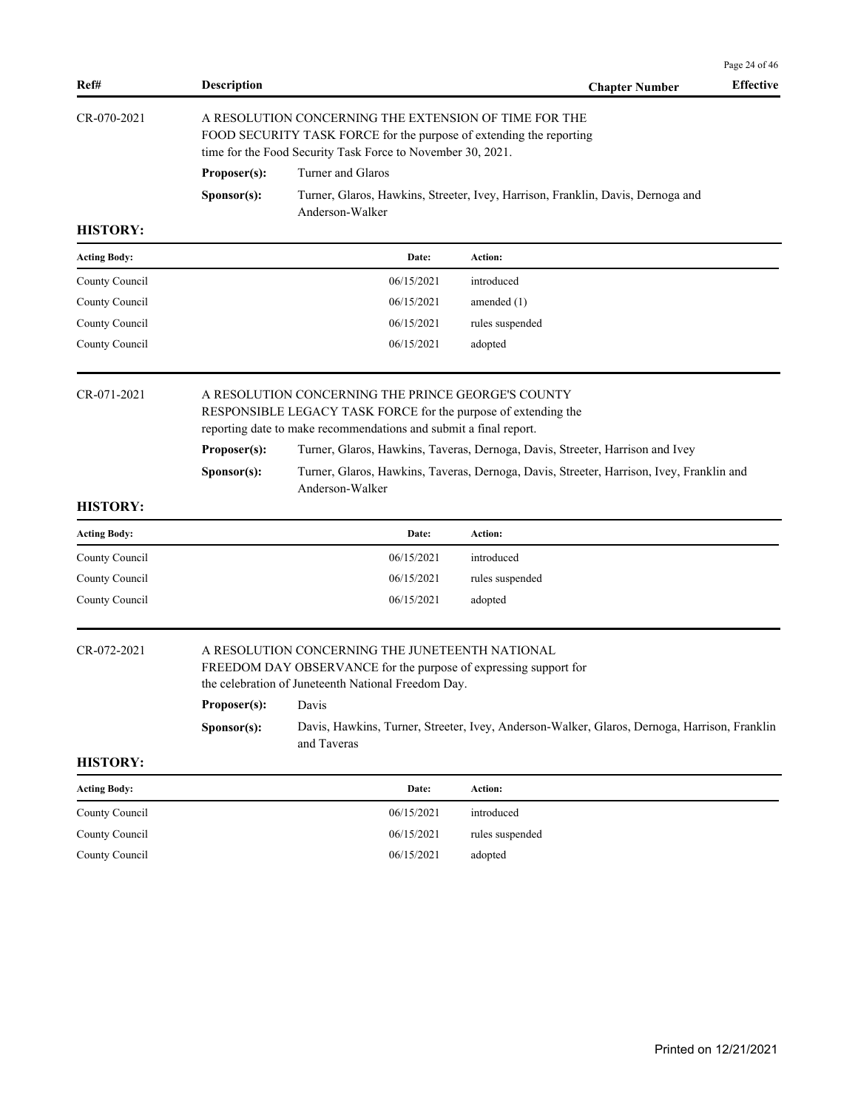| Ref#                | <b>Description</b>                                                                                                                                                                        |                                                                                                                                                                                             | <b>Chapter Number</b>                                                                        | Page 24 of 46<br><b>Effective</b> |  |  |
|---------------------|-------------------------------------------------------------------------------------------------------------------------------------------------------------------------------------------|---------------------------------------------------------------------------------------------------------------------------------------------------------------------------------------------|----------------------------------------------------------------------------------------------|-----------------------------------|--|--|
| CR-070-2021         |                                                                                                                                                                                           | A RESOLUTION CONCERNING THE EXTENSION OF TIME FOR THE<br>FOOD SECURITY TASK FORCE for the purpose of extending the reporting<br>time for the Food Security Task Force to November 30, 2021. |                                                                                              |                                   |  |  |
|                     | Proposer(s):                                                                                                                                                                              | Turner and Glaros                                                                                                                                                                           |                                                                                              |                                   |  |  |
|                     | Sponsor(s):                                                                                                                                                                               | Anderson-Walker                                                                                                                                                                             | Turner, Glaros, Hawkins, Streeter, Ivey, Harrison, Franklin, Davis, Dernoga and              |                                   |  |  |
| <b>HISTORY:</b>     |                                                                                                                                                                                           |                                                                                                                                                                                             |                                                                                              |                                   |  |  |
| <b>Acting Body:</b> |                                                                                                                                                                                           | Date:                                                                                                                                                                                       | Action:                                                                                      |                                   |  |  |
| County Council      |                                                                                                                                                                                           | 06/15/2021                                                                                                                                                                                  | introduced                                                                                   |                                   |  |  |
| County Council      |                                                                                                                                                                                           | 06/15/2021                                                                                                                                                                                  | amended $(1)$                                                                                |                                   |  |  |
| County Council      |                                                                                                                                                                                           | 06/15/2021                                                                                                                                                                                  | rules suspended                                                                              |                                   |  |  |
| County Council      |                                                                                                                                                                                           | 06/15/2021                                                                                                                                                                                  | adopted                                                                                      |                                   |  |  |
| CR-071-2021         | A RESOLUTION CONCERNING THE PRINCE GEORGE'S COUNTY<br>RESPONSIBLE LEGACY TASK FORCE for the purpose of extending the<br>reporting date to make recommendations and submit a final report. |                                                                                                                                                                                             |                                                                                              |                                   |  |  |
|                     | Proposer(s):                                                                                                                                                                              |                                                                                                                                                                                             | Turner, Glaros, Hawkins, Taveras, Dernoga, Davis, Streeter, Harrison and Ivey                |                                   |  |  |
|                     | Sponsor(s):                                                                                                                                                                               | Anderson-Walker                                                                                                                                                                             | Turner, Glaros, Hawkins, Taveras, Dernoga, Davis, Streeter, Harrison, Ivey, Franklin and     |                                   |  |  |
| <b>HISTORY:</b>     |                                                                                                                                                                                           |                                                                                                                                                                                             |                                                                                              |                                   |  |  |
| Acting Body:        |                                                                                                                                                                                           | Date:                                                                                                                                                                                       | <b>Action:</b>                                                                               |                                   |  |  |
| County Council      |                                                                                                                                                                                           | 06/15/2021                                                                                                                                                                                  | introduced                                                                                   |                                   |  |  |
| County Council      |                                                                                                                                                                                           | 06/15/2021                                                                                                                                                                                  | rules suspended                                                                              |                                   |  |  |
| County Council      |                                                                                                                                                                                           | 06/15/2021                                                                                                                                                                                  | adopted                                                                                      |                                   |  |  |
| CR-072-2021         |                                                                                                                                                                                           | A RESOLUTION CONCERNING THE JUNETEENTH NATIONAL<br>FREEDOM DAY OBSERVANCE for the purpose of expressing support for<br>the celebration of Juneteenth National Freedom Day.                  |                                                                                              |                                   |  |  |
|                     | Proposer(s):                                                                                                                                                                              | Davis                                                                                                                                                                                       |                                                                                              |                                   |  |  |
|                     | Sponsor(s):                                                                                                                                                                               | and Taveras                                                                                                                                                                                 | Davis, Hawkins, Turner, Streeter, Ivey, Anderson-Walker, Glaros, Dernoga, Harrison, Franklin |                                   |  |  |
| <b>HISTORY:</b>     |                                                                                                                                                                                           |                                                                                                                                                                                             |                                                                                              |                                   |  |  |
| <b>Acting Body:</b> |                                                                                                                                                                                           | Date:                                                                                                                                                                                       | Action:                                                                                      |                                   |  |  |
| County Council      |                                                                                                                                                                                           | 06/15/2021                                                                                                                                                                                  | introduced                                                                                   |                                   |  |  |
| County Council      |                                                                                                                                                                                           | 06/15/2021                                                                                                                                                                                  | rules suspended                                                                              |                                   |  |  |
| County Council      |                                                                                                                                                                                           | 06/15/2021                                                                                                                                                                                  | adopted                                                                                      |                                   |  |  |
|                     |                                                                                                                                                                                           |                                                                                                                                                                                             |                                                                                              |                                   |  |  |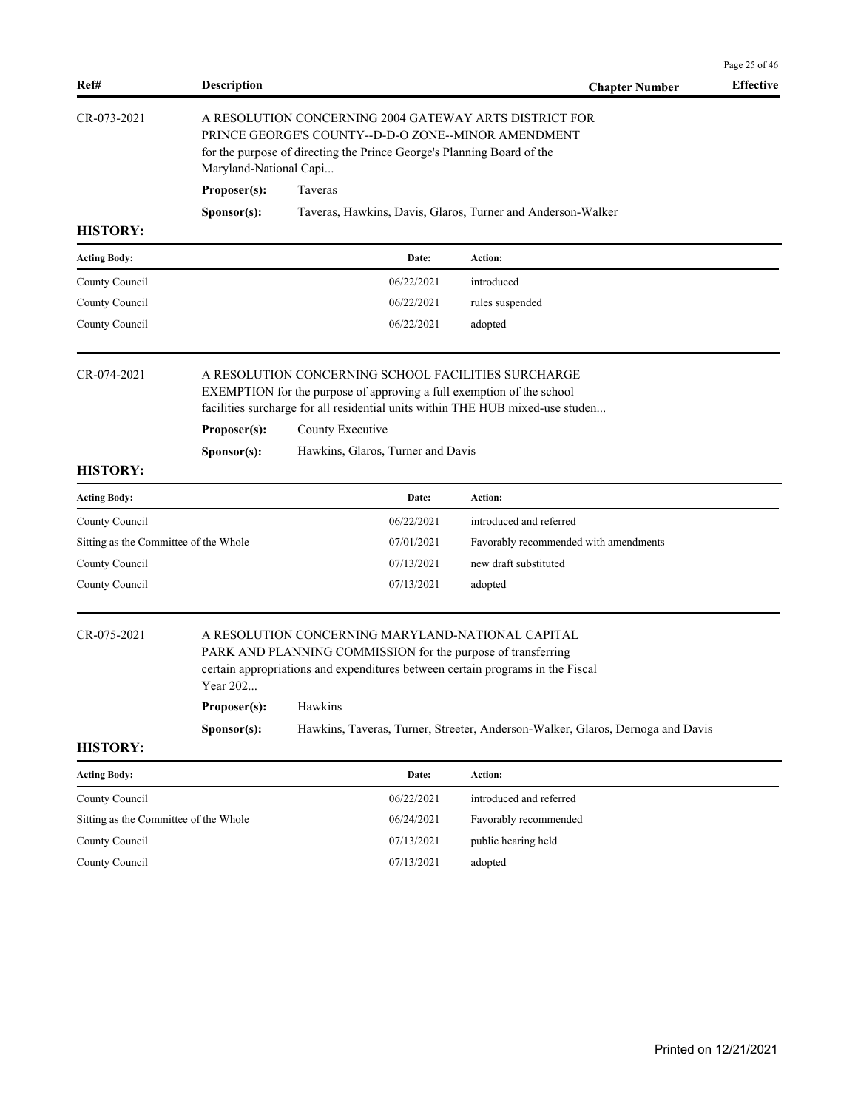| Ref#                                  | <b>Description</b>                              |                                                                                                                                                                                                                                                                         | <b>Chapter Number</b>                                                          | <b>Effective</b>      |
|---------------------------------------|-------------------------------------------------|-------------------------------------------------------------------------------------------------------------------------------------------------------------------------------------------------------------------------------------------------------------------------|--------------------------------------------------------------------------------|-----------------------|
| CR-073-2021                           |                                                 | A RESOLUTION CONCERNING 2004 GATEWAY ARTS DISTRICT FOR<br>PRINCE GEORGE'S COUNTY--D-D-O ZONE--MINOR AMENDMENT<br>for the purpose of directing the Prince George's Planning Board of the                                                                                 |                                                                                |                       |
|                                       | Maryland-National Capi                          |                                                                                                                                                                                                                                                                         |                                                                                |                       |
|                                       | Proposer(s):                                    | Taveras                                                                                                                                                                                                                                                                 |                                                                                |                       |
| <b>HISTORY:</b>                       | Sponsor(s):                                     |                                                                                                                                                                                                                                                                         | Taveras, Hawkins, Davis, Glaros, Turner and Anderson-Walker                    |                       |
|                                       |                                                 |                                                                                                                                                                                                                                                                         |                                                                                |                       |
| <b>Acting Body:</b>                   |                                                 | Date:                                                                                                                                                                                                                                                                   | Action:                                                                        |                       |
| County Council                        |                                                 | 06/22/2021                                                                                                                                                                                                                                                              | introduced                                                                     |                       |
| County Council                        |                                                 | 06/22/2021                                                                                                                                                                                                                                                              | rules suspended                                                                |                       |
| County Council                        |                                                 | 06/22/2021                                                                                                                                                                                                                                                              | adopted                                                                        |                       |
| CR-074-2021                           | Proposer(s):<br>Sponsor(s):                     | A RESOLUTION CONCERNING SCHOOL FACILITIES SURCHARGE<br>EXEMPTION for the purpose of approving a full exemption of the school<br>facilities surcharge for all residential units within THE HUB mixed-use studen<br>County Executive<br>Hawkins, Glaros, Turner and Davis |                                                                                |                       |
| <b>HISTORY:</b>                       |                                                 |                                                                                                                                                                                                                                                                         |                                                                                |                       |
| <b>Acting Body:</b>                   |                                                 | Date:                                                                                                                                                                                                                                                                   | Action:                                                                        |                       |
| County Council                        |                                                 | 06/22/2021                                                                                                                                                                                                                                                              | introduced and referred                                                        |                       |
| Sitting as the Committee of the Whole |                                                 | 07/01/2021                                                                                                                                                                                                                                                              | Favorably recommended with amendments                                          |                       |
| County Council                        |                                                 | 07/13/2021                                                                                                                                                                                                                                                              | new draft substituted                                                          |                       |
| County Council                        |                                                 | 07/13/2021                                                                                                                                                                                                                                                              | adopted                                                                        |                       |
| CR-075-2021<br><b>HISTORY:</b>        | Year 202<br>Proposer(s): Hawkins<br>Sponsor(s): | A RESOLUTION CONCERNING MARYLAND-NATIONAL CAPITAL<br>PARK AND PLANNING COMMISSION for the purpose of transferring<br>certain appropriations and expenditures between certain programs in the Fiscal                                                                     | Hawkins, Taveras, Turner, Streeter, Anderson-Walker, Glaros, Dernoga and Davis |                       |
| <b>Acting Body:</b>                   |                                                 | Date:                                                                                                                                                                                                                                                                   | Action:                                                                        |                       |
| County Council                        |                                                 | 06/22/2021                                                                                                                                                                                                                                                              | introduced and referred                                                        |                       |
| Sitting as the Committee of the Whole |                                                 | 06/24/2021                                                                                                                                                                                                                                                              | Favorably recommended                                                          |                       |
| County Council                        |                                                 | 07/13/2021                                                                                                                                                                                                                                                              | public hearing held                                                            |                       |
| County Council                        |                                                 | 07/13/2021                                                                                                                                                                                                                                                              | adopted                                                                        |                       |
|                                       |                                                 |                                                                                                                                                                                                                                                                         |                                                                                |                       |
|                                       |                                                 |                                                                                                                                                                                                                                                                         |                                                                                |                       |
|                                       |                                                 |                                                                                                                                                                                                                                                                         |                                                                                | Printed on 12/21/2021 |

Page 25 of 46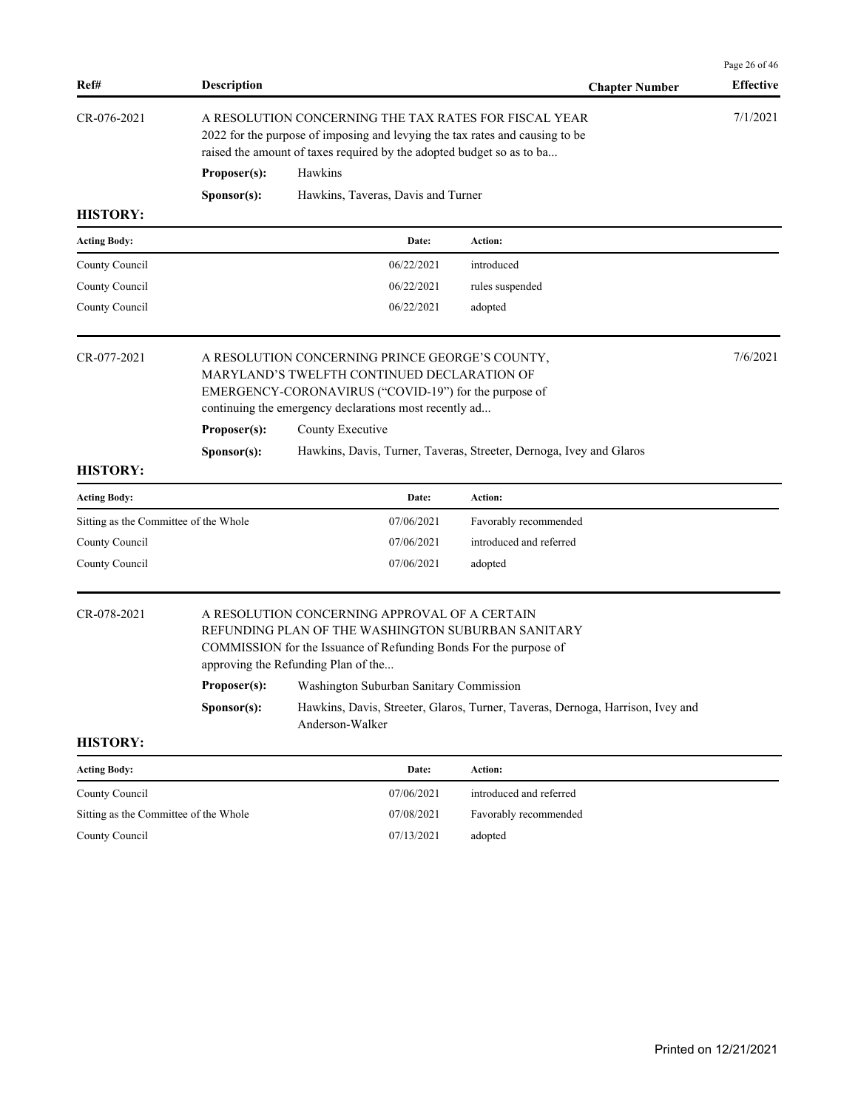| Ref#                                  | <b>Description</b>                                                                                                                                                                                                |                                                                                                                                                                                                                 | <b>Chapter Number</b>                                                          | Page 26 of 46<br><b>Effective</b> |
|---------------------------------------|-------------------------------------------------------------------------------------------------------------------------------------------------------------------------------------------------------------------|-----------------------------------------------------------------------------------------------------------------------------------------------------------------------------------------------------------------|--------------------------------------------------------------------------------|-----------------------------------|
| CR-076-2021                           | A RESOLUTION CONCERNING THE TAX RATES FOR FISCAL YEAR<br>2022 for the purpose of imposing and levying the tax rates and causing to be<br>raised the amount of taxes required by the adopted budget so as to ba    |                                                                                                                                                                                                                 |                                                                                | 7/1/2021                          |
|                                       | Proposer(s):                                                                                                                                                                                                      | Hawkins                                                                                                                                                                                                         |                                                                                |                                   |
|                                       | Sponsor(s):                                                                                                                                                                                                       | Hawkins, Taveras, Davis and Turner                                                                                                                                                                              |                                                                                |                                   |
| <b>HISTORY:</b>                       |                                                                                                                                                                                                                   |                                                                                                                                                                                                                 |                                                                                |                                   |
| <b>Acting Body:</b>                   |                                                                                                                                                                                                                   | Date:                                                                                                                                                                                                           | <b>Action:</b>                                                                 |                                   |
| County Council                        |                                                                                                                                                                                                                   | 06/22/2021                                                                                                                                                                                                      | introduced                                                                     |                                   |
| County Council                        |                                                                                                                                                                                                                   | 06/22/2021                                                                                                                                                                                                      | rules suspended                                                                |                                   |
| County Council                        |                                                                                                                                                                                                                   | 06/22/2021                                                                                                                                                                                                      | adopted                                                                        |                                   |
| CR-077-2021                           | A RESOLUTION CONCERNING PRINCE GEORGE'S COUNTY,<br>MARYLAND'S TWELFTH CONTINUED DECLARATION OF<br>EMERGENCY-CORONAVIRUS ("COVID-19") for the purpose of<br>continuing the emergency declarations most recently ad |                                                                                                                                                                                                                 |                                                                                | 7/6/2021                          |
|                                       | Proposer(s):<br>County Executive                                                                                                                                                                                  |                                                                                                                                                                                                                 |                                                                                |                                   |
|                                       | Sponsor(s):                                                                                                                                                                                                       |                                                                                                                                                                                                                 | Hawkins, Davis, Turner, Taveras, Streeter, Dernoga, Ivey and Glaros            |                                   |
| <b>HISTORY:</b>                       |                                                                                                                                                                                                                   |                                                                                                                                                                                                                 |                                                                                |                                   |
| <b>Acting Body:</b>                   |                                                                                                                                                                                                                   | Date:                                                                                                                                                                                                           | Action:                                                                        |                                   |
| Sitting as the Committee of the Whole |                                                                                                                                                                                                                   | 07/06/2021                                                                                                                                                                                                      | Favorably recommended                                                          |                                   |
| County Council                        |                                                                                                                                                                                                                   | 07/06/2021                                                                                                                                                                                                      | introduced and referred                                                        |                                   |
| County Council                        |                                                                                                                                                                                                                   | 07/06/2021                                                                                                                                                                                                      | adopted                                                                        |                                   |
| CR-078-2021                           |                                                                                                                                                                                                                   | A RESOLUTION CONCERNING APPROVAL OF A CERTAIN<br>REFUNDING PLAN OF THE WASHINGTON SUBURBAN SANITARY<br>COMMISSION for the Issuance of Refunding Bonds For the purpose of<br>approving the Refunding Plan of the |                                                                                |                                   |
|                                       |                                                                                                                                                                                                                   | Proposer(s): Washington Suburban Sanitary Commission                                                                                                                                                            |                                                                                |                                   |
|                                       | Sponsor(s):                                                                                                                                                                                                       | Anderson-Walker                                                                                                                                                                                                 | Hawkins, Davis, Streeter, Glaros, Turner, Taveras, Dernoga, Harrison, Ivey and |                                   |
| <b>HISTORY:</b>                       |                                                                                                                                                                                                                   |                                                                                                                                                                                                                 |                                                                                |                                   |
| <b>Acting Body:</b>                   |                                                                                                                                                                                                                   | Date:                                                                                                                                                                                                           | Action:                                                                        |                                   |
| County Council                        |                                                                                                                                                                                                                   | 07/06/2021                                                                                                                                                                                                      | introduced and referred                                                        |                                   |
| Sitting as the Committee of the Whole |                                                                                                                                                                                                                   | 07/08/2021                                                                                                                                                                                                      | Favorably recommended                                                          |                                   |

County Council 07/13/2021 adopted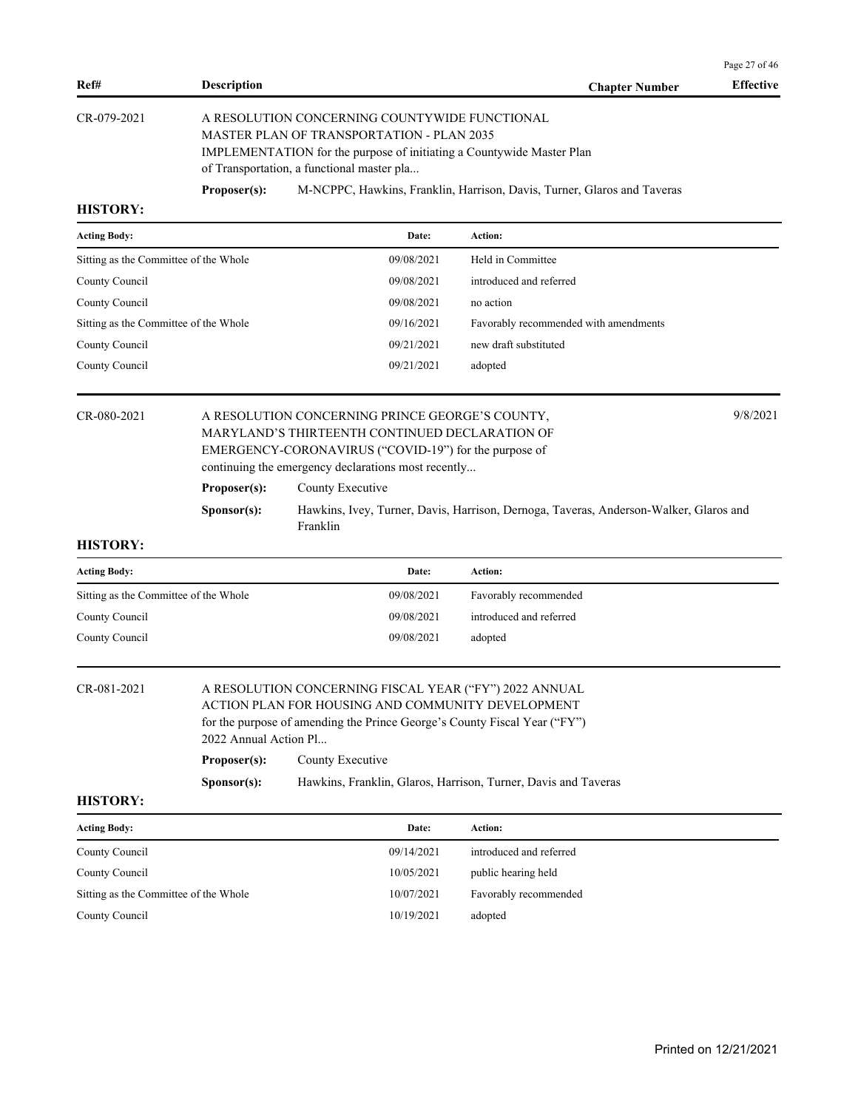|                                       |                      |                                                                                                                                                                                                                          |                                                                                       | Page 27 of 46    |
|---------------------------------------|----------------------|--------------------------------------------------------------------------------------------------------------------------------------------------------------------------------------------------------------------------|---------------------------------------------------------------------------------------|------------------|
| Ref#                                  | <b>Description</b>   |                                                                                                                                                                                                                          | <b>Chapter Number</b>                                                                 | <b>Effective</b> |
| CR-079-2021                           |                      | A RESOLUTION CONCERNING COUNTYWIDE FUNCTIONAL<br><b>MASTER PLAN OF TRANSPORTATION - PLAN 2035</b><br>IMPLEMENTATION for the purpose of initiating a Countywide Master Plan<br>of Transportation, a functional master pla |                                                                                       |                  |
|                                       | Proposer(s):         |                                                                                                                                                                                                                          | M-NCPPC, Hawkins, Franklin, Harrison, Davis, Turner, Glaros and Taveras               |                  |
| <b>HISTORY:</b>                       |                      |                                                                                                                                                                                                                          |                                                                                       |                  |
| <b>Acting Body:</b>                   |                      | Date:                                                                                                                                                                                                                    | <b>Action:</b>                                                                        |                  |
| Sitting as the Committee of the Whole |                      | 09/08/2021                                                                                                                                                                                                               | Held in Committee                                                                     |                  |
| County Council                        |                      | 09/08/2021                                                                                                                                                                                                               | introduced and referred                                                               |                  |
| County Council                        |                      | 09/08/2021                                                                                                                                                                                                               | no action                                                                             |                  |
| Sitting as the Committee of the Whole |                      | 09/16/2021                                                                                                                                                                                                               | Favorably recommended with amendments                                                 |                  |
| County Council                        |                      | 09/21/2021                                                                                                                                                                                                               | new draft substituted                                                                 |                  |
| County Council                        |                      | 09/21/2021                                                                                                                                                                                                               | adopted                                                                               |                  |
| CR-080-2021                           |                      | A RESOLUTION CONCERNING PRINCE GEORGE'S COUNTY,<br>MARYLAND'S THIRTEENTH CONTINUED DECLARATION OF<br>EMERGENCY-CORONAVIRUS ("COVID-19") for the purpose of<br>continuing the emergency declarations most recently        |                                                                                       | 9/8/2021         |
|                                       | Proposer(s):         | County Executive                                                                                                                                                                                                         |                                                                                       |                  |
|                                       | S <b>p</b> onsor(s): | Franklin                                                                                                                                                                                                                 | Hawkins, Ivey, Turner, Davis, Harrison, Dernoga, Taveras, Anderson-Walker, Glaros and |                  |
| <b>HISTORY:</b>                       |                      |                                                                                                                                                                                                                          |                                                                                       |                  |
| Acting Body:                          |                      | Date:                                                                                                                                                                                                                    | Action:                                                                               |                  |
| Sitting as the Committee of the Whole |                      | 09/08/2021                                                                                                                                                                                                               | Favorably recommended                                                                 |                  |

| Sitting as the Committee of the Whole | 09/08/2021 | Favorably recommended   |
|---------------------------------------|------------|-------------------------|
| County Council                        | 09/08/2021 | introduced and referred |
| County Council                        | 09/08/2021 | adopted                 |
|                                       |            |                         |

| CR-081-2021 | A RESOLUTION CONCERNING FISCAL YEAR ("FY") 2022 ANNUAL                    |  |  |  |
|-------------|---------------------------------------------------------------------------|--|--|--|
|             | ACTION PLAN FOR HOUSING AND COMMUNITY DEVELOPMENT                         |  |  |  |
|             | for the purpose of amending the Prince George's County Fiscal Year ("FY") |  |  |  |
|             | 2022 Annual Action Pl                                                     |  |  |  |
|             | $\mathbf{n}$ $\alpha$ $\alpha$                                            |  |  |  |

**Proposer(s):** County Executive

# **Sponsor(s):** Hawkins, Franklin, Glaros, Harrison, Turner, Davis and Taveras

| <b>Acting Body:</b>                   | Date:      | Action:                 |
|---------------------------------------|------------|-------------------------|
| County Council                        | 09/14/2021 | introduced and referred |
| County Council                        | 10/05/2021 | public hearing held     |
| Sitting as the Committee of the Whole | 10/07/2021 | Favorably recommended   |
| County Council                        | 10/19/2021 | adopted                 |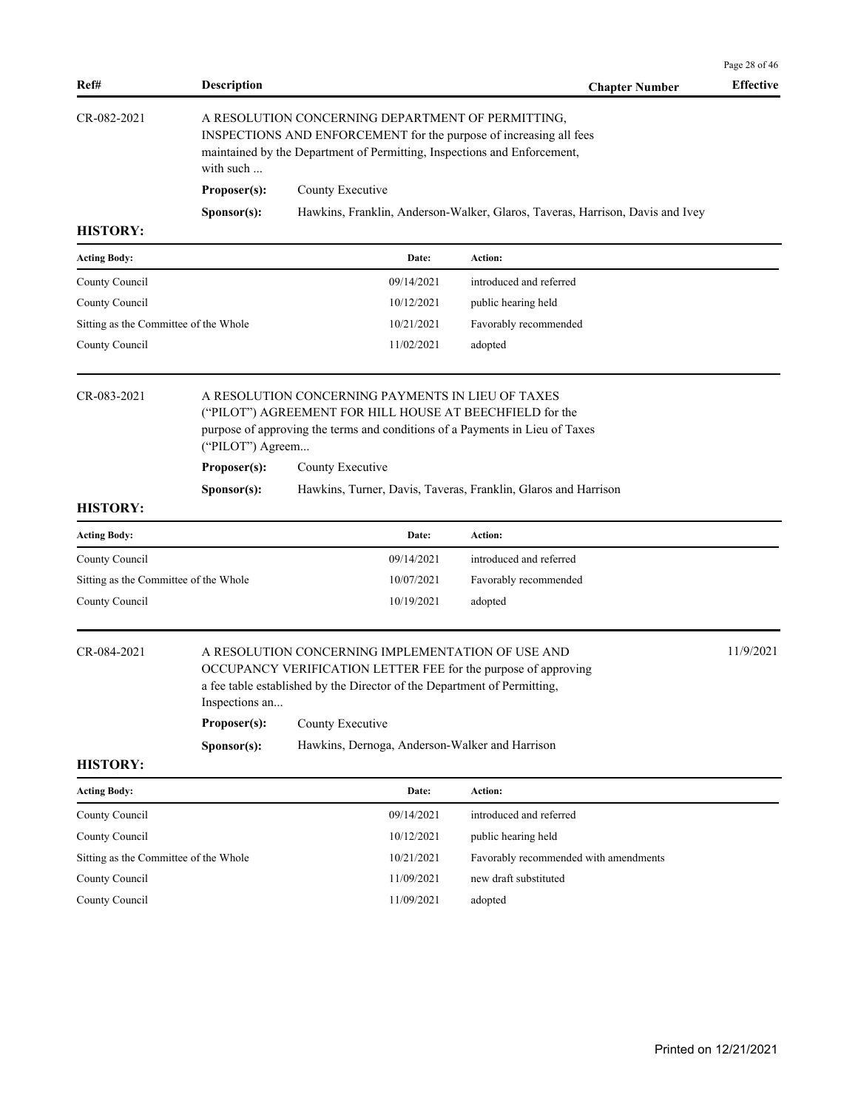|                                       |                                                                                                                                                                                                                   |                                                                                                                                                                                                                     |                                                                               | Page 28 of 46    |  |  |
|---------------------------------------|-------------------------------------------------------------------------------------------------------------------------------------------------------------------------------------------------------------------|---------------------------------------------------------------------------------------------------------------------------------------------------------------------------------------------------------------------|-------------------------------------------------------------------------------|------------------|--|--|
| Ref#                                  | <b>Description</b>                                                                                                                                                                                                |                                                                                                                                                                                                                     | <b>Chapter Number</b>                                                         | <b>Effective</b> |  |  |
| CR-082-2021                           | A RESOLUTION CONCERNING DEPARTMENT OF PERMITTING,<br>INSPECTIONS AND ENFORCEMENT for the purpose of increasing all fees<br>maintained by the Department of Permitting, Inspections and Enforcement,<br>with such  |                                                                                                                                                                                                                     |                                                                               |                  |  |  |
|                                       | Proposer(s):                                                                                                                                                                                                      | County Executive                                                                                                                                                                                                    |                                                                               |                  |  |  |
|                                       | Sponsor(s):                                                                                                                                                                                                       |                                                                                                                                                                                                                     | Hawkins, Franklin, Anderson-Walker, Glaros, Taveras, Harrison, Davis and Ivey |                  |  |  |
| <b>HISTORY:</b>                       |                                                                                                                                                                                                                   |                                                                                                                                                                                                                     |                                                                               |                  |  |  |
| <b>Acting Body:</b>                   |                                                                                                                                                                                                                   | Date:                                                                                                                                                                                                               | <b>Action:</b>                                                                |                  |  |  |
| County Council                        |                                                                                                                                                                                                                   | 09/14/2021                                                                                                                                                                                                          | introduced and referred                                                       |                  |  |  |
| County Council                        |                                                                                                                                                                                                                   | 10/12/2021                                                                                                                                                                                                          | public hearing held                                                           |                  |  |  |
| Sitting as the Committee of the Whole |                                                                                                                                                                                                                   | 10/21/2021                                                                                                                                                                                                          | Favorably recommended                                                         |                  |  |  |
| County Council                        |                                                                                                                                                                                                                   | 11/02/2021                                                                                                                                                                                                          | adopted                                                                       |                  |  |  |
| CR-083-2021                           | A RESOLUTION CONCERNING PAYMENTS IN LIEU OF TAXES<br>("PILOT") AGREEMENT FOR HILL HOUSE AT BEECHFIELD for the<br>purpose of approving the terms and conditions of a Payments in Lieu of Taxes<br>("PILOT") Agreem |                                                                                                                                                                                                                     |                                                                               |                  |  |  |
|                                       | Proposer(s):                                                                                                                                                                                                      | County Executive                                                                                                                                                                                                    |                                                                               |                  |  |  |
|                                       |                                                                                                                                                                                                                   |                                                                                                                                                                                                                     |                                                                               |                  |  |  |
| <b>HISTORY:</b>                       | Sponsor(s):                                                                                                                                                                                                       |                                                                                                                                                                                                                     | Hawkins, Turner, Davis, Taveras, Franklin, Glaros and Harrison                |                  |  |  |
| <b>Acting Body:</b>                   |                                                                                                                                                                                                                   | Date:                                                                                                                                                                                                               | <b>Action:</b>                                                                |                  |  |  |
| County Council                        |                                                                                                                                                                                                                   | 09/14/2021                                                                                                                                                                                                          | introduced and referred                                                       |                  |  |  |
| Sitting as the Committee of the Whole |                                                                                                                                                                                                                   | 10/07/2021                                                                                                                                                                                                          | Favorably recommended                                                         |                  |  |  |
| County Council                        |                                                                                                                                                                                                                   | 10/19/2021                                                                                                                                                                                                          | adopted                                                                       |                  |  |  |
| CR-084-2021                           | Inspections an<br>Proposer(s):                                                                                                                                                                                    | A RESOLUTION CONCERNING IMPLEMENTATION OF USE AND<br>OCCUPANCY VERIFICATION LETTER FEE for the purpose of approving<br>a fee table established by the Director of the Department of Permitting,<br>County Executive |                                                                               | 11/9/2021        |  |  |
|                                       |                                                                                                                                                                                                                   |                                                                                                                                                                                                                     |                                                                               |                  |  |  |
| <b>HISTORY:</b>                       | Sponsor(s):                                                                                                                                                                                                       | Hawkins, Dernoga, Anderson-Walker and Harrison                                                                                                                                                                      |                                                                               |                  |  |  |
| <b>Acting Body:</b>                   |                                                                                                                                                                                                                   | Date:                                                                                                                                                                                                               | Action:                                                                       |                  |  |  |
| County Council                        |                                                                                                                                                                                                                   | 09/14/2021                                                                                                                                                                                                          | introduced and referred                                                       |                  |  |  |
| County Council                        |                                                                                                                                                                                                                   | 10/12/2021                                                                                                                                                                                                          | public hearing held                                                           |                  |  |  |
| Sitting as the Committee of the Whole |                                                                                                                                                                                                                   | 10/21/2021                                                                                                                                                                                                          | Favorably recommended with amendments                                         |                  |  |  |
| County Council                        |                                                                                                                                                                                                                   | 11/09/2021                                                                                                                                                                                                          | new draft substituted                                                         |                  |  |  |
| County Council                        |                                                                                                                                                                                                                   | 11/09/2021                                                                                                                                                                                                          | adopted                                                                       |                  |  |  |
|                                       |                                                                                                                                                                                                                   |                                                                                                                                                                                                                     |                                                                               |                  |  |  |
|                                       |                                                                                                                                                                                                                   |                                                                                                                                                                                                                     |                                                                               |                  |  |  |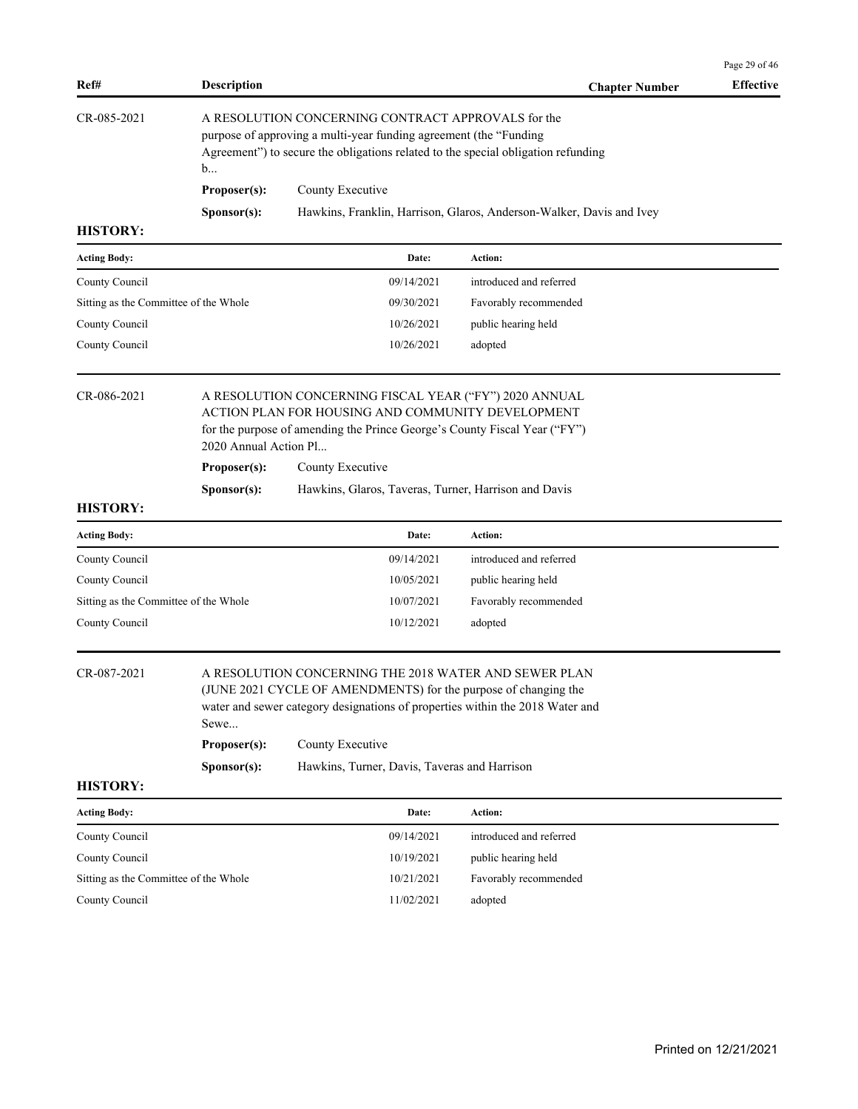|                                       |                                                                                                                                                                                                                   |                                                                                                                                                                                                           |                                                                      | Page 29 of 46    |  |  |
|---------------------------------------|-------------------------------------------------------------------------------------------------------------------------------------------------------------------------------------------------------------------|-----------------------------------------------------------------------------------------------------------------------------------------------------------------------------------------------------------|----------------------------------------------------------------------|------------------|--|--|
| Ref#                                  | <b>Description</b>                                                                                                                                                                                                |                                                                                                                                                                                                           | <b>Chapter Number</b>                                                | <b>Effective</b> |  |  |
| CR-085-2021                           | A RESOLUTION CONCERNING CONTRACT APPROVALS for the<br>purpose of approving a multi-year funding agreement (the "Funding<br>Agreement") to secure the obligations related to the special obligation refunding<br>b |                                                                                                                                                                                                           |                                                                      |                  |  |  |
|                                       | Proposer(s):                                                                                                                                                                                                      | County Executive                                                                                                                                                                                          |                                                                      |                  |  |  |
|                                       | Sponsor(s):                                                                                                                                                                                                       |                                                                                                                                                                                                           | Hawkins, Franklin, Harrison, Glaros, Anderson-Walker, Davis and Ivey |                  |  |  |
| <b>HISTORY:</b>                       |                                                                                                                                                                                                                   |                                                                                                                                                                                                           |                                                                      |                  |  |  |
| <b>Acting Body:</b>                   |                                                                                                                                                                                                                   | Date:                                                                                                                                                                                                     | <b>Action:</b>                                                       |                  |  |  |
| County Council                        |                                                                                                                                                                                                                   | 09/14/2021                                                                                                                                                                                                | introduced and referred                                              |                  |  |  |
| Sitting as the Committee of the Whole |                                                                                                                                                                                                                   | 09/30/2021                                                                                                                                                                                                | Favorably recommended                                                |                  |  |  |
| County Council                        |                                                                                                                                                                                                                   | 10/26/2021                                                                                                                                                                                                | public hearing held                                                  |                  |  |  |
| County Council                        |                                                                                                                                                                                                                   | 10/26/2021                                                                                                                                                                                                | adopted                                                              |                  |  |  |
| CR-086-2021                           | 2020 Annual Action Pl                                                                                                                                                                                             | A RESOLUTION CONCERNING FISCAL YEAR ("FY") 2020 ANNUAL<br>ACTION PLAN FOR HOUSING AND COMMUNITY DEVELOPMENT<br>for the purpose of amending the Prince George's County Fiscal Year ("FY")                  |                                                                      |                  |  |  |
|                                       | Proposer(s):                                                                                                                                                                                                      | County Executive                                                                                                                                                                                          |                                                                      |                  |  |  |
|                                       | Sponsor(s):                                                                                                                                                                                                       | Hawkins, Glaros, Taveras, Turner, Harrison and Davis                                                                                                                                                      |                                                                      |                  |  |  |
| <b>HISTORY:</b>                       |                                                                                                                                                                                                                   |                                                                                                                                                                                                           |                                                                      |                  |  |  |
| <b>Acting Body:</b>                   |                                                                                                                                                                                                                   | Date:                                                                                                                                                                                                     | <b>Action:</b>                                                       |                  |  |  |
| County Council                        |                                                                                                                                                                                                                   | 09/14/2021                                                                                                                                                                                                | introduced and referred                                              |                  |  |  |
| County Council                        |                                                                                                                                                                                                                   | 10/05/2021                                                                                                                                                                                                | public hearing held                                                  |                  |  |  |
| Sitting as the Committee of the Whole |                                                                                                                                                                                                                   | 10/07/2021                                                                                                                                                                                                | Favorably recommended                                                |                  |  |  |
| County Council                        |                                                                                                                                                                                                                   | 10/12/2021                                                                                                                                                                                                | adopted                                                              |                  |  |  |
| CR-087-2021                           | Sewe                                                                                                                                                                                                              | A RESOLUTION CONCERNING THE 2018 WATER AND SEWER PLAN<br>(JUNE 2021 CYCLE OF AMENDMENTS) for the purpose of changing the<br>water and sewer category designations of properties within the 2018 Water and |                                                                      |                  |  |  |
|                                       | Proposer(s):                                                                                                                                                                                                      | County Executive                                                                                                                                                                                          |                                                                      |                  |  |  |
| <b>HISTORY:</b>                       | Sponsor(s):                                                                                                                                                                                                       | Hawkins, Turner, Davis, Taveras and Harrison                                                                                                                                                              |                                                                      |                  |  |  |
| <b>Acting Body:</b>                   |                                                                                                                                                                                                                   | Date:                                                                                                                                                                                                     | Action:                                                              |                  |  |  |
| County Council                        |                                                                                                                                                                                                                   | 09/14/2021                                                                                                                                                                                                | introduced and referred                                              |                  |  |  |
| County Council                        |                                                                                                                                                                                                                   | 10/19/2021                                                                                                                                                                                                | public hearing held                                                  |                  |  |  |
| Sitting as the Committee of the Whole |                                                                                                                                                                                                                   | 10/21/2021                                                                                                                                                                                                | Favorably recommended                                                |                  |  |  |
| County Council                        |                                                                                                                                                                                                                   | 11/02/2021                                                                                                                                                                                                | adopted                                                              |                  |  |  |
|                                       |                                                                                                                                                                                                                   |                                                                                                                                                                                                           |                                                                      |                  |  |  |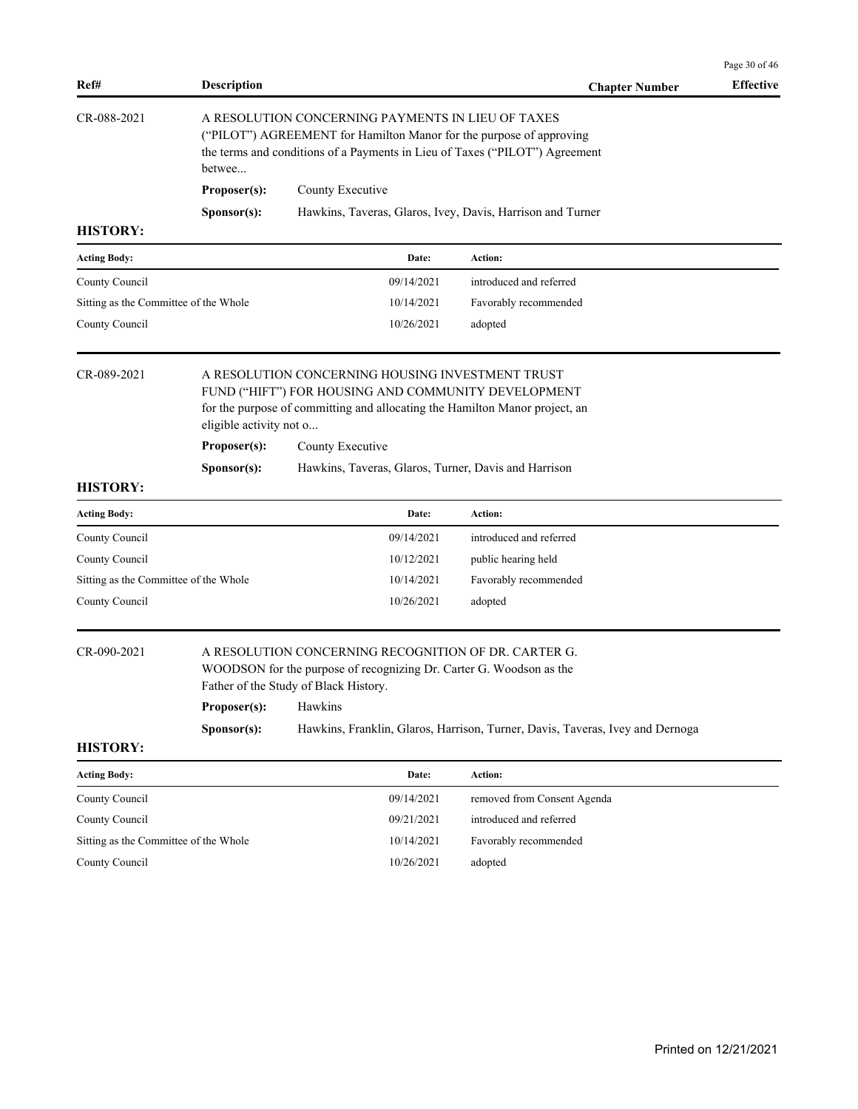| Ref#                                  | <b>Description</b>      |                                                                                                                                                                                                         | <b>Chapter Number</b>                                                         | <b>Effective</b> |
|---------------------------------------|-------------------------|---------------------------------------------------------------------------------------------------------------------------------------------------------------------------------------------------------|-------------------------------------------------------------------------------|------------------|
| CR-088-2021                           | betwee                  | A RESOLUTION CONCERNING PAYMENTS IN LIEU OF TAXES<br>("PILOT") AGREEMENT for Hamilton Manor for the purpose of approving<br>the terms and conditions of a Payments in Lieu of Taxes ("PILOT") Agreement |                                                                               |                  |
|                                       | Proposer(s):            | County Executive                                                                                                                                                                                        |                                                                               |                  |
|                                       | Sponsor(s):             | Hawkins, Taveras, Glaros, Ivey, Davis, Harrison and Turner                                                                                                                                              |                                                                               |                  |
| <b>HISTORY:</b>                       |                         |                                                                                                                                                                                                         |                                                                               |                  |
| <b>Acting Body:</b>                   |                         | Date:                                                                                                                                                                                                   | Action:                                                                       |                  |
| County Council                        |                         | 09/14/2021                                                                                                                                                                                              | introduced and referred                                                       |                  |
| Sitting as the Committee of the Whole |                         | 10/14/2021                                                                                                                                                                                              | Favorably recommended                                                         |                  |
| County Council                        |                         | 10/26/2021                                                                                                                                                                                              | adopted                                                                       |                  |
| CR-089-2021                           | eligible activity not o | A RESOLUTION CONCERNING HOUSING INVESTMENT TRUST<br>FUND ("HIFT") FOR HOUSING AND COMMUNITY DEVELOPMENT<br>for the purpose of committing and allocating the Hamilton Manor project, an                  |                                                                               |                  |
|                                       | Proposer(s):            | County Executive                                                                                                                                                                                        |                                                                               |                  |
|                                       | Sponsor(s):             | Hawkins, Taveras, Glaros, Turner, Davis and Harrison                                                                                                                                                    |                                                                               |                  |
| <b>HISTORY:</b>                       |                         |                                                                                                                                                                                                         |                                                                               |                  |
| <b>Acting Body:</b>                   |                         | Date:                                                                                                                                                                                                   | Action:                                                                       |                  |
| County Council                        |                         | 09/14/2021                                                                                                                                                                                              | introduced and referred                                                       |                  |
| County Council                        |                         | 10/12/2021                                                                                                                                                                                              | public hearing held                                                           |                  |
| Sitting as the Committee of the Whole |                         | 10/14/2021                                                                                                                                                                                              | Favorably recommended                                                         |                  |
| County Council                        |                         | 10/26/2021                                                                                                                                                                                              | adopted                                                                       |                  |
| CR-090-2021                           |                         | A RESOLUTION CONCERNING RECOGNITION OF DR. CARTER G.<br>WOODSON for the purpose of recognizing Dr. Carter G. Woodson as the<br>Father of the Study of Black History.                                    |                                                                               |                  |
|                                       | Proposer(s): Hawkins    |                                                                                                                                                                                                         |                                                                               |                  |
|                                       | Sponsor(s):             |                                                                                                                                                                                                         | Hawkins, Franklin, Glaros, Harrison, Turner, Davis, Taveras, Ivey and Dernoga |                  |
| <b>HISTORY:</b>                       |                         |                                                                                                                                                                                                         |                                                                               |                  |
| <b>Acting Body:</b>                   |                         | Date:                                                                                                                                                                                                   | Action:                                                                       |                  |
| County Council                        |                         | 09/14/2021                                                                                                                                                                                              | removed from Consent Agenda                                                   |                  |
| County Council                        |                         | 09/21/2021                                                                                                                                                                                              | introduced and referred                                                       |                  |
| Sitting as the Committee of the Whole |                         | 10/14/2021                                                                                                                                                                                              | Favorably recommended                                                         |                  |
| County Council                        |                         | 10/26/2021                                                                                                                                                                                              | adopted                                                                       |                  |
|                                       |                         |                                                                                                                                                                                                         |                                                                               |                  |
|                                       |                         |                                                                                                                                                                                                         |                                                                               |                  |
|                                       |                         |                                                                                                                                                                                                         |                                                                               |                  |
|                                       |                         |                                                                                                                                                                                                         |                                                                               |                  |
|                                       |                         |                                                                                                                                                                                                         |                                                                               |                  |
|                                       |                         |                                                                                                                                                                                                         |                                                                               |                  |

Page 30 of 46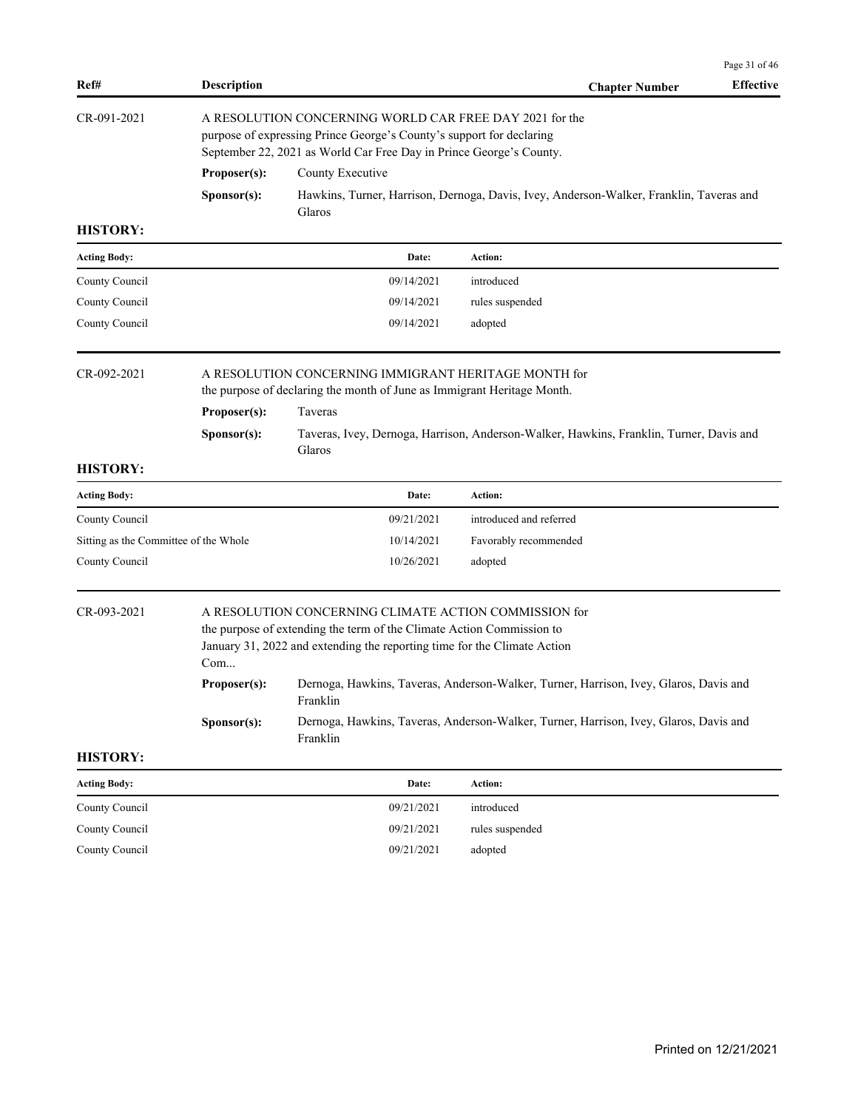|                                       |                                                                                                                                                                                                        |                                                                                                                                                                                                            |                                                                                         | Page 31 of 46    |  |  |
|---------------------------------------|--------------------------------------------------------------------------------------------------------------------------------------------------------------------------------------------------------|------------------------------------------------------------------------------------------------------------------------------------------------------------------------------------------------------------|-----------------------------------------------------------------------------------------|------------------|--|--|
| Ref#                                  | <b>Description</b>                                                                                                                                                                                     |                                                                                                                                                                                                            | <b>Chapter Number</b>                                                                   | <b>Effective</b> |  |  |
| CR-091-2021                           | A RESOLUTION CONCERNING WORLD CAR FREE DAY 2021 for the<br>purpose of expressing Prince George's County's support for declaring<br>September 22, 2021 as World Car Free Day in Prince George's County. |                                                                                                                                                                                                            |                                                                                         |                  |  |  |
|                                       | Proposer(s):                                                                                                                                                                                           | County Executive                                                                                                                                                                                           |                                                                                         |                  |  |  |
|                                       | Sponsor(s):                                                                                                                                                                                            | Glaros                                                                                                                                                                                                     | Hawkins, Turner, Harrison, Dernoga, Davis, Ivey, Anderson-Walker, Franklin, Taveras and |                  |  |  |
| <b>HISTORY:</b>                       |                                                                                                                                                                                                        |                                                                                                                                                                                                            |                                                                                         |                  |  |  |
| <b>Acting Body:</b>                   |                                                                                                                                                                                                        | Date:                                                                                                                                                                                                      | Action:                                                                                 |                  |  |  |
| County Council                        |                                                                                                                                                                                                        | 09/14/2021                                                                                                                                                                                                 | introduced                                                                              |                  |  |  |
| County Council                        |                                                                                                                                                                                                        | 09/14/2021                                                                                                                                                                                                 | rules suspended                                                                         |                  |  |  |
| County Council                        |                                                                                                                                                                                                        | 09/14/2021                                                                                                                                                                                                 | adopted                                                                                 |                  |  |  |
| CR-092-2021                           | Proposer(s):<br>Sponsor(s):                                                                                                                                                                            | A RESOLUTION CONCERNING IMMIGRANT HERITAGE MONTH for<br>the purpose of declaring the month of June as Immigrant Heritage Month.<br>Taveras<br>Glaros                                                       | Taveras, Ivey, Dernoga, Harrison, Anderson-Walker, Hawkins, Franklin, Turner, Davis and |                  |  |  |
| <b>HISTORY:</b>                       |                                                                                                                                                                                                        |                                                                                                                                                                                                            |                                                                                         |                  |  |  |
| <b>Acting Body:</b>                   |                                                                                                                                                                                                        | Date:                                                                                                                                                                                                      | Action:                                                                                 |                  |  |  |
| County Council                        |                                                                                                                                                                                                        | 09/21/2021                                                                                                                                                                                                 | introduced and referred                                                                 |                  |  |  |
| Sitting as the Committee of the Whole |                                                                                                                                                                                                        | 10/14/2021                                                                                                                                                                                                 | Favorably recommended                                                                   |                  |  |  |
| County Council                        |                                                                                                                                                                                                        | 10/26/2021                                                                                                                                                                                                 | adopted                                                                                 |                  |  |  |
| CR-093-2021                           | Com                                                                                                                                                                                                    | A RESOLUTION CONCERNING CLIMATE ACTION COMMISSION for<br>the purpose of extending the term of the Climate Action Commission to<br>January 31, 2022 and extending the reporting time for the Climate Action |                                                                                         |                  |  |  |
|                                       | <b>Proposer(s):</b>                                                                                                                                                                                    | Franklin                                                                                                                                                                                                   | Dernoga, Hawkins, Taveras, Anderson-Walker, Turner, Harrison, Ivey, Glaros, Davis and   |                  |  |  |
|                                       | Sponsor(s):                                                                                                                                                                                            | Franklin                                                                                                                                                                                                   | Dernoga, Hawkins, Taveras, Anderson-Walker, Turner, Harrison, Ivey, Glaros, Davis and   |                  |  |  |
| <b>HISTORY:</b>                       |                                                                                                                                                                                                        |                                                                                                                                                                                                            |                                                                                         |                  |  |  |
| <b>Acting Body:</b>                   |                                                                                                                                                                                                        | Date:                                                                                                                                                                                                      | Action:                                                                                 |                  |  |  |
| County Council                        |                                                                                                                                                                                                        | 09/21/2021                                                                                                                                                                                                 | introduced                                                                              |                  |  |  |
| County Council                        |                                                                                                                                                                                                        | 09/21/2021                                                                                                                                                                                                 | rules suspended                                                                         |                  |  |  |
| County Council                        |                                                                                                                                                                                                        | 09/21/2021                                                                                                                                                                                                 | adopted                                                                                 |                  |  |  |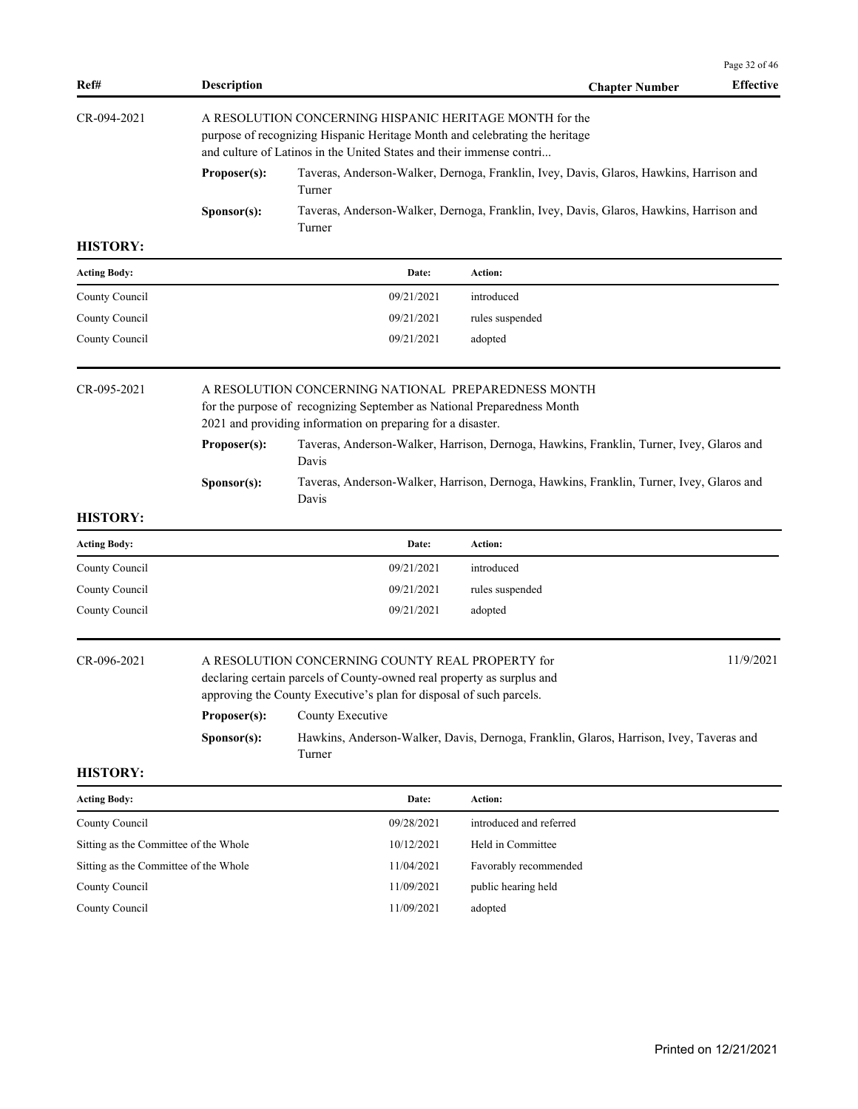|                                       |                                                                                                                                                                                                                |                                                                                                                                                                                                   |                                                                                          | Page 32 of 46    |  |  |
|---------------------------------------|----------------------------------------------------------------------------------------------------------------------------------------------------------------------------------------------------------------|---------------------------------------------------------------------------------------------------------------------------------------------------------------------------------------------------|------------------------------------------------------------------------------------------|------------------|--|--|
| Ref#                                  | <b>Description</b>                                                                                                                                                                                             |                                                                                                                                                                                                   | <b>Chapter Number</b>                                                                    | <b>Effective</b> |  |  |
| CR-094-2021                           | A RESOLUTION CONCERNING HISPANIC HERITAGE MONTH for the<br>purpose of recognizing Hispanic Heritage Month and celebrating the heritage<br>and culture of Latinos in the United States and their immense contri |                                                                                                                                                                                                   |                                                                                          |                  |  |  |
|                                       | Proposer(s):                                                                                                                                                                                                   | Taveras, Anderson-Walker, Dernoga, Franklin, Ivey, Davis, Glaros, Hawkins, Harrison and<br>Turner                                                                                                 |                                                                                          |                  |  |  |
|                                       | Sponsor(s):                                                                                                                                                                                                    | Turner                                                                                                                                                                                            | Taveras, Anderson-Walker, Dernoga, Franklin, Ivey, Davis, Glaros, Hawkins, Harrison and  |                  |  |  |
| <b>HISTORY:</b>                       |                                                                                                                                                                                                                |                                                                                                                                                                                                   |                                                                                          |                  |  |  |
| <b>Acting Body:</b>                   |                                                                                                                                                                                                                | Date:                                                                                                                                                                                             | Action:                                                                                  |                  |  |  |
| County Council                        |                                                                                                                                                                                                                | 09/21/2021                                                                                                                                                                                        | introduced                                                                               |                  |  |  |
| County Council                        |                                                                                                                                                                                                                | 09/21/2021                                                                                                                                                                                        | rules suspended                                                                          |                  |  |  |
| County Council                        |                                                                                                                                                                                                                | 09/21/2021                                                                                                                                                                                        | adopted                                                                                  |                  |  |  |
| CR-095-2021                           | A RESOLUTION CONCERNING NATIONAL PREPAREDNESS MONTH<br>for the purpose of recognizing September as National Preparedness Month<br>2021 and providing information on preparing for a disaster.                  |                                                                                                                                                                                                   |                                                                                          |                  |  |  |
|                                       | Proposer(s):<br>Taveras, Anderson-Walker, Harrison, Dernoga, Hawkins, Franklin, Turner, Ivey, Glaros and<br>Davis                                                                                              |                                                                                                                                                                                                   |                                                                                          |                  |  |  |
|                                       | Sponsor(s):                                                                                                                                                                                                    | Davis                                                                                                                                                                                             | Taveras, Anderson-Walker, Harrison, Dernoga, Hawkins, Franklin, Turner, Ivey, Glaros and |                  |  |  |
| <b>HISTORY:</b>                       |                                                                                                                                                                                                                |                                                                                                                                                                                                   |                                                                                          |                  |  |  |
| <b>Acting Body:</b>                   |                                                                                                                                                                                                                | Date:                                                                                                                                                                                             | Action:                                                                                  |                  |  |  |
| County Council                        |                                                                                                                                                                                                                | 09/21/2021                                                                                                                                                                                        | introduced                                                                               |                  |  |  |
| County Council                        |                                                                                                                                                                                                                | 09/21/2021                                                                                                                                                                                        | rules suspended                                                                          |                  |  |  |
| County Council                        |                                                                                                                                                                                                                | 09/21/2021                                                                                                                                                                                        | adopted                                                                                  |                  |  |  |
| CR-096-2021                           |                                                                                                                                                                                                                | A RESOLUTION CONCERNING COUNTY REAL PROPERTY for<br>declaring certain parcels of County-owned real property as surplus and<br>approving the County Executive's plan for disposal of such parcels. |                                                                                          | 11/9/2021        |  |  |
|                                       | Proposer(s):                                                                                                                                                                                                   | County Executive                                                                                                                                                                                  |                                                                                          |                  |  |  |
|                                       | Sponsor(s):                                                                                                                                                                                                    | Turner                                                                                                                                                                                            | Hawkins, Anderson-Walker, Davis, Dernoga, Franklin, Glaros, Harrison, Ivey, Taveras and  |                  |  |  |
| <b>HISTORY:</b>                       |                                                                                                                                                                                                                |                                                                                                                                                                                                   |                                                                                          |                  |  |  |
| <b>Acting Body:</b>                   |                                                                                                                                                                                                                | Date:                                                                                                                                                                                             | Action:                                                                                  |                  |  |  |
| County Council                        |                                                                                                                                                                                                                | 09/28/2021                                                                                                                                                                                        | introduced and referred                                                                  |                  |  |  |
| Sitting as the Committee of the Whole |                                                                                                                                                                                                                | 10/12/2021                                                                                                                                                                                        | Held in Committee                                                                        |                  |  |  |
| Sitting as the Committee of the Whole |                                                                                                                                                                                                                | 11/04/2021                                                                                                                                                                                        | Favorably recommended                                                                    |                  |  |  |

County Council 20021 21/09/2021 public hearing held

County Council 11/09/2021 adopted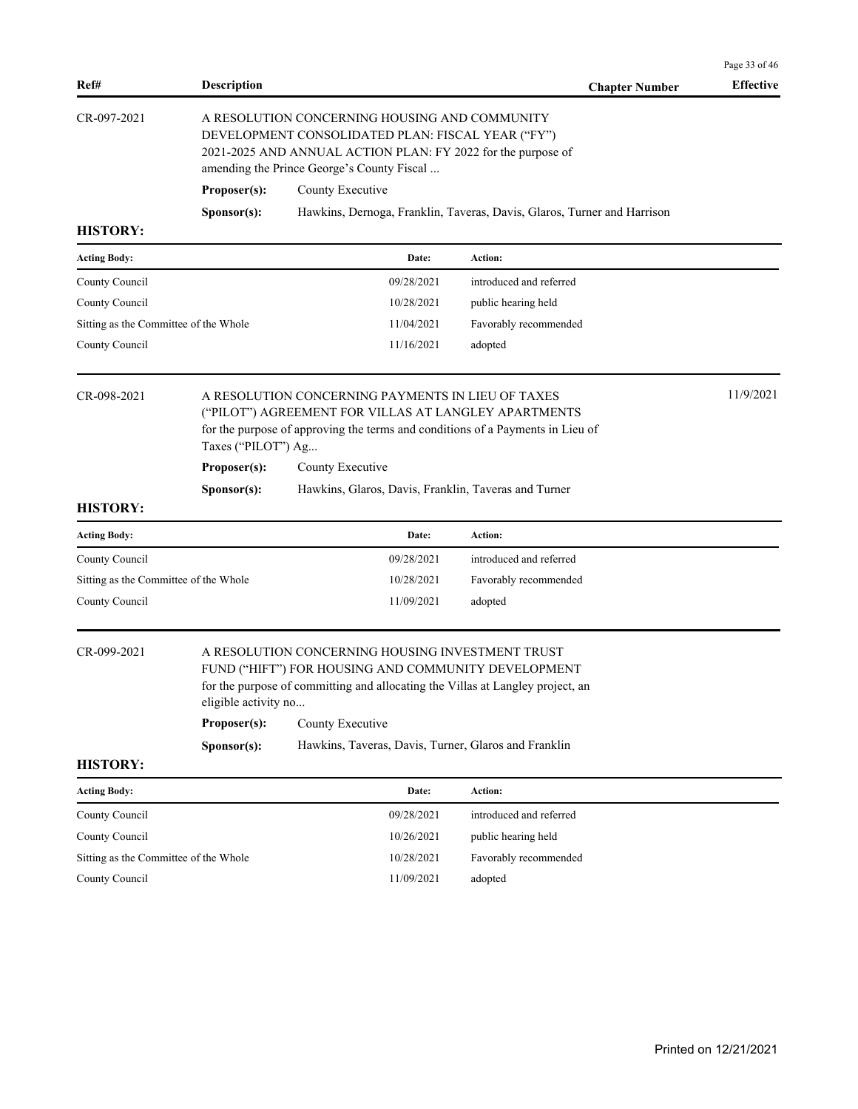| Ref#                                  | <b>Description</b>                                                                                                                                                                                               |                                                                                                                                                                                             | <b>Chapter Number</b>                                                   | Effective |  |
|---------------------------------------|------------------------------------------------------------------------------------------------------------------------------------------------------------------------------------------------------------------|---------------------------------------------------------------------------------------------------------------------------------------------------------------------------------------------|-------------------------------------------------------------------------|-----------|--|
| CR-097-2021                           | A RESOLUTION CONCERNING HOUSING AND COMMUNITY<br>DEVELOPMENT CONSOLIDATED PLAN: FISCAL YEAR ("FY")<br>2021-2025 AND ANNUAL ACTION PLAN: FY 2022 for the purpose of<br>amending the Prince George's County Fiscal |                                                                                                                                                                                             |                                                                         |           |  |
|                                       | Proposer(s):                                                                                                                                                                                                     | County Executive                                                                                                                                                                            |                                                                         |           |  |
|                                       | Sponsor(s):                                                                                                                                                                                                      |                                                                                                                                                                                             | Hawkins, Dernoga, Franklin, Taveras, Davis, Glaros, Turner and Harrison |           |  |
| <b>HISTORY:</b>                       |                                                                                                                                                                                                                  |                                                                                                                                                                                             |                                                                         |           |  |
| <b>Acting Body:</b>                   |                                                                                                                                                                                                                  | Date:                                                                                                                                                                                       | Action:                                                                 |           |  |
| County Council                        |                                                                                                                                                                                                                  | 09/28/2021                                                                                                                                                                                  | introduced and referred                                                 |           |  |
| County Council                        |                                                                                                                                                                                                                  | 10/28/2021                                                                                                                                                                                  | public hearing held                                                     |           |  |
| Sitting as the Committee of the Whole |                                                                                                                                                                                                                  | 11/04/2021                                                                                                                                                                                  | Favorably recommended                                                   |           |  |
| County Council                        |                                                                                                                                                                                                                  | 11/16/2021                                                                                                                                                                                  | adopted                                                                 |           |  |
| CR-098-2021                           | Taxes ("PILOT") Ag                                                                                                                                                                                               | A RESOLUTION CONCERNING PAYMENTS IN LIEU OF TAXES<br>("PILOT") AGREEMENT FOR VILLAS AT LANGLEY APARTMENTS<br>for the purpose of approving the terms and conditions of a Payments in Lieu of |                                                                         | 11/9/2021 |  |
|                                       | Proposer(s):                                                                                                                                                                                                     | County Executive                                                                                                                                                                            |                                                                         |           |  |
|                                       | Sponsor(s):                                                                                                                                                                                                      | Hawkins, Glaros, Davis, Franklin, Taveras and Turner                                                                                                                                        |                                                                         |           |  |
| <b>HISTORY:</b>                       |                                                                                                                                                                                                                  |                                                                                                                                                                                             |                                                                         |           |  |
| <b>Acting Body:</b>                   |                                                                                                                                                                                                                  | Date:                                                                                                                                                                                       | Action:                                                                 |           |  |
| County Council                        |                                                                                                                                                                                                                  | 09/28/2021                                                                                                                                                                                  | introduced and referred                                                 |           |  |
| Sitting as the Committee of the Whole |                                                                                                                                                                                                                  | 10/28/2021                                                                                                                                                                                  | Favorably recommended                                                   |           |  |
| County Council                        |                                                                                                                                                                                                                  | 11/09/2021                                                                                                                                                                                  | adopted                                                                 |           |  |
| CR-099-2021                           | eligible activity no                                                                                                                                                                                             | A RESOLUTION CONCERNING HOUSING INVESTMENT TRUST<br>FUND ("HIFT") FOR HOUSING AND COMMUNITY DEVELOPMENT<br>for the purpose of committing and allocating the Villas at Langley project, an   |                                                                         |           |  |
|                                       | Proposer(s):                                                                                                                                                                                                     | County Executive                                                                                                                                                                            |                                                                         |           |  |
| <b>HISTORY:</b>                       | Sponsor(s):                                                                                                                                                                                                      | Hawkins, Taveras, Davis, Turner, Glaros and Franklin                                                                                                                                        |                                                                         |           |  |
| <b>Acting Body:</b>                   |                                                                                                                                                                                                                  | Date:                                                                                                                                                                                       | <b>Action:</b>                                                          |           |  |
|                                       |                                                                                                                                                                                                                  | 09/28/2021                                                                                                                                                                                  | introduced and referred                                                 |           |  |
| County Council                        |                                                                                                                                                                                                                  |                                                                                                                                                                                             | public hearing held                                                     |           |  |
| County Council                        |                                                                                                                                                                                                                  | 10/26/2021                                                                                                                                                                                  |                                                                         |           |  |
| Sitting as the Committee of the Whole |                                                                                                                                                                                                                  | 10/28/2021                                                                                                                                                                                  | Favorably recommended                                                   |           |  |

Page 33 of 46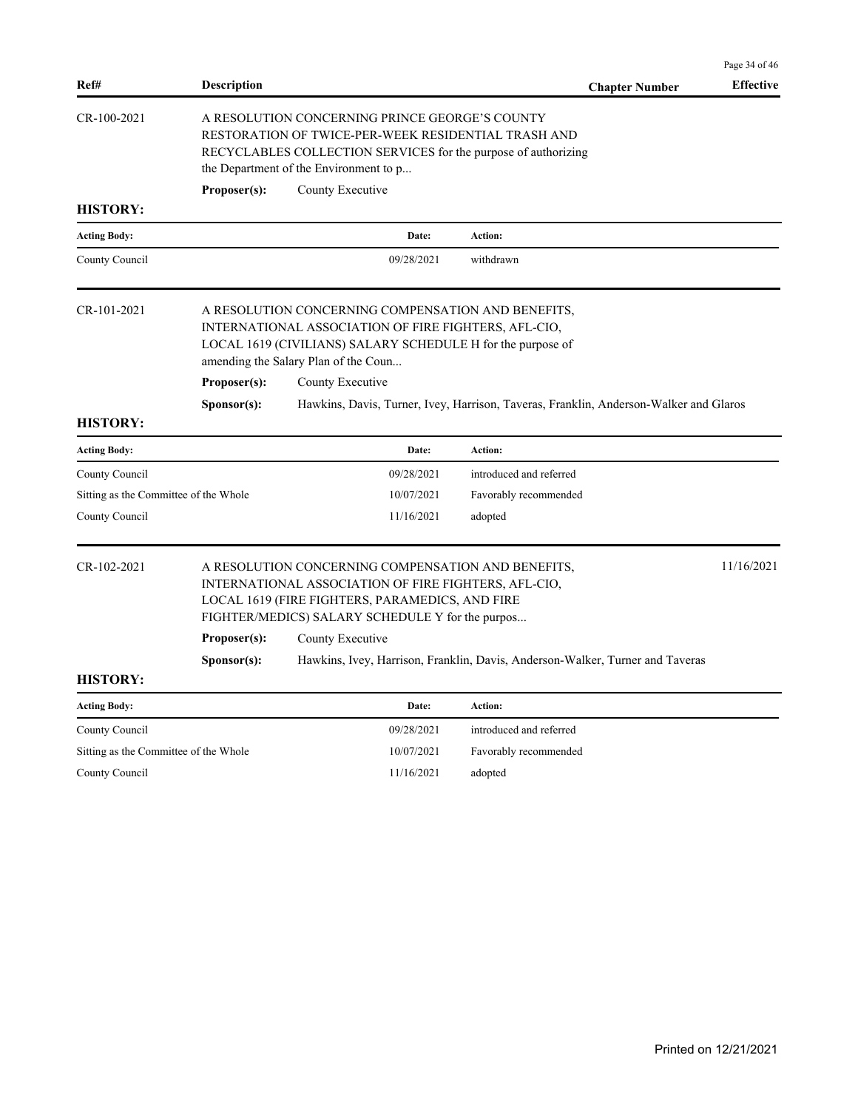|                                       |                      |                                                                                                                                                                                                                                       |                                                                                       | Page 34 of 46    |
|---------------------------------------|----------------------|---------------------------------------------------------------------------------------------------------------------------------------------------------------------------------------------------------------------------------------|---------------------------------------------------------------------------------------|------------------|
| Ref#                                  | <b>Description</b>   |                                                                                                                                                                                                                                       | <b>Chapter Number</b>                                                                 | <b>Effective</b> |
| CR-100-2021                           | Proposer(s):         | A RESOLUTION CONCERNING PRINCE GEORGE'S COUNTY<br>RESTORATION OF TWICE-PER-WEEK RESIDENTIAL TRASH AND<br>RECYCLABLES COLLECTION SERVICES for the purpose of authorizing<br>the Department of the Environment to p<br>County Executive |                                                                                       |                  |
| <b>HISTORY:</b>                       |                      |                                                                                                                                                                                                                                       |                                                                                       |                  |
| <b>Acting Body:</b>                   |                      | Date:                                                                                                                                                                                                                                 | Action:                                                                               |                  |
| County Council                        |                      | 09/28/2021                                                                                                                                                                                                                            | withdrawn                                                                             |                  |
| CR-101-2021                           |                      | A RESOLUTION CONCERNING COMPENSATION AND BENEFITS,<br>INTERNATIONAL ASSOCIATION OF FIRE FIGHTERS, AFL-CIO,<br>LOCAL 1619 (CIVILIANS) SALARY SCHEDULE H for the purpose of<br>amending the Salary Plan of the Coun                     |                                                                                       |                  |
|                                       | Proposer(s):         | County Executive                                                                                                                                                                                                                      |                                                                                       |                  |
|                                       | S <b>p</b> onsor(s): |                                                                                                                                                                                                                                       | Hawkins, Davis, Turner, Ivey, Harrison, Taveras, Franklin, Anderson-Walker and Glaros |                  |
| <b>HISTORY:</b>                       |                      |                                                                                                                                                                                                                                       |                                                                                       |                  |
| <b>Acting Body:</b>                   |                      | Date:                                                                                                                                                                                                                                 | Action:                                                                               |                  |
| County Council                        |                      | 09/28/2021                                                                                                                                                                                                                            | introduced and referred                                                               |                  |
| Sitting as the Committee of the Whole |                      | 10/07/2021                                                                                                                                                                                                                            | Favorably recommended                                                                 |                  |
| County Council                        |                      | 11/16/2021                                                                                                                                                                                                                            | adopted                                                                               |                  |
| $CR-102-2021$                         |                      | A RESOLUTION CONCERNING COMPENSATION AND BENEFITS,<br>INTERNATIONAL ASSOCIATION OF FIRE FIGHTERS, AFL-CIO,<br>LOCAL 1619 (FIRE FIGHTERS, PARAMEDICS, AND FIRE<br>FIGHTER/MEDICS) SALARY SCHEDULE Y for the purpos                     |                                                                                       | 11/16/2021       |
|                                       | Proposer(s):         | County Executive                                                                                                                                                                                                                      |                                                                                       |                  |
|                                       | Sponsor(s):          |                                                                                                                                                                                                                                       | Hawkins, Ivey, Harrison, Franklin, Davis, Anderson-Walker, Turner and Taveras         |                  |
| <b>HISTORY:</b>                       |                      |                                                                                                                                                                                                                                       |                                                                                       |                  |
| <b>Acting Body:</b>                   |                      | Date:                                                                                                                                                                                                                                 | Action:                                                                               |                  |
| County Council                        |                      | 09/28/2021                                                                                                                                                                                                                            | introduced and referred                                                               |                  |
| Sitting as the Committee of the Whole |                      | 10/07/2021                                                                                                                                                                                                                            | Favorably recommended                                                                 |                  |
| County Council                        |                      | 11/16/2021                                                                                                                                                                                                                            | adopted                                                                               |                  |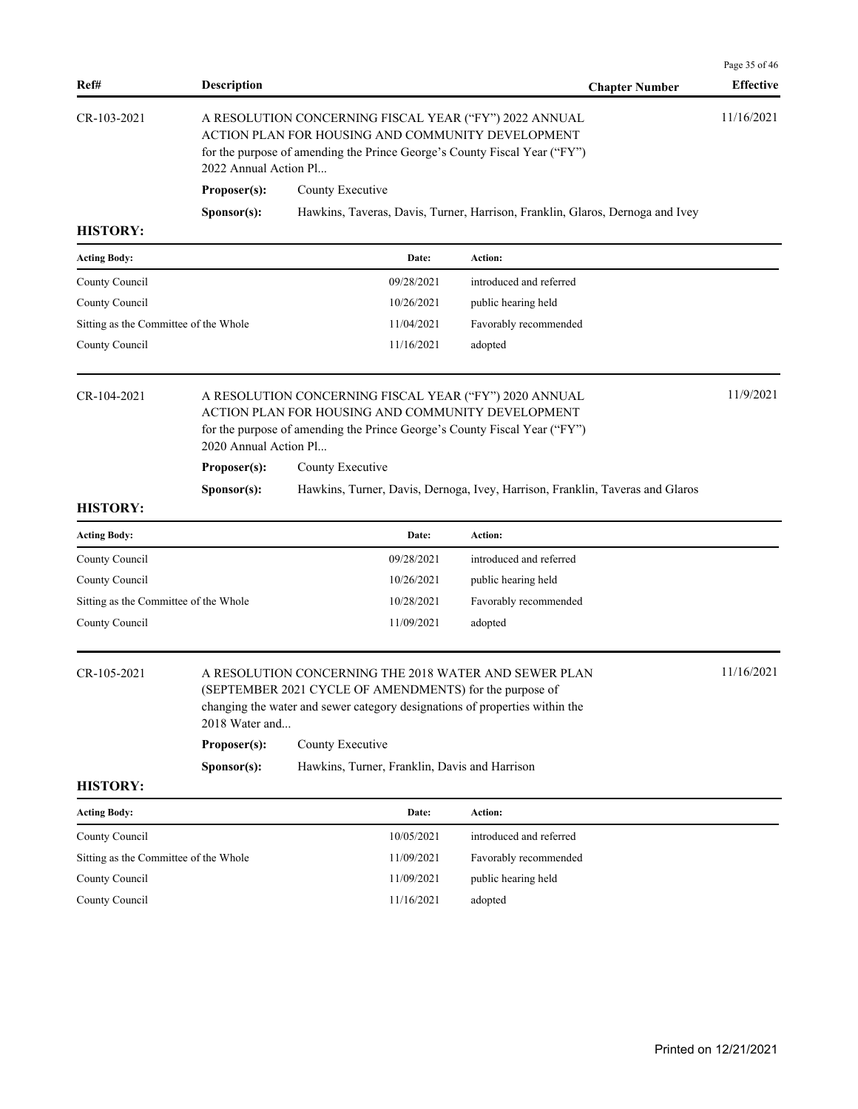| Ref#                                  | <b>Description</b>    |                                                                                                                                                                                                                   | <b>Chapter Number</b>                                                         | Page 35 of 46<br><b>Effective</b> |  |  |
|---------------------------------------|-----------------------|-------------------------------------------------------------------------------------------------------------------------------------------------------------------------------------------------------------------|-------------------------------------------------------------------------------|-----------------------------------|--|--|
| CR-103-2021                           |                       | A RESOLUTION CONCERNING FISCAL YEAR ("FY") 2022 ANNUAL<br>ACTION PLAN FOR HOUSING AND COMMUNITY DEVELOPMENT<br>for the purpose of amending the Prince George's County Fiscal Year ("FY")<br>2022 Annual Action Pl |                                                                               |                                   |  |  |
|                                       | Proposer(s):          | County Executive                                                                                                                                                                                                  |                                                                               |                                   |  |  |
|                                       | Sponsor(s):           |                                                                                                                                                                                                                   | Hawkins, Taveras, Davis, Turner, Harrison, Franklin, Glaros, Dernoga and Ivey |                                   |  |  |
| <b>HISTORY:</b>                       |                       |                                                                                                                                                                                                                   |                                                                               |                                   |  |  |
| <b>Acting Body:</b>                   |                       | Date:                                                                                                                                                                                                             | Action:                                                                       |                                   |  |  |
| County Council                        |                       | 09/28/2021                                                                                                                                                                                                        | introduced and referred                                                       |                                   |  |  |
| County Council                        |                       | 10/26/2021                                                                                                                                                                                                        | public hearing held                                                           |                                   |  |  |
| Sitting as the Committee of the Whole |                       | 11/04/2021                                                                                                                                                                                                        | Favorably recommended                                                         |                                   |  |  |
| County Council                        |                       | 11/16/2021                                                                                                                                                                                                        | adopted                                                                       |                                   |  |  |
| CR-104-2021                           | 2020 Annual Action Pl | A RESOLUTION CONCERNING FISCAL YEAR ("FY") 2020 ANNUAL<br>ACTION PLAN FOR HOUSING AND COMMUNITY DEVELOPMENT<br>for the purpose of amending the Prince George's County Fiscal Year ("FY")                          |                                                                               |                                   |  |  |
|                                       | Proposer(s):          | County Executive                                                                                                                                                                                                  |                                                                               |                                   |  |  |
|                                       | Sponsor(s):           |                                                                                                                                                                                                                   | Hawkins, Turner, Davis, Dernoga, Ivey, Harrison, Franklin, Taveras and Glaros |                                   |  |  |
| <b>HISTORY:</b>                       |                       |                                                                                                                                                                                                                   |                                                                               |                                   |  |  |
| <b>Acting Body:</b>                   |                       | Date:                                                                                                                                                                                                             | Action:                                                                       |                                   |  |  |
| County Council                        |                       | 09/28/2021                                                                                                                                                                                                        | introduced and referred                                                       |                                   |  |  |
| County Council                        |                       | 10/26/2021                                                                                                                                                                                                        | public hearing held                                                           |                                   |  |  |
| Sitting as the Committee of the Whole |                       | 10/28/2021                                                                                                                                                                                                        | Favorably recommended                                                         |                                   |  |  |
| County Council                        |                       | 11/09/2021                                                                                                                                                                                                        | adopted                                                                       |                                   |  |  |
| CR-105-2021                           | 2018 Water and        | A RESOLUTION CONCERNING THE 2018 WATER AND SEWER PLAN<br>(SEPTEMBER 2021 CYCLE OF AMENDMENTS) for the purpose of<br>changing the water and sewer category designations of properties within the                   |                                                                               |                                   |  |  |
|                                       | Proposer(s):          | County Executive                                                                                                                                                                                                  |                                                                               |                                   |  |  |
|                                       | Sponsor(s):           | Hawkins, Turner, Franklin, Davis and Harrison                                                                                                                                                                     |                                                                               |                                   |  |  |
| <b>HISTORY:</b>                       |                       |                                                                                                                                                                                                                   |                                                                               |                                   |  |  |
| <b>Acting Body:</b>                   |                       | Date:                                                                                                                                                                                                             | Action:                                                                       |                                   |  |  |
| County Council                        |                       | 10/05/2021                                                                                                                                                                                                        | introduced and referred                                                       |                                   |  |  |
| Sitting as the Committee of the Whole |                       | 11/09/2021                                                                                                                                                                                                        | Favorably recommended                                                         |                                   |  |  |
| County Council                        |                       | 11/09/2021                                                                                                                                                                                                        | public hearing held                                                           |                                   |  |  |
|                                       |                       |                                                                                                                                                                                                                   |                                                                               |                                   |  |  |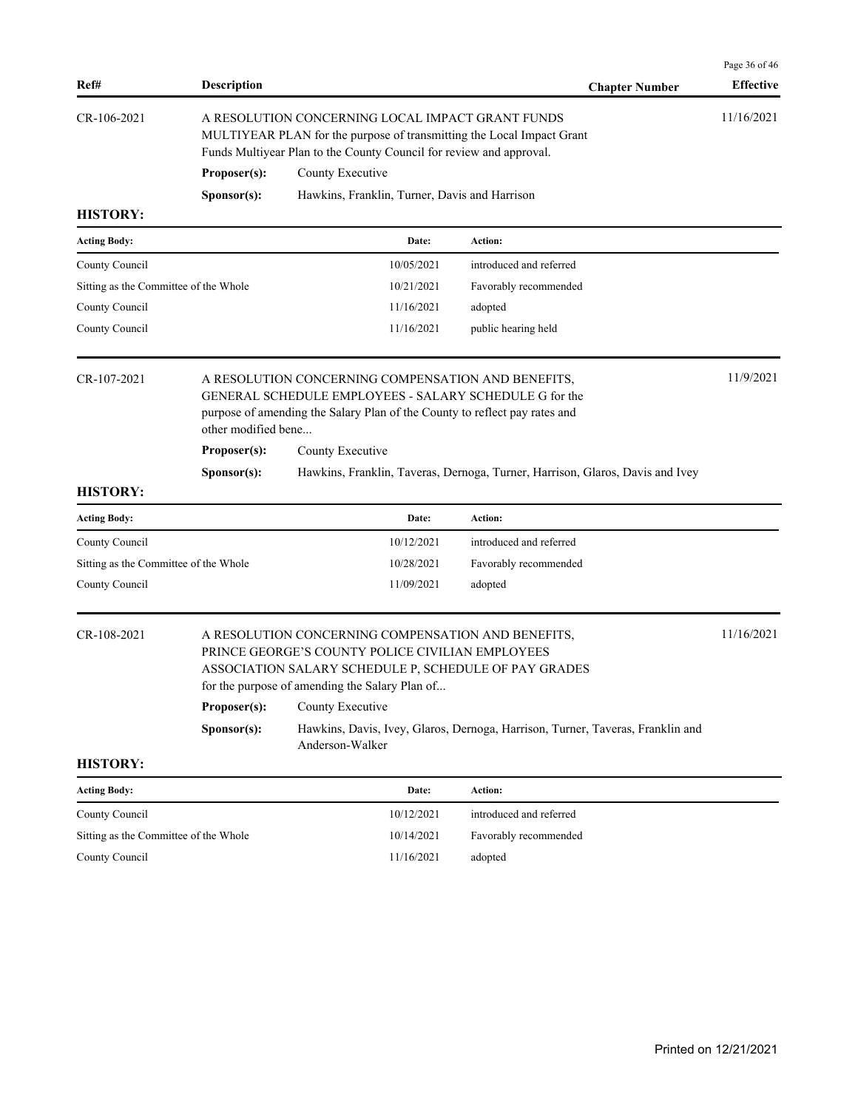| Ref#                                  | <b>Description</b>                                                                                                                                                                               |                                                                                                                                                                                                                                           | <b>Chapter Number</b> | Page 36 of 46<br><b>Effective</b> |  |  |
|---------------------------------------|--------------------------------------------------------------------------------------------------------------------------------------------------------------------------------------------------|-------------------------------------------------------------------------------------------------------------------------------------------------------------------------------------------------------------------------------------------|-----------------------|-----------------------------------|--|--|
| CR-106-2021                           | A RESOLUTION CONCERNING LOCAL IMPACT GRANT FUNDS<br>MULTIYEAR PLAN for the purpose of transmitting the Local Impact Grant<br>Funds Multiyear Plan to the County Council for review and approval. |                                                                                                                                                                                                                                           |                       |                                   |  |  |
|                                       | Proposer(s):<br>County Executive                                                                                                                                                                 |                                                                                                                                                                                                                                           |                       |                                   |  |  |
|                                       | Sponsor(s):                                                                                                                                                                                      | Hawkins, Franklin, Turner, Davis and Harrison                                                                                                                                                                                             |                       |                                   |  |  |
| <b>HISTORY:</b>                       |                                                                                                                                                                                                  |                                                                                                                                                                                                                                           |                       |                                   |  |  |
| <b>Acting Body:</b>                   |                                                                                                                                                                                                  | Action:<br>Date:                                                                                                                                                                                                                          |                       |                                   |  |  |
| County Council                        |                                                                                                                                                                                                  | introduced and referred<br>10/05/2021                                                                                                                                                                                                     |                       |                                   |  |  |
| Sitting as the Committee of the Whole |                                                                                                                                                                                                  | 10/21/2021<br>Favorably recommended                                                                                                                                                                                                       |                       |                                   |  |  |
| County Council                        |                                                                                                                                                                                                  | 11/16/2021<br>adopted                                                                                                                                                                                                                     |                       |                                   |  |  |
| County Council                        |                                                                                                                                                                                                  | 11/16/2021<br>public hearing held                                                                                                                                                                                                         |                       |                                   |  |  |
| <b>HISTORY:</b>                       | other modified bene<br>Proposer(s):<br>Sponsor(s):                                                                                                                                               | GENERAL SCHEDULE EMPLOYEES - SALARY SCHEDULE G for the<br>purpose of amending the Salary Plan of the County to reflect pay rates and<br>County Executive<br>Hawkins, Franklin, Taveras, Dernoga, Turner, Harrison, Glaros, Davis and Ivey |                       |                                   |  |  |
| <b>Acting Body:</b>                   |                                                                                                                                                                                                  | Action:<br>Date:                                                                                                                                                                                                                          |                       |                                   |  |  |
| County Council                        |                                                                                                                                                                                                  | introduced and referred<br>10/12/2021                                                                                                                                                                                                     |                       |                                   |  |  |
| Sitting as the Committee of the Whole |                                                                                                                                                                                                  | 10/28/2021<br>Favorably recommended                                                                                                                                                                                                       |                       |                                   |  |  |
| County Council                        |                                                                                                                                                                                                  | 11/09/2021<br>adopted                                                                                                                                                                                                                     |                       |                                   |  |  |
| CR-108-2021                           | Proposer(s):                                                                                                                                                                                     | A RESOLUTION CONCERNING COMPENSATION AND BENEFITS,<br>PRINCE GEORGE'S COUNTY POLICE CIVILIAN EMPLOYEES<br>ASSOCIATION SALARY SCHEDULE P, SCHEDULE OF PAY GRADES<br>for the purpose of amending the Salary Plan of<br>County Executive     |                       |                                   |  |  |
| <b>HISTORY:</b>                       | Sponsor(s):                                                                                                                                                                                      | Hawkins, Davis, Ivey, Glaros, Dernoga, Harrison, Turner, Taveras, Franklin and<br>Anderson-Walker                                                                                                                                         |                       |                                   |  |  |
| <b>Acting Body:</b>                   |                                                                                                                                                                                                  | Action:<br>Date:                                                                                                                                                                                                                          |                       |                                   |  |  |
| County Council                        |                                                                                                                                                                                                  | 10/12/2021<br>introduced and referred                                                                                                                                                                                                     |                       |                                   |  |  |

| 10/12/2021 | introduced and referred |
|------------|-------------------------|
| 10/14/2021 | Favorably recommended   |
| 11/16/2021 | adopted                 |
|            |                         |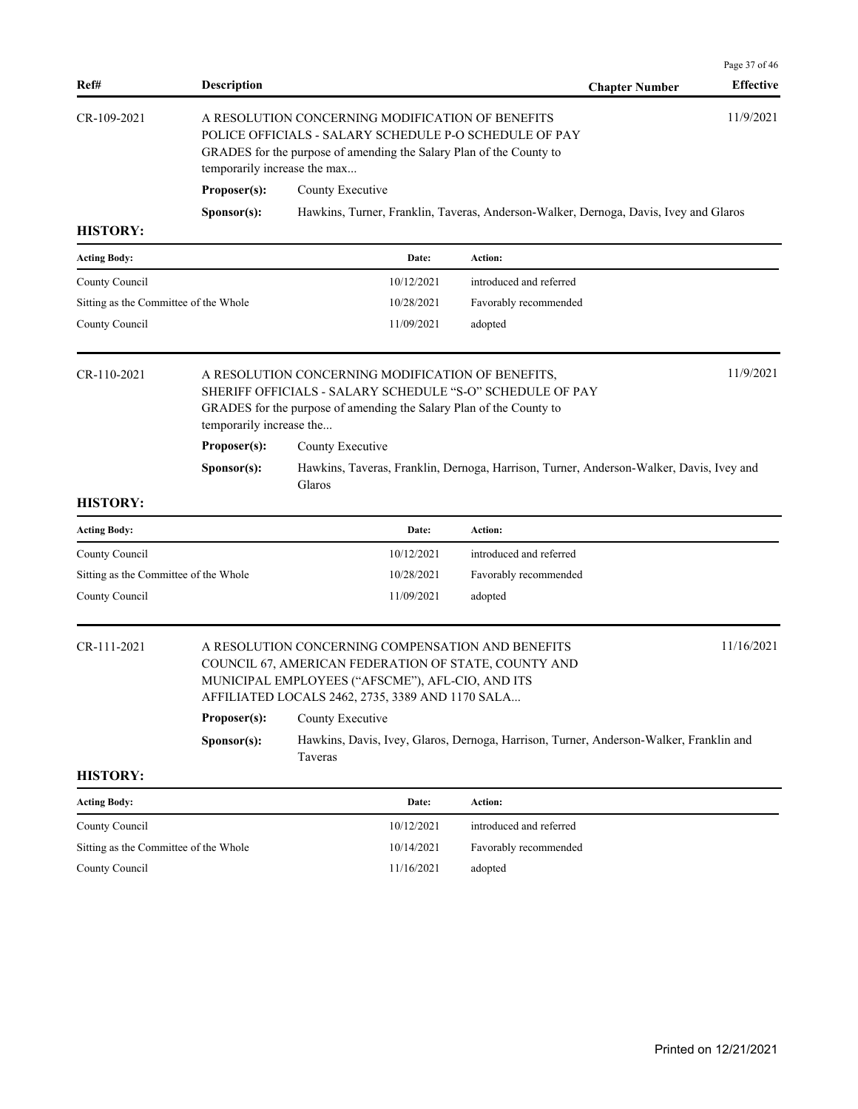| Ref#                                  | <b>Description</b>           |                                                                                                                                                                                                                   | <b>Chapter Number</b>                                                                   | Page 37 of 46<br><b>Effective</b> |
|---------------------------------------|------------------------------|-------------------------------------------------------------------------------------------------------------------------------------------------------------------------------------------------------------------|-----------------------------------------------------------------------------------------|-----------------------------------|
| CR-109-2021                           | temporarily increase the max | A RESOLUTION CONCERNING MODIFICATION OF BENEFITS<br>POLICE OFFICIALS - SALARY SCHEDULE P-O SCHEDULE OF PAY<br>GRADES for the purpose of amending the Salary Plan of the County to                                 |                                                                                         | 11/9/2021                         |
|                                       | Proposer(s):                 | County Executive                                                                                                                                                                                                  |                                                                                         |                                   |
|                                       | Sponsor(s):                  |                                                                                                                                                                                                                   | Hawkins, Turner, Franklin, Taveras, Anderson-Walker, Dernoga, Davis, Ivey and Glaros    |                                   |
| <b>HISTORY:</b>                       |                              |                                                                                                                                                                                                                   |                                                                                         |                                   |
| <b>Acting Body:</b>                   |                              | Date:                                                                                                                                                                                                             | Action:                                                                                 |                                   |
| County Council                        |                              | 10/12/2021                                                                                                                                                                                                        | introduced and referred                                                                 |                                   |
| Sitting as the Committee of the Whole |                              | 10/28/2021                                                                                                                                                                                                        | Favorably recommended                                                                   |                                   |
| County Council                        |                              | 11/09/2021                                                                                                                                                                                                        | adopted                                                                                 |                                   |
| CR-110-2021                           | temporarily increase the     | A RESOLUTION CONCERNING MODIFICATION OF BENEFITS,<br>SHERIFF OFFICIALS - SALARY SCHEDULE "S-O" SCHEDULE OF PAY<br>GRADES for the purpose of amending the Salary Plan of the County to                             |                                                                                         | 11/9/2021                         |
|                                       | Proposer(s):                 | County Executive                                                                                                                                                                                                  |                                                                                         |                                   |
|                                       | Sponsor(s):                  | Glaros                                                                                                                                                                                                            | Hawkins, Taveras, Franklin, Dernoga, Harrison, Turner, Anderson-Walker, Davis, Ivey and |                                   |
| <b>HISTORY:</b>                       |                              |                                                                                                                                                                                                                   |                                                                                         |                                   |
| <b>Acting Body:</b>                   |                              | Date:                                                                                                                                                                                                             | Action:                                                                                 |                                   |
| County Council                        |                              | 10/12/2021                                                                                                                                                                                                        | introduced and referred                                                                 |                                   |
| Sitting as the Committee of the Whole |                              | 10/28/2021                                                                                                                                                                                                        | Favorably recommended                                                                   |                                   |
| County Council                        |                              | 11/09/2021                                                                                                                                                                                                        | adopted                                                                                 |                                   |
| CR-111-2021                           |                              | A RESOLUTION CONCERNING COMPENSATION AND BENEFITS<br>COUNCIL 67, AMERICAN FEDERATION OF STATE, COUNTY AND<br>MUNICIPAL EMPLOYEES ("AFSCME"), AFL-CIO, AND ITS<br>AFFILIATED LOCALS 2462, 2735, 3389 AND 1170 SALA |                                                                                         | 11/16/2021                        |
|                                       | Proposer(s):                 | County Executive                                                                                                                                                                                                  |                                                                                         |                                   |
|                                       | Sponsor(s):                  | Taveras                                                                                                                                                                                                           | Hawkins, Davis, Ivey, Glaros, Dernoga, Harrison, Turner, Anderson-Walker, Franklin and  |                                   |
| <b>HISTORY:</b>                       |                              |                                                                                                                                                                                                                   |                                                                                         |                                   |
| <b>Acting Body:</b>                   |                              | Date:                                                                                                                                                                                                             | Action:                                                                                 |                                   |
| County Council                        |                              | 10/12/2021                                                                                                                                                                                                        | introduced and referred                                                                 |                                   |
| Sitting as the Committee of the Whole |                              | 10/14/2021                                                                                                                                                                                                        | Favorably recommended                                                                   |                                   |
| County Council                        |                              | 11/16/2021                                                                                                                                                                                                        | adopted                                                                                 |                                   |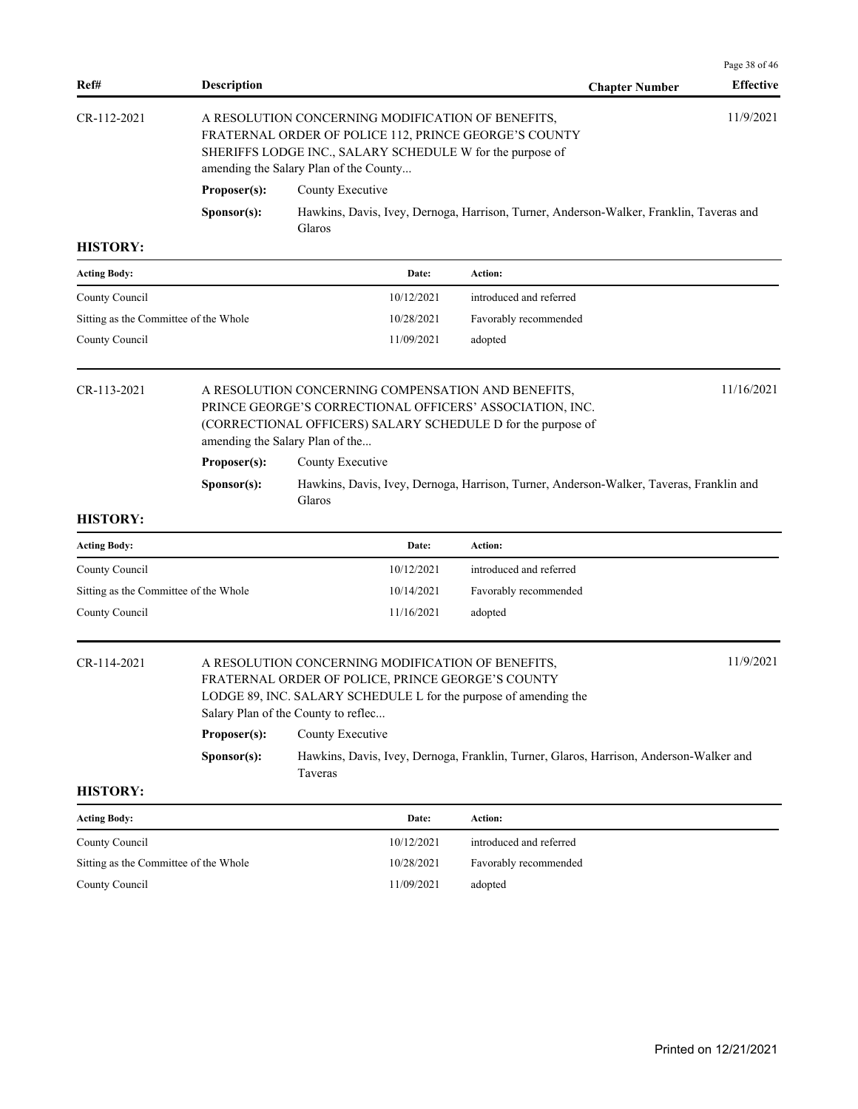| Ref#                                  | <b>Description</b> |                                                                                                                                                                                                                   | <b>Chapter Number</b>                                                                   | Page 38 of 46<br><b>Effective</b> |
|---------------------------------------|--------------------|-------------------------------------------------------------------------------------------------------------------------------------------------------------------------------------------------------------------|-----------------------------------------------------------------------------------------|-----------------------------------|
| CR-112-2021                           |                    | A RESOLUTION CONCERNING MODIFICATION OF BENEFITS,<br>FRATERNAL ORDER OF POLICE 112, PRINCE GEORGE'S COUNTY<br>SHERIFFS LODGE INC., SALARY SCHEDULE W for the purpose of<br>amending the Salary Plan of the County |                                                                                         | 11/9/2021                         |
|                                       | Proposer(s):       | County Executive                                                                                                                                                                                                  |                                                                                         |                                   |
|                                       | Sponsor(s):        |                                                                                                                                                                                                                   | Hawkins, Davis, Ivey, Dernoga, Harrison, Turner, Anderson-Walker, Franklin, Taveras and |                                   |
|                                       |                    | Glaros                                                                                                                                                                                                            |                                                                                         |                                   |
| <b>HISTORY:</b>                       |                    |                                                                                                                                                                                                                   |                                                                                         |                                   |
| <b>Acting Body:</b>                   |                    | Date:                                                                                                                                                                                                             | Action:                                                                                 |                                   |
| County Council                        |                    | 10/12/2021                                                                                                                                                                                                        | introduced and referred                                                                 |                                   |
| Sitting as the Committee of the Whole |                    | 10/28/2021                                                                                                                                                                                                        | Favorably recommended                                                                   |                                   |
| County Council                        |                    | 11/09/2021                                                                                                                                                                                                        | adopted                                                                                 |                                   |
| CR-113-2021                           |                    | A RESOLUTION CONCERNING COMPENSATION AND BENEFITS,<br>PRINCE GEORGE'S CORRECTIONAL OFFICERS' ASSOCIATION, INC.<br>(CORRECTIONAL OFFICERS) SALARY SCHEDULE D for the purpose of<br>amending the Salary Plan of the |                                                                                         | 11/16/2021                        |
|                                       | Proposer(s):       | County Executive                                                                                                                                                                                                  |                                                                                         |                                   |
|                                       | Sponsor(s):        | Glaros                                                                                                                                                                                                            | Hawkins, Davis, Ivey, Dernoga, Harrison, Turner, Anderson-Walker, Taveras, Franklin and |                                   |
| <b>HISTORY:</b>                       |                    |                                                                                                                                                                                                                   |                                                                                         |                                   |
| <b>Acting Body:</b>                   |                    | Date:                                                                                                                                                                                                             | Action:                                                                                 |                                   |
| County Council                        |                    | 10/12/2021                                                                                                                                                                                                        | introduced and referred                                                                 |                                   |
| Sitting as the Committee of the Whole |                    | 10/14/2021                                                                                                                                                                                                        | Favorably recommended                                                                   |                                   |
| County Council                        |                    | 11/16/2021                                                                                                                                                                                                        | adopted                                                                                 |                                   |
| CR-114-2021                           |                    | A RESOLUTION CONCERNING MODIFICATION OF BENEFITS,<br>FRATERNAL ORDER OF POLICE. PRINCE GEORGE'S COUNTY<br>LODGE 89, INC. SALARY SCHEDULE L for the purpose of amending the<br>Salary Plan of the County to reflec |                                                                                         | 11/9/2021                         |
|                                       | Proposer(s):       | County Executive                                                                                                                                                                                                  |                                                                                         |                                   |
|                                       | Sponsor(s):        | Taveras                                                                                                                                                                                                           | Hawkins, Davis, Ivey, Dernoga, Franklin, Turner, Glaros, Harrison, Anderson-Walker and  |                                   |
| <b>HISTORY:</b>                       |                    |                                                                                                                                                                                                                   |                                                                                         |                                   |
| <b>Acting Body:</b>                   |                    | Date:                                                                                                                                                                                                             | Action:                                                                                 |                                   |
| County Council                        |                    | 10/12/2021                                                                                                                                                                                                        | introduced and referred                                                                 |                                   |
| Sitting as the Committee of the Whole |                    | 10/28/2021                                                                                                                                                                                                        | Favorably recommended                                                                   |                                   |
| County Council                        |                    | 11/09/2021                                                                                                                                                                                                        | adopted                                                                                 |                                   |
|                                       |                    |                                                                                                                                                                                                                   |                                                                                         |                                   |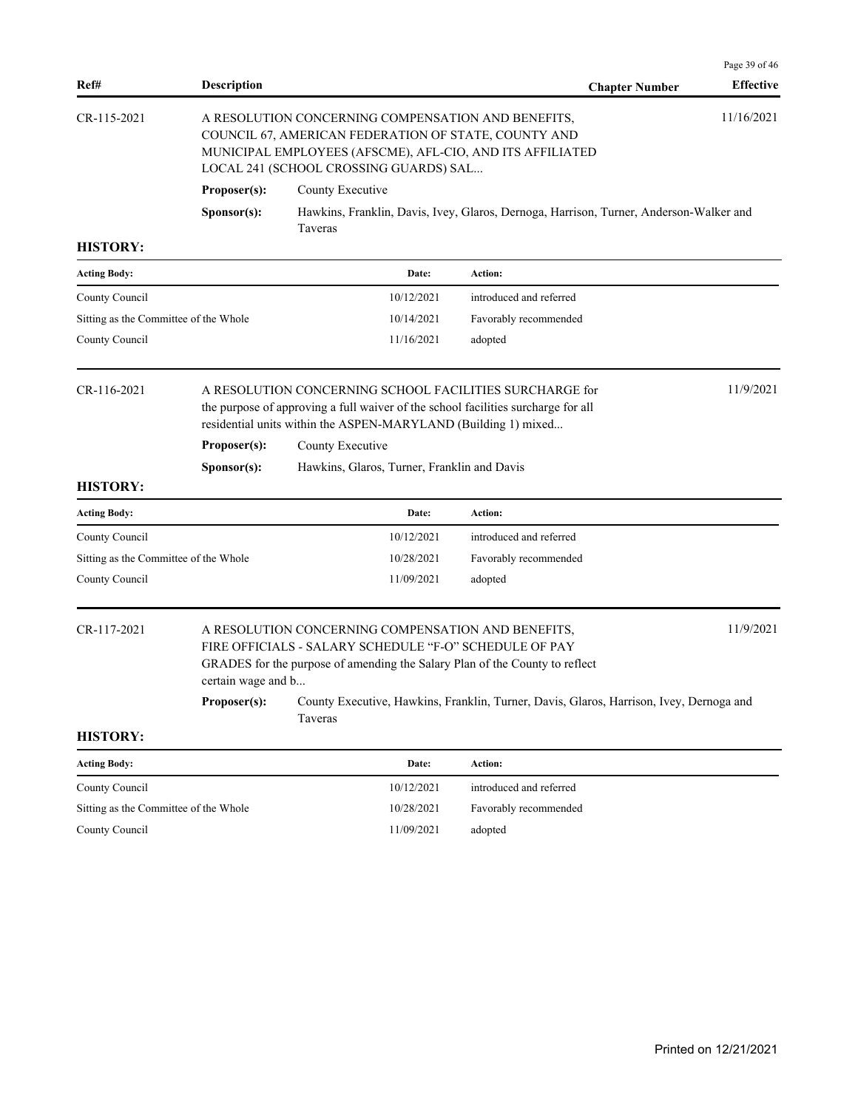| Ref#                                  | <b>Description</b> |                                                                                                                                                                                                                             | <b>Chapter Number</b>                                                                                | <b>Effective</b> |  |  |
|---------------------------------------|--------------------|-----------------------------------------------------------------------------------------------------------------------------------------------------------------------------------------------------------------------------|------------------------------------------------------------------------------------------------------|------------------|--|--|
| CR-115-2021                           |                    | A RESOLUTION CONCERNING COMPENSATION AND BENEFITS,<br>COUNCIL 67, AMERICAN FEDERATION OF STATE, COUNTY AND<br>MUNICIPAL EMPLOYEES (AFSCME), AFL-CIO, AND ITS AFFILIATED<br>LOCAL 241 (SCHOOL CROSSING GUARDS) SAL           |                                                                                                      |                  |  |  |
|                                       | Proposer(s):       | County Executive                                                                                                                                                                                                            |                                                                                                      |                  |  |  |
|                                       | Sponsor(s):        | <b>Taveras</b>                                                                                                                                                                                                              | Hawkins, Franklin, Davis, Ivey, Glaros, Dernoga, Harrison, Turner, Anderson-Walker and               |                  |  |  |
| <b>HISTORY:</b>                       |                    |                                                                                                                                                                                                                             |                                                                                                      |                  |  |  |
| <b>Acting Body:</b>                   |                    | Date:                                                                                                                                                                                                                       | Action:                                                                                              |                  |  |  |
| County Council                        |                    | 10/12/2021                                                                                                                                                                                                                  | introduced and referred                                                                              |                  |  |  |
| Sitting as the Committee of the Whole |                    | 10/14/2021                                                                                                                                                                                                                  | Favorably recommended                                                                                |                  |  |  |
| County Council                        |                    | 11/16/2021                                                                                                                                                                                                                  | adopted                                                                                              |                  |  |  |
| CR-116-2021                           |                    | 11/9/2021<br>A RESOLUTION CONCERNING SCHOOL FACILITIES SURCHARGE for<br>the purpose of approving a full waiver of the school facilities surcharge for all<br>residential units within the ASPEN-MARYLAND (Building 1) mixed |                                                                                                      |                  |  |  |
|                                       | Proposer(s):       | County Executive                                                                                                                                                                                                            |                                                                                                      |                  |  |  |
| <b>HISTORY:</b>                       | Sponsor(s):        | Hawkins, Glaros, Turner, Franklin and Davis                                                                                                                                                                                 |                                                                                                      |                  |  |  |
| <b>Acting Body:</b>                   |                    | Date:                                                                                                                                                                                                                       | Action:                                                                                              |                  |  |  |
| County Council                        |                    | 10/12/2021                                                                                                                                                                                                                  | introduced and referred                                                                              |                  |  |  |
| Sitting as the Committee of the Whole |                    | 10/28/2021                                                                                                                                                                                                                  | Favorably recommended                                                                                |                  |  |  |
| County Council                        |                    | 11/09/2021                                                                                                                                                                                                                  | adopted                                                                                              |                  |  |  |
| CR-117-2021                           | certain wage and b | A RESOLUTION CONCERNING COMPENSATION AND BENEFITS,<br>FIRE OFFICIALS - SALARY SCHEDULE "F-O" SCHEDULE OF PAY<br>GRADES for the purpose of amending the Salary Plan of the County to reflect                                 |                                                                                                      | 11/9/2021        |  |  |
|                                       |                    | Taveras                                                                                                                                                                                                                     | Proposer(s): County Executive, Hawkins, Franklin, Turner, Davis, Glaros, Harrison, Ivey, Dernoga and |                  |  |  |
| <b>HISTORY:</b>                       |                    |                                                                                                                                                                                                                             |                                                                                                      |                  |  |  |
| <b>Acting Body:</b>                   |                    | Date:                                                                                                                                                                                                                       | Action:                                                                                              |                  |  |  |
| County Council                        |                    | 10/12/2021                                                                                                                                                                                                                  | introduced and referred                                                                              |                  |  |  |
| Sitting as the Committee of the Whole |                    | 10/28/2021                                                                                                                                                                                                                  | Favorably recommended                                                                                |                  |  |  |
| County Council                        |                    | 11/09/2021                                                                                                                                                                                                                  | adopted                                                                                              |                  |  |  |
|                                       |                    |                                                                                                                                                                                                                             |                                                                                                      |                  |  |  |
|                                       |                    |                                                                                                                                                                                                                             |                                                                                                      |                  |  |  |
|                                       |                    |                                                                                                                                                                                                                             |                                                                                                      |                  |  |  |

Page 39 of 46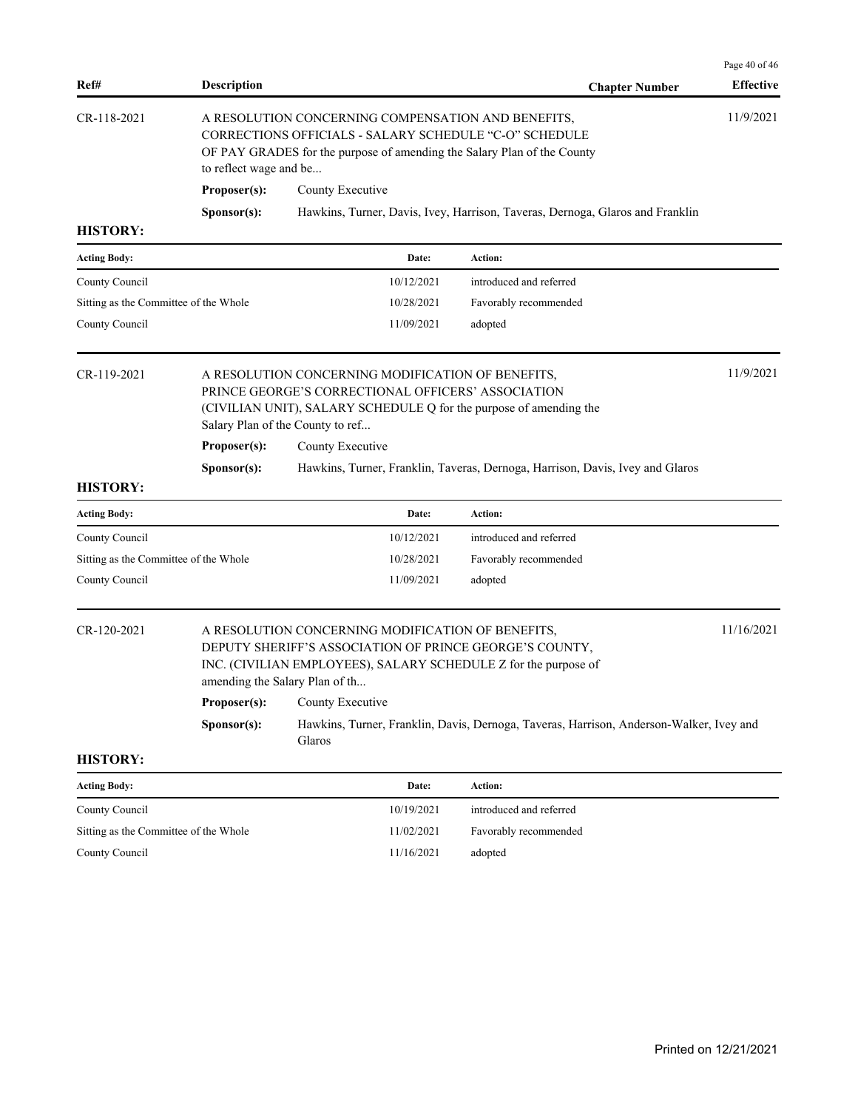| Ref#                                  | <b>Description</b>                                                                                                                                                                                                |                                                                                                                                                                                                                   | <b>Chapter Number</b>                                                                   | Page 40 of 46<br><b>Effective</b> |
|---------------------------------------|-------------------------------------------------------------------------------------------------------------------------------------------------------------------------------------------------------------------|-------------------------------------------------------------------------------------------------------------------------------------------------------------------------------------------------------------------|-----------------------------------------------------------------------------------------|-----------------------------------|
| CR-118-2021                           | A RESOLUTION CONCERNING COMPENSATION AND BENEFITS,<br>CORRECTIONS OFFICIALS - SALARY SCHEDULE "C-O" SCHEDULE<br>OF PAY GRADES for the purpose of amending the Salary Plan of the County<br>to reflect wage and be |                                                                                                                                                                                                                   |                                                                                         |                                   |
|                                       | Proposer(s):                                                                                                                                                                                                      | County Executive                                                                                                                                                                                                  |                                                                                         |                                   |
|                                       | Sponsor(s):                                                                                                                                                                                                       |                                                                                                                                                                                                                   | Hawkins, Turner, Davis, Ivey, Harrison, Taveras, Dernoga, Glaros and Franklin           |                                   |
| <b>HISTORY:</b>                       |                                                                                                                                                                                                                   |                                                                                                                                                                                                                   |                                                                                         |                                   |
| <b>Acting Body:</b>                   |                                                                                                                                                                                                                   | Date:                                                                                                                                                                                                             | Action:                                                                                 |                                   |
| County Council                        |                                                                                                                                                                                                                   | 10/12/2021                                                                                                                                                                                                        | introduced and referred                                                                 |                                   |
| Sitting as the Committee of the Whole |                                                                                                                                                                                                                   | 10/28/2021                                                                                                                                                                                                        | Favorably recommended                                                                   |                                   |
| County Council                        |                                                                                                                                                                                                                   | 11/09/2021                                                                                                                                                                                                        | adopted                                                                                 |                                   |
| CR-119-2021                           |                                                                                                                                                                                                                   | A RESOLUTION CONCERNING MODIFICATION OF BENEFITS,<br>PRINCE GEORGE'S CORRECTIONAL OFFICERS' ASSOCIATION<br>(CIVILIAN UNIT), SALARY SCHEDULE Q for the purpose of amending the<br>Salary Plan of the County to ref |                                                                                         | 11/9/2021                         |
|                                       | Proposer(s):                                                                                                                                                                                                      | County Executive                                                                                                                                                                                                  |                                                                                         |                                   |
|                                       | Sponsor(s):                                                                                                                                                                                                       |                                                                                                                                                                                                                   | Hawkins, Turner, Franklin, Taveras, Dernoga, Harrison, Davis, Ivey and Glaros           |                                   |
| <b>HISTORY:</b>                       |                                                                                                                                                                                                                   |                                                                                                                                                                                                                   |                                                                                         |                                   |
| <b>Acting Body:</b>                   |                                                                                                                                                                                                                   | Date:                                                                                                                                                                                                             | Action:                                                                                 |                                   |
| County Council                        |                                                                                                                                                                                                                   | 10/12/2021                                                                                                                                                                                                        | introduced and referred                                                                 |                                   |
| Sitting as the Committee of the Whole |                                                                                                                                                                                                                   | 10/28/2021                                                                                                                                                                                                        | Favorably recommended                                                                   |                                   |
| County Council                        |                                                                                                                                                                                                                   | 11/09/2021                                                                                                                                                                                                        | adopted                                                                                 |                                   |
| CR-120-2021                           |                                                                                                                                                                                                                   | A RESOLUTION CONCERNING MODIFICATION OF BENEFITS,<br>DEPUTY SHERIFF'S ASSOCIATION OF PRINCE GEORGE'S COUNTY,<br>INC. (CIVILIAN EMPLOYEES), SALARY SCHEDULE Z for the purpose of<br>amending the Salary Plan of th |                                                                                         | 11/16/2021                        |
|                                       | Proposer(s):                                                                                                                                                                                                      | County Executive                                                                                                                                                                                                  |                                                                                         |                                   |
|                                       | Sponsor(s):                                                                                                                                                                                                       | Glaros                                                                                                                                                                                                            | Hawkins, Turner, Franklin, Davis, Dernoga, Taveras, Harrison, Anderson-Walker, Ivey and |                                   |
| <b>HISTORY:</b>                       |                                                                                                                                                                                                                   |                                                                                                                                                                                                                   |                                                                                         |                                   |
| <b>Acting Body:</b>                   |                                                                                                                                                                                                                   | Date:                                                                                                                                                                                                             | Action:                                                                                 |                                   |
| County Council                        |                                                                                                                                                                                                                   | 10/19/2021                                                                                                                                                                                                        | introduced and referred                                                                 |                                   |
| Sitting as the Committee of the Whole |                                                                                                                                                                                                                   | 11/02/2021                                                                                                                                                                                                        | Favorably recommended                                                                   |                                   |
| County Council                        |                                                                                                                                                                                                                   | 11/16/2021                                                                                                                                                                                                        | adopted                                                                                 |                                   |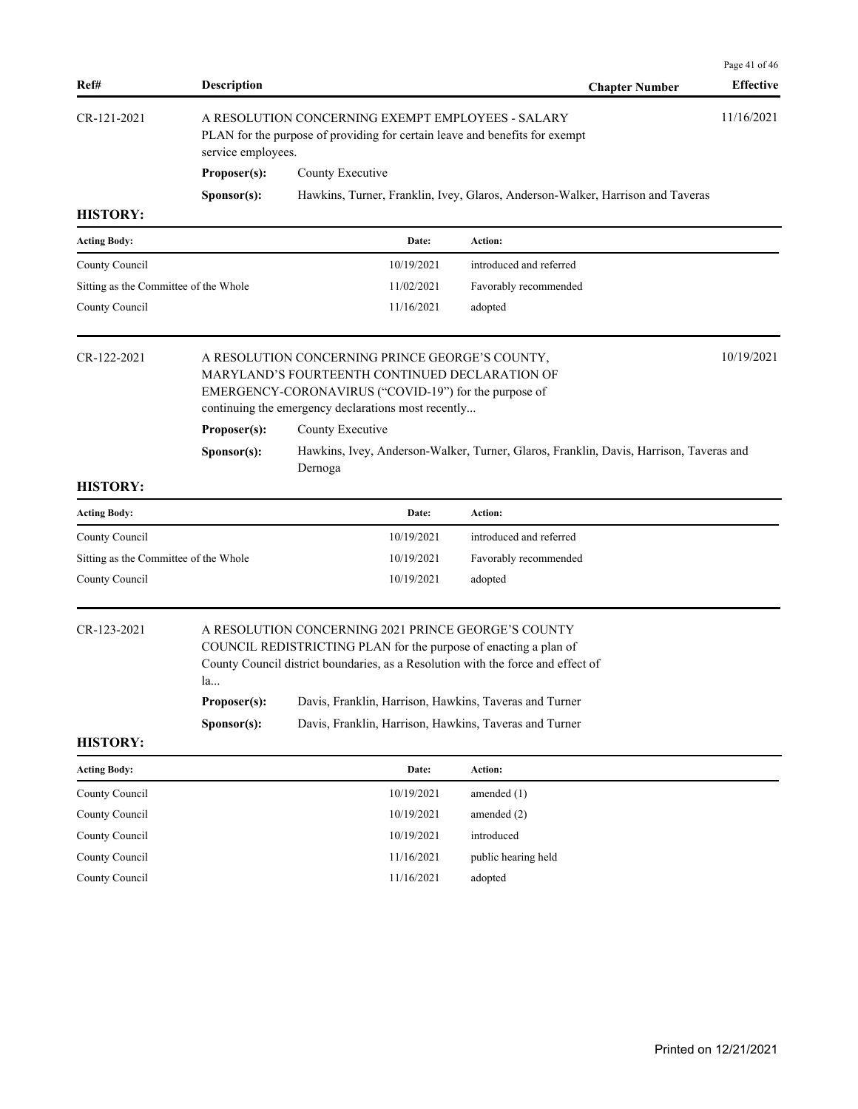| A RESOLUTION CONCERNING EXEMPT EMPLOYEES - SALARY<br>CR-121-2021<br>PLAN for the purpose of providing for certain leave and benefits for exempt<br>service employees.<br>Proposer(s):<br>County Executive<br>Hawkins, Turner, Franklin, Ivey, Glaros, Anderson-Walker, Harrison and Taveras<br>Sponsor(s):<br><b>HISTORY:</b><br><b>Acting Body:</b><br>Action:<br>Date:<br>County Council<br>10/19/2021<br>introduced and referred<br>Sitting as the Committee of the Whole<br>11/02/2021<br>Favorably recommended<br>County Council<br>11/16/2021<br>adopted<br>10/19/2021<br>CR-122-2021<br>A RESOLUTION CONCERNING PRINCE GEORGE'S COUNTY,<br>MARYLAND'S FOURTEENTH CONTINUED DECLARATION OF<br>EMERGENCY-CORONAVIRUS ("COVID-19") for the purpose of<br>continuing the emergency declarations most recently<br>Proposer(s):<br>County Executive<br>Hawkins, Ivey, Anderson-Walker, Turner, Glaros, Franklin, Davis, Harrison, Taveras and<br>Sponsor(s):<br>Dernoga<br><b>HISTORY:</b><br>Action:<br><b>Acting Body:</b><br>Date:<br>introduced and referred<br>County Council<br>10/19/2021<br>Sitting as the Committee of the Whole<br>10/19/2021<br>Favorably recommended<br>County Council<br>10/19/2021<br>adopted<br>CR-123-2021<br>A RESOLUTION CONCERNING 2021 PRINCE GEORGE'S COUNTY<br>COUNCIL REDISTRICTING PLAN for the purpose of enacting a plan of<br>County Council district boundaries, as a Resolution with the force and effect of<br>la<br>Proposer(s):<br>Davis, Franklin, Harrison, Hawkins, Taveras and Turner<br>Sponsor(s):<br>Davis, Franklin, Harrison, Hawkins, Taveras and Turner<br><b>HISTORY:</b><br>Action:<br><b>Acting Body:</b><br>Date:<br>County Council<br>10/19/2021<br>amended $(1)$<br>County Council<br>10/19/2021<br>amended (2)<br>County Council<br>10/19/2021<br>introduced<br>County Council<br>11/16/2021<br>public hearing held<br>County Council<br>11/16/2021<br>adopted | Ref# | <b>Description</b> |  | <b>Chapter Number</b> | Page 41 of 46<br><b>Effective</b> |  |
|-----------------------------------------------------------------------------------------------------------------------------------------------------------------------------------------------------------------------------------------------------------------------------------------------------------------------------------------------------------------------------------------------------------------------------------------------------------------------------------------------------------------------------------------------------------------------------------------------------------------------------------------------------------------------------------------------------------------------------------------------------------------------------------------------------------------------------------------------------------------------------------------------------------------------------------------------------------------------------------------------------------------------------------------------------------------------------------------------------------------------------------------------------------------------------------------------------------------------------------------------------------------------------------------------------------------------------------------------------------------------------------------------------------------------------------------------------------------------------------------------------------------------------------------------------------------------------------------------------------------------------------------------------------------------------------------------------------------------------------------------------------------------------------------------------------------------------------------------------------------------------------------------------------------------------------|------|--------------------|--|-----------------------|-----------------------------------|--|
|                                                                                                                                                                                                                                                                                                                                                                                                                                                                                                                                                                                                                                                                                                                                                                                                                                                                                                                                                                                                                                                                                                                                                                                                                                                                                                                                                                                                                                                                                                                                                                                                                                                                                                                                                                                                                                                                                                                                   |      | 11/16/2021         |  |                       |                                   |  |
|                                                                                                                                                                                                                                                                                                                                                                                                                                                                                                                                                                                                                                                                                                                                                                                                                                                                                                                                                                                                                                                                                                                                                                                                                                                                                                                                                                                                                                                                                                                                                                                                                                                                                                                                                                                                                                                                                                                                   |      |                    |  |                       |                                   |  |
|                                                                                                                                                                                                                                                                                                                                                                                                                                                                                                                                                                                                                                                                                                                                                                                                                                                                                                                                                                                                                                                                                                                                                                                                                                                                                                                                                                                                                                                                                                                                                                                                                                                                                                                                                                                                                                                                                                                                   |      |                    |  |                       |                                   |  |
|                                                                                                                                                                                                                                                                                                                                                                                                                                                                                                                                                                                                                                                                                                                                                                                                                                                                                                                                                                                                                                                                                                                                                                                                                                                                                                                                                                                                                                                                                                                                                                                                                                                                                                                                                                                                                                                                                                                                   |      |                    |  |                       |                                   |  |
|                                                                                                                                                                                                                                                                                                                                                                                                                                                                                                                                                                                                                                                                                                                                                                                                                                                                                                                                                                                                                                                                                                                                                                                                                                                                                                                                                                                                                                                                                                                                                                                                                                                                                                                                                                                                                                                                                                                                   |      |                    |  |                       |                                   |  |
|                                                                                                                                                                                                                                                                                                                                                                                                                                                                                                                                                                                                                                                                                                                                                                                                                                                                                                                                                                                                                                                                                                                                                                                                                                                                                                                                                                                                                                                                                                                                                                                                                                                                                                                                                                                                                                                                                                                                   |      |                    |  |                       |                                   |  |
|                                                                                                                                                                                                                                                                                                                                                                                                                                                                                                                                                                                                                                                                                                                                                                                                                                                                                                                                                                                                                                                                                                                                                                                                                                                                                                                                                                                                                                                                                                                                                                                                                                                                                                                                                                                                                                                                                                                                   |      |                    |  |                       |                                   |  |
|                                                                                                                                                                                                                                                                                                                                                                                                                                                                                                                                                                                                                                                                                                                                                                                                                                                                                                                                                                                                                                                                                                                                                                                                                                                                                                                                                                                                                                                                                                                                                                                                                                                                                                                                                                                                                                                                                                                                   |      |                    |  |                       |                                   |  |
|                                                                                                                                                                                                                                                                                                                                                                                                                                                                                                                                                                                                                                                                                                                                                                                                                                                                                                                                                                                                                                                                                                                                                                                                                                                                                                                                                                                                                                                                                                                                                                                                                                                                                                                                                                                                                                                                                                                                   |      |                    |  |                       |                                   |  |
|                                                                                                                                                                                                                                                                                                                                                                                                                                                                                                                                                                                                                                                                                                                                                                                                                                                                                                                                                                                                                                                                                                                                                                                                                                                                                                                                                                                                                                                                                                                                                                                                                                                                                                                                                                                                                                                                                                                                   |      |                    |  |                       |                                   |  |
|                                                                                                                                                                                                                                                                                                                                                                                                                                                                                                                                                                                                                                                                                                                                                                                                                                                                                                                                                                                                                                                                                                                                                                                                                                                                                                                                                                                                                                                                                                                                                                                                                                                                                                                                                                                                                                                                                                                                   |      |                    |  |                       |                                   |  |
|                                                                                                                                                                                                                                                                                                                                                                                                                                                                                                                                                                                                                                                                                                                                                                                                                                                                                                                                                                                                                                                                                                                                                                                                                                                                                                                                                                                                                                                                                                                                                                                                                                                                                                                                                                                                                                                                                                                                   |      |                    |  |                       |                                   |  |
|                                                                                                                                                                                                                                                                                                                                                                                                                                                                                                                                                                                                                                                                                                                                                                                                                                                                                                                                                                                                                                                                                                                                                                                                                                                                                                                                                                                                                                                                                                                                                                                                                                                                                                                                                                                                                                                                                                                                   |      |                    |  |                       |                                   |  |
|                                                                                                                                                                                                                                                                                                                                                                                                                                                                                                                                                                                                                                                                                                                                                                                                                                                                                                                                                                                                                                                                                                                                                                                                                                                                                                                                                                                                                                                                                                                                                                                                                                                                                                                                                                                                                                                                                                                                   |      |                    |  |                       |                                   |  |
|                                                                                                                                                                                                                                                                                                                                                                                                                                                                                                                                                                                                                                                                                                                                                                                                                                                                                                                                                                                                                                                                                                                                                                                                                                                                                                                                                                                                                                                                                                                                                                                                                                                                                                                                                                                                                                                                                                                                   |      |                    |  |                       |                                   |  |
|                                                                                                                                                                                                                                                                                                                                                                                                                                                                                                                                                                                                                                                                                                                                                                                                                                                                                                                                                                                                                                                                                                                                                                                                                                                                                                                                                                                                                                                                                                                                                                                                                                                                                                                                                                                                                                                                                                                                   |      |                    |  |                       |                                   |  |
|                                                                                                                                                                                                                                                                                                                                                                                                                                                                                                                                                                                                                                                                                                                                                                                                                                                                                                                                                                                                                                                                                                                                                                                                                                                                                                                                                                                                                                                                                                                                                                                                                                                                                                                                                                                                                                                                                                                                   |      |                    |  |                       |                                   |  |
|                                                                                                                                                                                                                                                                                                                                                                                                                                                                                                                                                                                                                                                                                                                                                                                                                                                                                                                                                                                                                                                                                                                                                                                                                                                                                                                                                                                                                                                                                                                                                                                                                                                                                                                                                                                                                                                                                                                                   |      |                    |  |                       |                                   |  |
|                                                                                                                                                                                                                                                                                                                                                                                                                                                                                                                                                                                                                                                                                                                                                                                                                                                                                                                                                                                                                                                                                                                                                                                                                                                                                                                                                                                                                                                                                                                                                                                                                                                                                                                                                                                                                                                                                                                                   |      |                    |  |                       |                                   |  |
|                                                                                                                                                                                                                                                                                                                                                                                                                                                                                                                                                                                                                                                                                                                                                                                                                                                                                                                                                                                                                                                                                                                                                                                                                                                                                                                                                                                                                                                                                                                                                                                                                                                                                                                                                                                                                                                                                                                                   |      |                    |  |                       |                                   |  |
|                                                                                                                                                                                                                                                                                                                                                                                                                                                                                                                                                                                                                                                                                                                                                                                                                                                                                                                                                                                                                                                                                                                                                                                                                                                                                                                                                                                                                                                                                                                                                                                                                                                                                                                                                                                                                                                                                                                                   |      |                    |  |                       |                                   |  |
|                                                                                                                                                                                                                                                                                                                                                                                                                                                                                                                                                                                                                                                                                                                                                                                                                                                                                                                                                                                                                                                                                                                                                                                                                                                                                                                                                                                                                                                                                                                                                                                                                                                                                                                                                                                                                                                                                                                                   |      |                    |  |                       |                                   |  |
|                                                                                                                                                                                                                                                                                                                                                                                                                                                                                                                                                                                                                                                                                                                                                                                                                                                                                                                                                                                                                                                                                                                                                                                                                                                                                                                                                                                                                                                                                                                                                                                                                                                                                                                                                                                                                                                                                                                                   |      |                    |  |                       |                                   |  |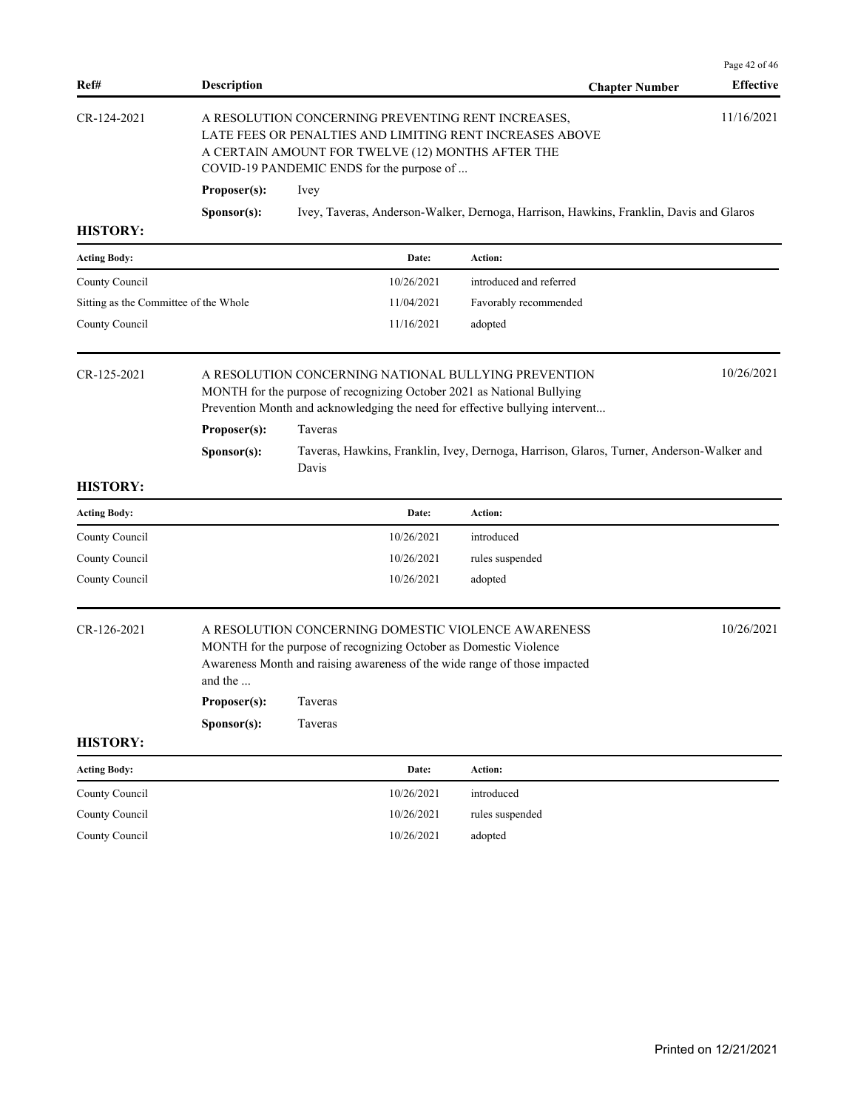| Ref#                                  | <b>Description</b>                                                                                                                                                                                                             |                                                                                                                                                                                                                  | <b>Chapter Number</b>                                                                    | Page 42 of 46<br><b>Effective</b> |  |
|---------------------------------------|--------------------------------------------------------------------------------------------------------------------------------------------------------------------------------------------------------------------------------|------------------------------------------------------------------------------------------------------------------------------------------------------------------------------------------------------------------|------------------------------------------------------------------------------------------|-----------------------------------|--|
| CR-124-2021                           | 11/16/2021<br>A RESOLUTION CONCERNING PREVENTING RENT INCREASES,<br>LATE FEES OR PENALTIES AND LIMITING RENT INCREASES ABOVE<br>A CERTAIN AMOUNT FOR TWELVE (12) MONTHS AFTER THE<br>COVID-19 PANDEMIC ENDS for the purpose of |                                                                                                                                                                                                                  |                                                                                          |                                   |  |
|                                       | Proposer(s):                                                                                                                                                                                                                   | Ivey                                                                                                                                                                                                             |                                                                                          |                                   |  |
|                                       | Sponsor(s):                                                                                                                                                                                                                    |                                                                                                                                                                                                                  | Ivey, Taveras, Anderson-Walker, Dernoga, Harrison, Hawkins, Franklin, Davis and Glaros   |                                   |  |
| <b>HISTORY:</b>                       |                                                                                                                                                                                                                                |                                                                                                                                                                                                                  |                                                                                          |                                   |  |
| <b>Acting Body:</b>                   |                                                                                                                                                                                                                                | Date:                                                                                                                                                                                                            | Action:                                                                                  |                                   |  |
| County Council                        |                                                                                                                                                                                                                                | 10/26/2021                                                                                                                                                                                                       | introduced and referred                                                                  |                                   |  |
| Sitting as the Committee of the Whole |                                                                                                                                                                                                                                | 11/04/2021                                                                                                                                                                                                       | Favorably recommended                                                                    |                                   |  |
| County Council                        |                                                                                                                                                                                                                                | 11/16/2021                                                                                                                                                                                                       | adopted                                                                                  |                                   |  |
| CR-125-2021                           |                                                                                                                                                                                                                                | A RESOLUTION CONCERNING NATIONAL BULLYING PREVENTION<br>MONTH for the purpose of recognizing October 2021 as National Bullying<br>Prevention Month and acknowledging the need for effective bullying intervent   |                                                                                          | 10/26/2021                        |  |
|                                       | Proposer(s):                                                                                                                                                                                                                   | Taveras                                                                                                                                                                                                          |                                                                                          |                                   |  |
|                                       | Sponsor(s):                                                                                                                                                                                                                    | Davis                                                                                                                                                                                                            | Taveras, Hawkins, Franklin, Ivey, Dernoga, Harrison, Glaros, Turner, Anderson-Walker and |                                   |  |
| <b>HISTORY:</b>                       |                                                                                                                                                                                                                                |                                                                                                                                                                                                                  |                                                                                          |                                   |  |
| <b>Acting Body:</b>                   |                                                                                                                                                                                                                                | Date:                                                                                                                                                                                                            | Action:                                                                                  |                                   |  |
| County Council                        |                                                                                                                                                                                                                                | 10/26/2021                                                                                                                                                                                                       | introduced                                                                               |                                   |  |
| County Council                        |                                                                                                                                                                                                                                | 10/26/2021                                                                                                                                                                                                       | rules suspended                                                                          |                                   |  |
| County Council                        |                                                                                                                                                                                                                                | 10/26/2021                                                                                                                                                                                                       | adopted                                                                                  |                                   |  |
| CR-126-2021                           | and the<br>Proposer(s):                                                                                                                                                                                                        | A RESOLUTION CONCERNING DOMESTIC VIOLENCE AWARENESS<br>MONTH for the purpose of recognizing October as Domestic Violence<br>Awareness Month and raising awareness of the wide range of those impacted<br>Taveras |                                                                                          | 10/26/2021                        |  |
|                                       | Sponsor(s):                                                                                                                                                                                                                    | Taveras                                                                                                                                                                                                          |                                                                                          |                                   |  |
| <b>HISTORY:</b>                       |                                                                                                                                                                                                                                |                                                                                                                                                                                                                  |                                                                                          |                                   |  |
| <b>Acting Body:</b>                   |                                                                                                                                                                                                                                | Date:                                                                                                                                                                                                            | Action:                                                                                  |                                   |  |
| County Council                        |                                                                                                                                                                                                                                | 10/26/2021                                                                                                                                                                                                       | introduced                                                                               |                                   |  |
| County Council                        |                                                                                                                                                                                                                                | 10/26/2021                                                                                                                                                                                                       | rules suspended                                                                          |                                   |  |
| County Council                        |                                                                                                                                                                                                                                | 10/26/2021                                                                                                                                                                                                       | adopted                                                                                  |                                   |  |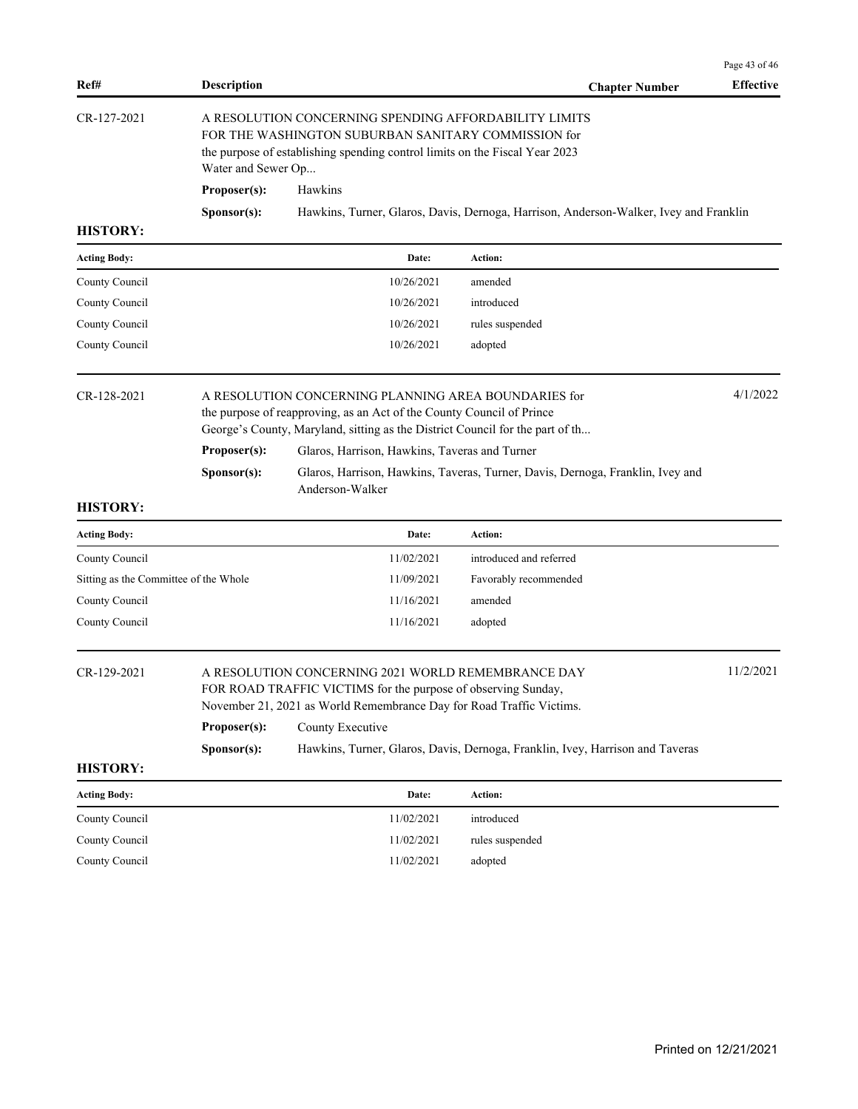|                 |                      |                                                                                                                                                                                             |                       | Page 43 of 46    |
|-----------------|----------------------|---------------------------------------------------------------------------------------------------------------------------------------------------------------------------------------------|-----------------------|------------------|
| Ref#            | <b>Description</b>   |                                                                                                                                                                                             | <b>Chapter Number</b> | <b>Effective</b> |
| CR-127-2021     | Water and Sewer Op   | A RESOLUTION CONCERNING SPENDING AFFORDABILITY LIMITS<br>FOR THE WASHINGTON SUBURBAN SANITARY COMMISSION for<br>the purpose of establishing spending control limits on the Fiscal Year 2023 |                       |                  |
|                 | Proposer(s):         | <b>Hawkins</b>                                                                                                                                                                              |                       |                  |
|                 | S <b>p</b> onsor(s): | Hawkins, Turner, Glaros, Davis, Dernoga, Harrison, Anderson-Walker, Ivey and Franklin                                                                                                       |                       |                  |
| <b>HISTORY:</b> |                      |                                                                                                                                                                                             |                       |                  |

| <b>Acting Body:</b> | Date:      | Action:         |
|---------------------|------------|-----------------|
| County Council      | 10/26/2021 | amended         |
| County Council      | 10/26/2021 | introduced      |
| County Council      | 10/26/2021 | rules suspended |
| County Council      | 10/26/2021 | adopted         |

| CR-128-2021 |                      | A RESOLUTION CONCERNING PLANNING AREA BOUNDARIES for<br>the purpose of reapproving, as an Act of the County Council of Prince<br>George's County, Maryland, sitting as the District Council for the part of th |  |  |
|-------------|----------------------|----------------------------------------------------------------------------------------------------------------------------------------------------------------------------------------------------------------|--|--|
|             | Proposer(s):         | Glaros, Harrison, Hawkins, Taveras and Turner                                                                                                                                                                  |  |  |
|             | S <b>p</b> onsor(s): | Glaros, Harrison, Hawkins, Taveras, Turner, Davis, Dernoga, Franklin, Ivey and<br>Anderson-Walker                                                                                                              |  |  |

| Date:      | Action:                 |
|------------|-------------------------|
| 11/02/2021 | introduced and referred |
| 11/09/2021 | Favorably recommended   |
| 11/16/2021 | amended                 |
| 11/16/2021 | adopted                 |
|            |                         |

| CR-129-2021 |                                                                                                       | A RESOLUTION CONCERNING 2021 WORLD REMEMBRANCE DAY<br>FOR ROAD TRAFFIC VICTIMS for the purpose of observing Sunday,<br>November 21, 2021 as World Remembrance Day for Road Traffic Victims. |  |  |
|-------------|-------------------------------------------------------------------------------------------------------|---------------------------------------------------------------------------------------------------------------------------------------------------------------------------------------------|--|--|
|             | Proposer(s):                                                                                          | County Executive                                                                                                                                                                            |  |  |
|             | Hawkins, Turner, Glaros, Davis, Dernoga, Franklin, Ivey, Harrison and Taveras<br>S <b>p</b> onsor(s): |                                                                                                                                                                                             |  |  |
| HICTODV.    |                                                                                                       |                                                                                                                                                                                             |  |  |

| <b>Acting Body:</b> | Date:      | Action:         |
|---------------------|------------|-----------------|
| County Council      | 11/02/2021 | introduced      |
| County Council      | 11/02/2021 | rules suspended |
| County Council      | 11/02/2021 | adopted         |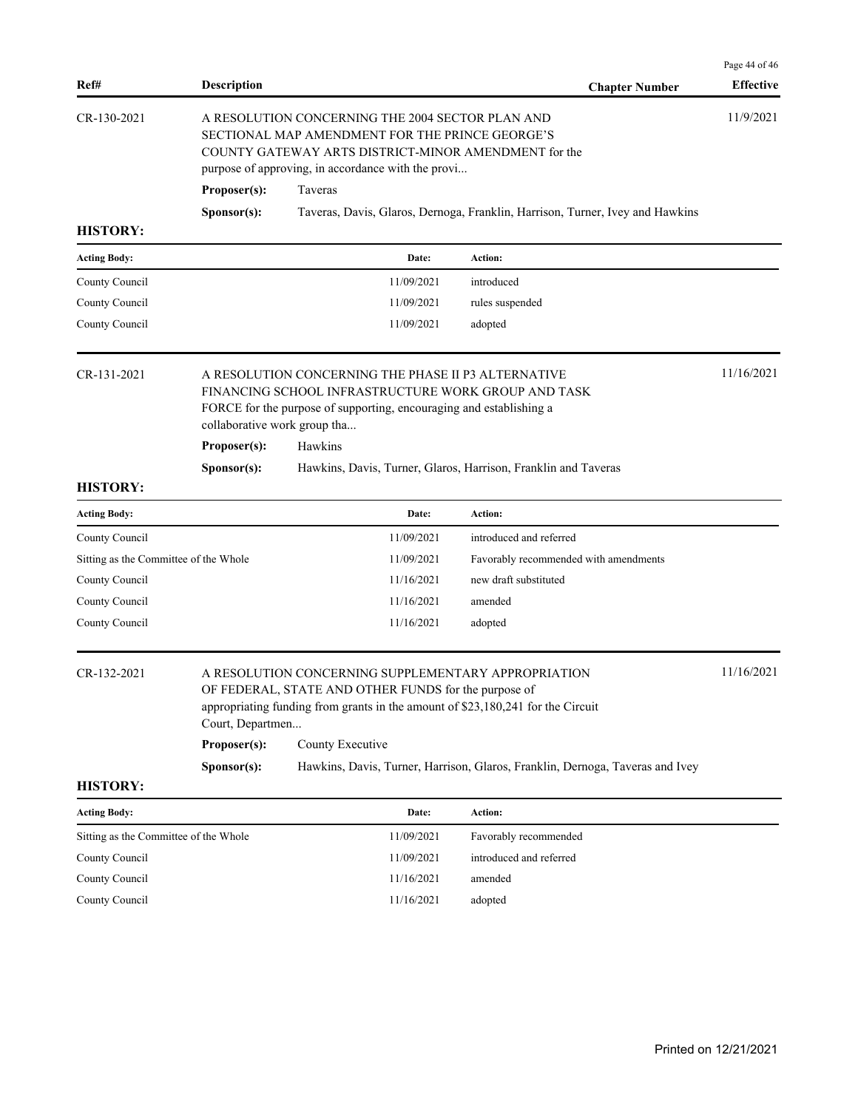| Ref#                                  | <b>Description</b>                                                                                                                                                                                                |                                                                                                                                                                                                |  | <b>Chapter Number</b>                                                         | Page 44 of 46<br><b>Effective</b> |
|---------------------------------------|-------------------------------------------------------------------------------------------------------------------------------------------------------------------------------------------------------------------|------------------------------------------------------------------------------------------------------------------------------------------------------------------------------------------------|--|-------------------------------------------------------------------------------|-----------------------------------|
| CR-130-2021                           | A RESOLUTION CONCERNING THE 2004 SECTOR PLAN AND<br>SECTIONAL MAP AMENDMENT FOR THE PRINCE GEORGE'S<br>COUNTY GATEWAY ARTS DISTRICT-MINOR AMENDMENT for the<br>purpose of approving, in accordance with the provi |                                                                                                                                                                                                |  |                                                                               |                                   |
|                                       | Proposer(s):                                                                                                                                                                                                      | Taveras                                                                                                                                                                                        |  |                                                                               |                                   |
|                                       | Sponsor(s):                                                                                                                                                                                                       |                                                                                                                                                                                                |  | Taveras, Davis, Glaros, Dernoga, Franklin, Harrison, Turner, Ivey and Hawkins |                                   |
| <b>HISTORY:</b>                       |                                                                                                                                                                                                                   |                                                                                                                                                                                                |  |                                                                               |                                   |
| <b>Acting Body:</b>                   |                                                                                                                                                                                                                   | Date:                                                                                                                                                                                          |  | Action:                                                                       |                                   |
| County Council                        |                                                                                                                                                                                                                   | 11/09/2021                                                                                                                                                                                     |  | introduced                                                                    |                                   |
| County Council                        |                                                                                                                                                                                                                   | 11/09/2021                                                                                                                                                                                     |  | rules suspended                                                               |                                   |
| County Council                        |                                                                                                                                                                                                                   | 11/09/2021                                                                                                                                                                                     |  | adopted                                                                       |                                   |
| CR-131-2021                           | collaborative work group tha                                                                                                                                                                                      | A RESOLUTION CONCERNING THE PHASE II P3 ALTERNATIVE<br>FINANCING SCHOOL INFRASTRUCTURE WORK GROUP AND TASK<br>FORCE for the purpose of supporting, encouraging and establishing a              |  |                                                                               | 11/16/2021                        |
|                                       | Proposer(s):                                                                                                                                                                                                      | Hawkins                                                                                                                                                                                        |  |                                                                               |                                   |
|                                       | Sponsor(s):                                                                                                                                                                                                       |                                                                                                                                                                                                |  | Hawkins, Davis, Turner, Glaros, Harrison, Franklin and Taveras                |                                   |
| <b>HISTORY:</b>                       |                                                                                                                                                                                                                   |                                                                                                                                                                                                |  |                                                                               |                                   |
| <b>Acting Body:</b>                   |                                                                                                                                                                                                                   | Date:                                                                                                                                                                                          |  | Action:                                                                       |                                   |
| County Council                        |                                                                                                                                                                                                                   | 11/09/2021                                                                                                                                                                                     |  | introduced and referred                                                       |                                   |
| Sitting as the Committee of the Whole |                                                                                                                                                                                                                   | 11/09/2021                                                                                                                                                                                     |  | Favorably recommended with amendments                                         |                                   |
| County Council                        |                                                                                                                                                                                                                   | 11/16/2021                                                                                                                                                                                     |  | new draft substituted                                                         |                                   |
| County Council                        |                                                                                                                                                                                                                   | 11/16/2021                                                                                                                                                                                     |  | amended                                                                       |                                   |
| County Council                        |                                                                                                                                                                                                                   | 11/16/2021                                                                                                                                                                                     |  | adopted                                                                       |                                   |
| CR-132-2021                           | Court, Departmen                                                                                                                                                                                                  | A RESOLUTION CONCERNING SUPPLEMENTARY APPROPRIATION<br>OF FEDERAL, STATE AND OTHER FUNDS for the purpose of<br>appropriating funding from grants in the amount of \$23,180,241 for the Circuit |  |                                                                               | 11/16/2021                        |
|                                       | Proposer(s):                                                                                                                                                                                                      | County Executive                                                                                                                                                                               |  |                                                                               |                                   |
|                                       | Sponsor(s):                                                                                                                                                                                                       |                                                                                                                                                                                                |  | Hawkins, Davis, Turner, Harrison, Glaros, Franklin, Dernoga, Taveras and Ivey |                                   |
| <b>HISTORY:</b>                       |                                                                                                                                                                                                                   |                                                                                                                                                                                                |  |                                                                               |                                   |
| <b>Acting Body:</b>                   |                                                                                                                                                                                                                   | Date:                                                                                                                                                                                          |  | Action:                                                                       |                                   |
| Sitting as the Committee of the Whole |                                                                                                                                                                                                                   | 11/09/2021                                                                                                                                                                                     |  | Favorably recommended                                                         |                                   |
| County Council                        |                                                                                                                                                                                                                   | 11/09/2021                                                                                                                                                                                     |  | introduced and referred                                                       |                                   |
| County Council                        |                                                                                                                                                                                                                   | 11/16/2021                                                                                                                                                                                     |  | amended                                                                       |                                   |
| County Council                        |                                                                                                                                                                                                                   | 11/16/2021                                                                                                                                                                                     |  | adopted                                                                       |                                   |
|                                       |                                                                                                                                                                                                                   |                                                                                                                                                                                                |  |                                                                               |                                   |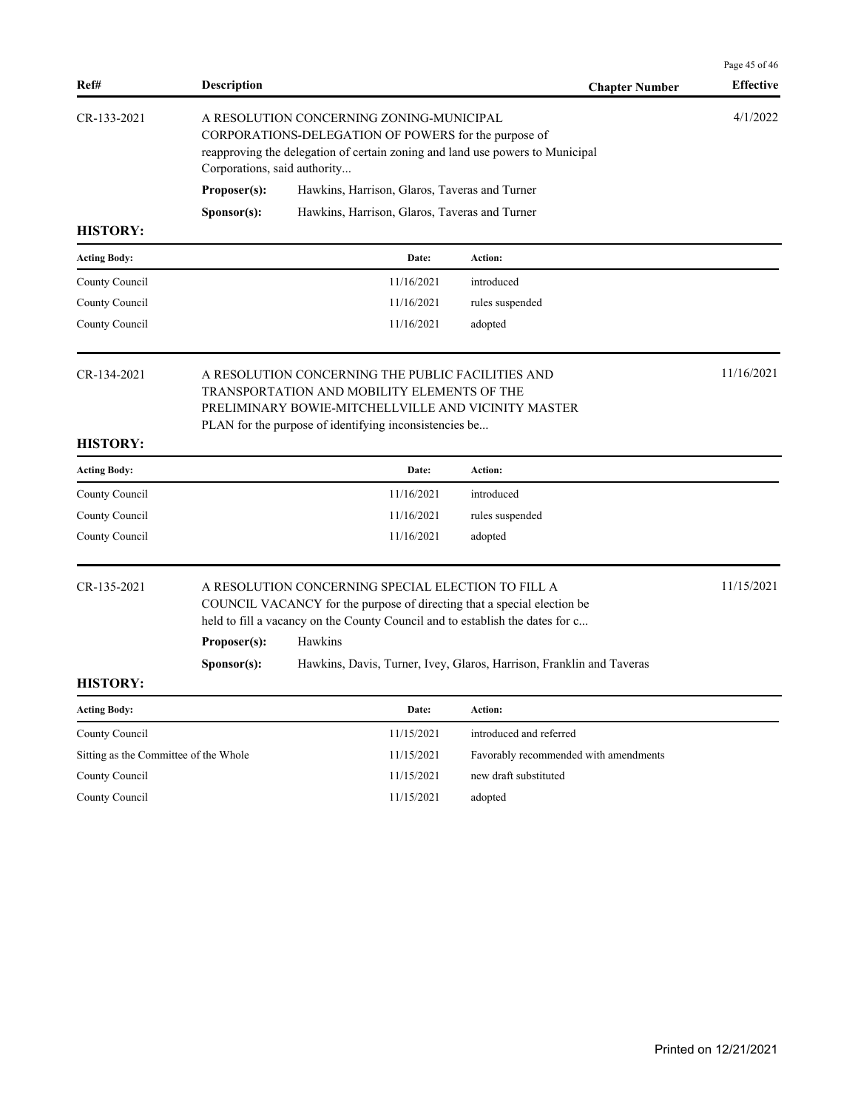| Ref#                                  | <b>Description</b>                                                                                                                                                                                                                        |                                                                                                                                       | <b>Chapter Number</b>                                                | Page 45 of 46<br><b>Effective</b> |  |
|---------------------------------------|-------------------------------------------------------------------------------------------------------------------------------------------------------------------------------------------------------------------------------------------|---------------------------------------------------------------------------------------------------------------------------------------|----------------------------------------------------------------------|-----------------------------------|--|
| CR-133-2021                           | A RESOLUTION CONCERNING ZONING-MUNICIPAL<br>Corporations, said authority                                                                                                                                                                  | CORPORATIONS-DELEGATION OF POWERS for the purpose of<br>reapproving the delegation of certain zoning and land use powers to Municipal | 4/1/2022                                                             |                                   |  |
|                                       | Proposer(s):<br>Hawkins, Harrison, Glaros, Taveras and Turner                                                                                                                                                                             |                                                                                                                                       |                                                                      |                                   |  |
|                                       | Sponsor(s):                                                                                                                                                                                                                               | Hawkins, Harrison, Glaros, Taveras and Turner                                                                                         |                                                                      |                                   |  |
| <b>HISTORY:</b>                       |                                                                                                                                                                                                                                           |                                                                                                                                       |                                                                      |                                   |  |
| <b>Acting Body:</b>                   |                                                                                                                                                                                                                                           | Date:                                                                                                                                 | Action:                                                              |                                   |  |
| County Council                        |                                                                                                                                                                                                                                           | 11/16/2021                                                                                                                            | introduced                                                           |                                   |  |
| County Council                        |                                                                                                                                                                                                                                           | 11/16/2021                                                                                                                            | rules suspended                                                      |                                   |  |
| County Council                        |                                                                                                                                                                                                                                           | 11/16/2021                                                                                                                            | adopted                                                              |                                   |  |
| CR-134-2021                           | A RESOLUTION CONCERNING THE PUBLIC FACILITIES AND<br>TRANSPORTATION AND MOBILITY ELEMENTS OF THE<br>PRELIMINARY BOWIE-MITCHELLVILLE AND VICINITY MASTER<br>PLAN for the purpose of identifying inconsistencies be                         |                                                                                                                                       |                                                                      | 11/16/2021                        |  |
| <b>HISTORY:</b>                       |                                                                                                                                                                                                                                           |                                                                                                                                       |                                                                      |                                   |  |
| <b>Acting Body:</b>                   |                                                                                                                                                                                                                                           | Date:                                                                                                                                 | Action:                                                              |                                   |  |
| County Council                        |                                                                                                                                                                                                                                           | 11/16/2021                                                                                                                            | introduced                                                           |                                   |  |
| County Council                        |                                                                                                                                                                                                                                           | 11/16/2021                                                                                                                            | rules suspended                                                      |                                   |  |
| County Council                        |                                                                                                                                                                                                                                           | 11/16/2021                                                                                                                            | adopted                                                              |                                   |  |
| CR-135-2021                           | A RESOLUTION CONCERNING SPECIAL ELECTION TO FILL A<br>COUNCIL VACANCY for the purpose of directing that a special election be<br>held to fill a vacancy on the County Council and to establish the dates for c<br>Hawkins<br>Proposer(s): |                                                                                                                                       |                                                                      | 11/15/2021                        |  |
|                                       | S <b>p</b> onsor(s):                                                                                                                                                                                                                      |                                                                                                                                       | Hawkins, Davis, Turner, Ivey, Glaros, Harrison, Franklin and Taveras |                                   |  |
| <b>HISTORY:</b>                       |                                                                                                                                                                                                                                           |                                                                                                                                       |                                                                      |                                   |  |
| <b>Acting Body:</b>                   |                                                                                                                                                                                                                                           | Date:                                                                                                                                 | Action:                                                              |                                   |  |
| County Council                        |                                                                                                                                                                                                                                           | 11/15/2021                                                                                                                            | introduced and referred                                              |                                   |  |
| Sitting as the Committee of the Whole |                                                                                                                                                                                                                                           | 11/15/2021                                                                                                                            | Favorably recommended with amendments                                |                                   |  |
| County Council                        |                                                                                                                                                                                                                                           | 11/15/2021                                                                                                                            | new draft substituted                                                |                                   |  |
| County Council                        |                                                                                                                                                                                                                                           | 11/15/2021                                                                                                                            | adopted                                                              |                                   |  |